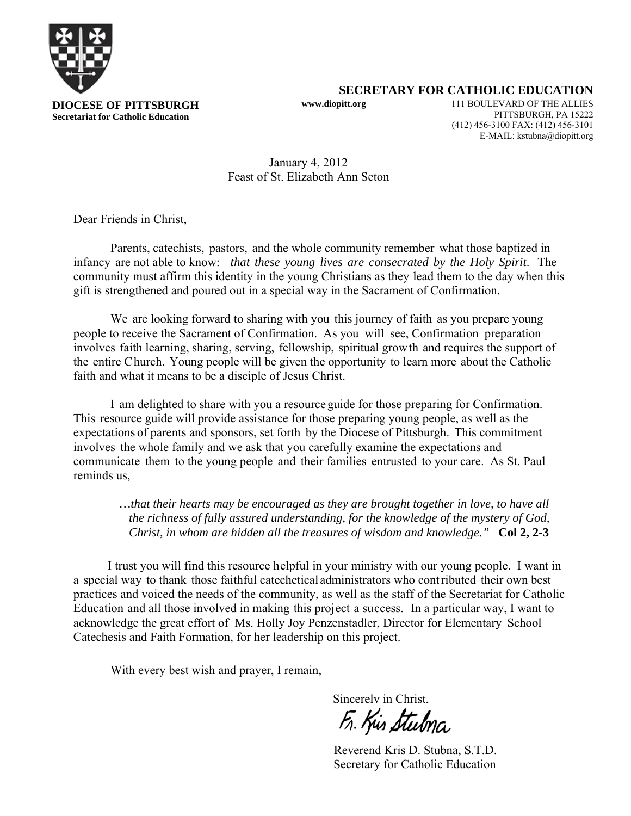

**DIOCESE OF PITTSBURGH Secretariat for Catholic Education** 

**SECRETARY FOR CATHOLIC EDUCATION** 

**www.diopitt.org** 111 BOULEVARD OF THE ALLIES PITTSBURGH, PA 15222 (412) 456-3100 FAX: (412) 456-3101 E-MAIL: kstubna@diopitt.org

January 4, 2012 Feast of St. Elizabeth Ann Seton

Dear Friends in Christ,

 Parents, catechists, pastors, and the whole community remember what those baptized in infancy are not able to know: *that these young lives are consecrated by the Holy Spirit*. The community must affirm this identity in the young Christians as they lead them to the day when this gift is strengthened and poured out in a special way in the Sacrament of Confirmation.

 We are looking forward to sharing with you this journey of faith as you prepare young people to receive the Sacrament of Confirmation. As you will see, Confirmation preparation involves faith learning, sharing, serving, fellowship, spiritual growth and requires the support of the entire Church. Young people will be given the opportunity to learn more about the Catholic faith and what it means to be a disciple of Jesus Christ.

 I am delighted to share with you a resource guide for those preparing for Confirmation. This resource guide will provide assistance for those preparing young people, as well as the expectations of parents and sponsors, set forth by the Diocese of Pittsburgh. This commitment involves the whole family and we ask that you carefully examine the expectations and communicate them to the young people and their families entrusted to your care. As St. Paul reminds us,

*…that their hearts may be encouraged as they are brought together in love, to have all the richness of fully assured understanding, for the knowledge of the mystery of God, Christ, in whom are hidden all the treasures of wisdom and knowledge."* **Col 2, 2-3**

 I trust you will find this resource helpful in your ministry with our young people. I want in a special way to thank those faithful catechetical administrators who cont ributed their own best practices and voiced the needs of the community, as well as the staff of the Secretariat for Catholic Education and all those involved in making this project a success. In a particular way, I want to acknowledge the great effort of Ms. Holly Joy Penzenstadler, Director for Elementary School Catechesis and Faith Formation, for her leadership on this project.

With every best wish and prayer, I remain,

Sincerely in Christ,

Fr. Kis Stubna

 Reverend Kris D. Stubna, S.T.D. Secretary for Catholic Education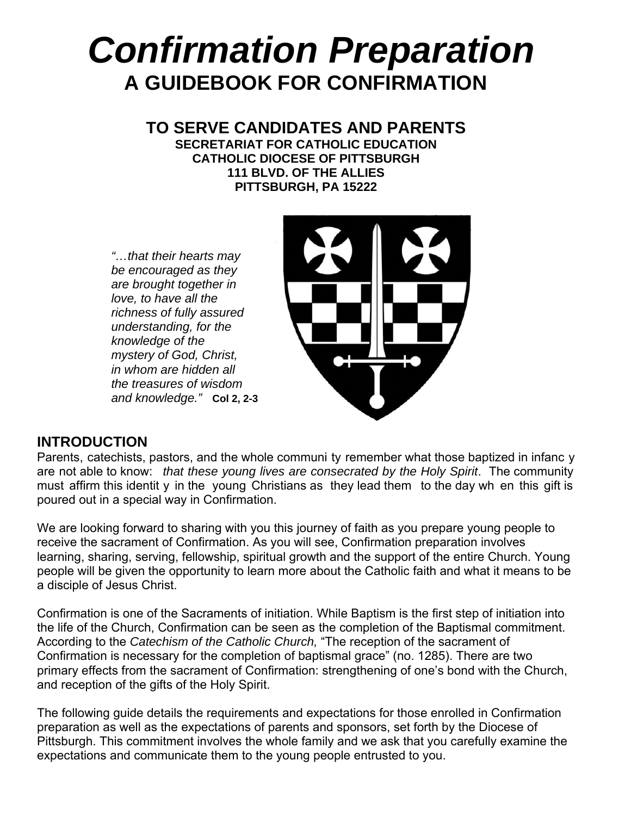# *Confirmation Preparation*  **A GUIDEBOOK FOR CONFIRMATION**

**TO SERVE CANDIDATES AND PARENTS SECRETARIAT FOR CATHOLIC EDUCATION CATHOLIC DIOCESE OF PITTSBURGH 111 BLVD. OF THE ALLIES PITTSBURGH, PA 15222** 

*"…that their hearts may be encouraged as they are brought together in love, to have all the richness of fully assured understanding, for the knowledge of the mystery of God, Christ, in whom are hidden all the treasures of wisdom and knowledge."* **Col 2, 2-3**



# **INTRODUCTION**

Parents, catechists, pastors, and the whole communi ty remember what those baptized in infanc y are not able to know: *that these young lives are consecrated by the Holy Spirit*. The community must affirm this identit y in the young Christians as they lead them to the day wh en this gift is poured out in a special way in Confirmation.

We are looking forward to sharing with you this journey of faith as you prepare young people to receive the sacrament of Confirmation. As you will see, Confirmation preparation involves learning, sharing, serving, fellowship, spiritual growth and the support of the entire Church. Young people will be given the opportunity to learn more about the Catholic faith and what it means to be a disciple of Jesus Christ.

Confirmation is one of the Sacraments of initiation. While Baptism is the first step of initiation into the life of the Church, Confirmation can be seen as the completion of the Baptismal commitment. According to the *Catechism of the Catholic Church,* "The reception of the sacrament of Confirmation is necessary for the completion of baptismal grace" (no. 1285). There are two primary effects from the sacrament of Confirmation: strengthening of one's bond with the Church, and reception of the gifts of the Holy Spirit.

The following guide details the requirements and expectations for those enrolled in Confirmation preparation as well as the expectations of parents and sponsors, set forth by the Diocese of Pittsburgh. This commitment involves the whole family and we ask that you carefully examine the expectations and communicate them to the young people entrusted to you.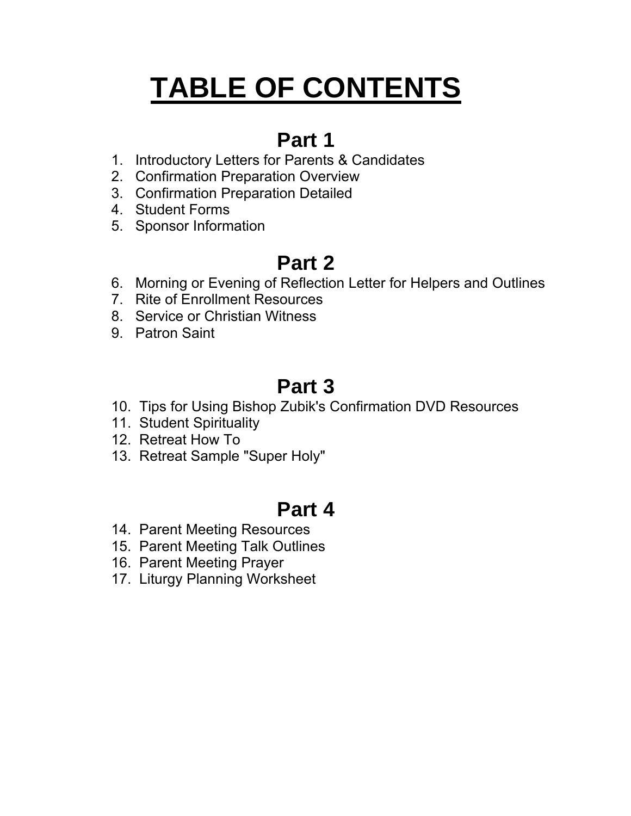# **TABLE OF CONTENTS**

# **Part 1**

- 1. Introductory Letters for Parents & Candidates
- 2. Confirmation Preparation Overview
- 3. Confirmation Preparation Detailed
- 4. Student Forms
- 5. Sponsor Information

# **Part 2**

- 6. Morning or Evening of Reflection Letter for Helpers and Outlines
- 7. Rite of Enrollment Resources
- 8. Service or Christian Witness
- 9. Patron Saint

# **Part 3**

- 10. Tips for Using Bishop Zubik's Confirmation DVD Resources
- 11. Student Spirituality
- 12. Retreat How To
- 13. Retreat Sample "Super Holy"

# **Part 4**

- 14. Parent Meeting Resources
- 15. Parent Meeting Talk Outlines
- 16. Parent Meeting Prayer
- 17. Liturgy Planning Worksheet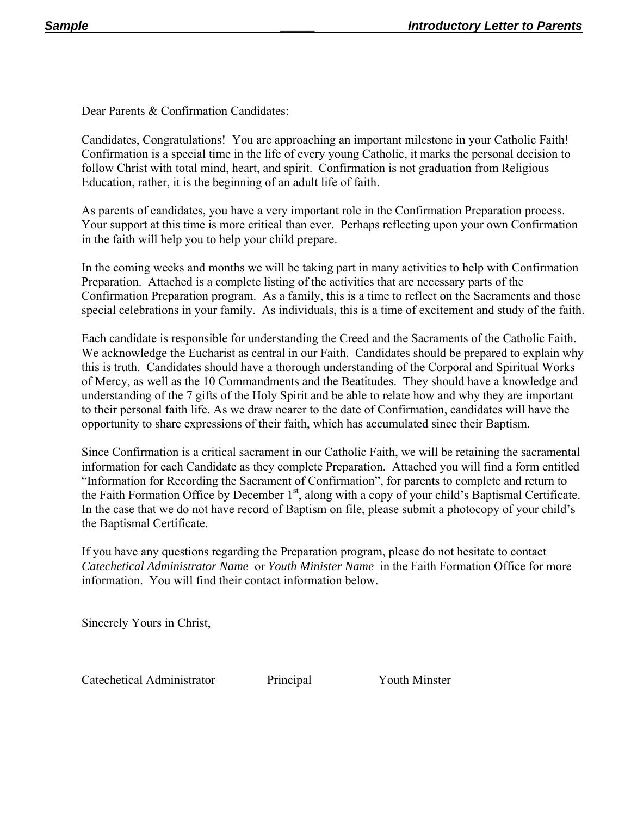Dear Parents & Confirmation Candidates:

Candidates, Congratulations! You are approaching an important milestone in your Catholic Faith! Confirmation is a special time in the life of every young Catholic, it marks the personal decision to follow Christ with total mind, heart, and spirit. Confirmation is not graduation from Religious Education, rather, it is the beginning of an adult life of faith.

As parents of candidates, you have a very important role in the Confirmation Preparation process. Your support at this time is more critical than ever. Perhaps reflecting upon your own Confirmation in the faith will help you to help your child prepare.

In the coming weeks and months we will be taking part in many activities to help with Confirmation Preparation. Attached is a complete listing of the activities that are necessary parts of the Confirmation Preparation program. As a family, this is a time to reflect on the Sacraments and those special celebrations in your family. As individuals, this is a time of excitement and study of the faith.

Each candidate is responsible for understanding the Creed and the Sacraments of the Catholic Faith. We acknowledge the Eucharist as central in our Faith. Candidates should be prepared to explain why this is truth. Candidates should have a thorough understanding of the Corporal and Spiritual Works of Mercy, as well as the 10 Commandments and the Beatitudes. They should have a knowledge and understanding of the 7 gifts of the Holy Spirit and be able to relate how and why they are important to their personal faith life. As we draw nearer to the date of Confirmation, candidates will have the opportunity to share expressions of their faith, which has accumulated since their Baptism.

Since Confirmation is a critical sacrament in our Catholic Faith, we will be retaining the sacramental information for each Candidate as they complete Preparation. Attached you will find a form entitled "Information for Recording the Sacrament of Confirmation", for parents to complete and return to the Faith Formation Office by December 1<sup>st</sup>, along with a copy of your child's Baptismal Certificate. In the case that we do not have record of Baptism on file, please submit a photocopy of your child's the Baptismal Certificate.

If you have any questions regarding the Preparation program, please do not hesitate to contact *Catechetical Administrator Name* or *Youth Minister Name* in the Faith Formation Office for more information. You will find their contact information below.

Sincerely Yours in Christ,

Catechetical Administrator Principal Youth Minster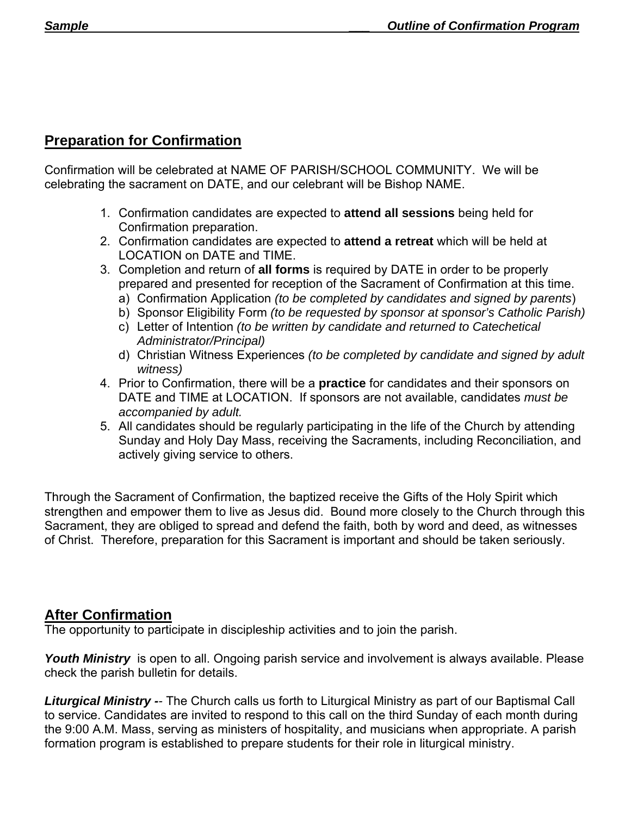# **Preparation for Confirmation**

Confirmation will be celebrated at NAME OF PARISH/SCHOOL COMMUNITY. We will be celebrating the sacrament on DATE, and our celebrant will be Bishop NAME.

- 1. Confirmation candidates are expected to **attend all sessions** being held for Confirmation preparation.
- 2. Confirmation candidates are expected to **attend a retreat** which will be held at LOCATION on DATE and TIME.
- 3. Completion and return of **all forms** is required by DATE in order to be properly prepared and presented for reception of the Sacrament of Confirmation at this time.
	- a) Confirmation Application *(to be completed by candidates and signed by parents*)
	- b) Sponsor Eligibility Form *(to be requested by sponsor at sponsor's Catholic Parish)*
	- c) Letter of Intention *(to be written by candidate and returned to Catechetical Administrator/Principal)*
	- d) Christian Witness Experiences *(to be completed by candidate and signed by adult witness)*
- 4. Prior to Confirmation, there will be a **practice** for candidates and their sponsors on DATE and TIME at LOCATION. If sponsors are not available, candidates *must be accompanied by adult.*
- 5. All candidates should be regularly participating in the life of the Church by attending Sunday and Holy Day Mass, receiving the Sacraments, including Reconciliation, and actively giving service to others.

Through the Sacrament of Confirmation, the baptized receive the Gifts of the Holy Spirit which strengthen and empower them to live as Jesus did. Bound more closely to the Church through this Sacrament, they are obliged to spread and defend the faith, both by word and deed, as witnesses of Christ. Therefore, preparation for this Sacrament is important and should be taken seriously.

### **After Confirmation**

The opportunity to participate in discipleship activities and to join the parish.

Youth Ministry is open to all. Ongoing parish service and involvement is always available. Please check the parish bulletin for details.

*Liturgical Ministry --* The Church calls us forth to Liturgical Ministry as part of our Baptismal Call to service. Candidates are invited to respond to this call on the third Sunday of each month during the 9:00 A.M. Mass, serving as ministers of hospitality, and musicians when appropriate. A parish formation program is established to prepare students for their role in liturgical ministry.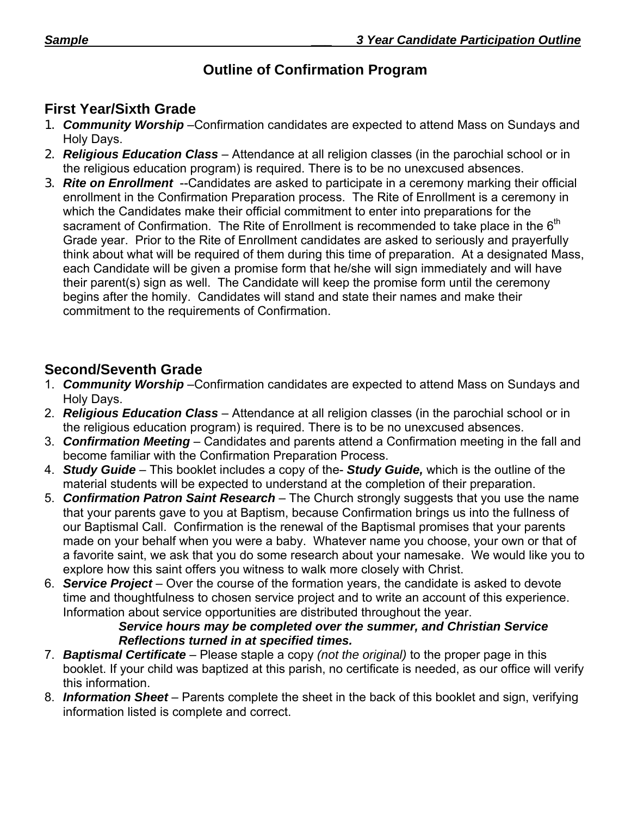# **Outline of Confirmation Program**

# **First Year/Sixth Grade**

- 1. *Community Worship* –Confirmation candidates are expected to attend Mass on Sundays and Holy Days.
- 2. *Religious Education Class*  Attendance at all religion classes (in the parochial school or in the religious education program) is required. There is to be no unexcused absences.
- 3. *Rite on Enrollment* --Candidates are asked to participate in a ceremony marking their official enrollment in the Confirmation Preparation process. The Rite of Enrollment is a ceremony in which the Candidates make their official commitment to enter into preparations for the sacrament of Confirmation. The Rite of Enrollment is recommended to take place in the  $6<sup>th</sup>$ Grade year. Prior to the Rite of Enrollment candidates are asked to seriously and prayerfully think about what will be required of them during this time of preparation. At a designated Mass, each Candidate will be given a promise form that he/she will sign immediately and will have their parent(s) sign as well. The Candidate will keep the promise form until the ceremony begins after the homily. Candidates will stand and state their names and make their commitment to the requirements of Confirmation.

# **Second/Seventh Grade**

- 1. *Community Worship* –Confirmation candidates are expected to attend Mass on Sundays and Holy Days.
- 2. *Religious Education Class*  Attendance at all religion classes (in the parochial school or in the religious education program) is required. There is to be no unexcused absences.
- 3. *Confirmation Meeting*  Candidates and parents attend a Confirmation meeting in the fall and become familiar with the Confirmation Preparation Process.
- 4. *Study Guide*  This booklet includes a copy of the- *Study Guide,* which is the outline of the material students will be expected to understand at the completion of their preparation.
- 5. *Confirmation Patron Saint Research*  The Church strongly suggests that you use the name that your parents gave to you at Baptism, because Confirmation brings us into the fullness of our Baptismal Call. Confirmation is the renewal of the Baptismal promises that your parents made on your behalf when you were a baby. Whatever name you choose, your own or that of a favorite saint, we ask that you do some research about your namesake. We would like you to explore how this saint offers you witness to walk more closely with Christ.
- 6. *Service Project*  Over the course of the formation years, the candidate is asked to devote time and thoughtfulness to chosen service project and to write an account of this experience. Information about service opportunities are distributed throughout the year.

#### *Service hours may be completed over the summer, and Christian Service Reflections turned in at specified times.*

- 7. *Baptismal Certificate*  Please staple a copy *(not the original)* to the proper page in this booklet. If your child was baptized at this parish, no certificate is needed, as our office will verify this information.
- 8. **Information Sheet** Parents complete the sheet in the back of this booklet and sign, verifying information listed is complete and correct.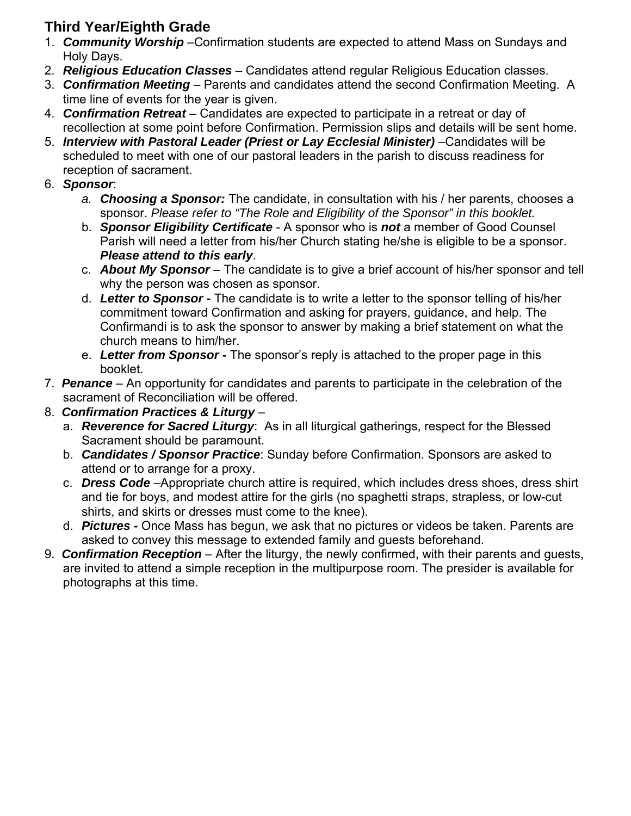# **Third Year/Eighth Grade**

- 1. *Community Worship* –Confirmation students are expected to attend Mass on Sundays and Holy Days.
- 2. *Religious Education Classes*  Candidates attend regular Religious Education classes.
- 3. *Confirmation Meeting*  Parents and candidates attend the second Confirmation Meeting. A time line of events for the year is given.
- 4. *Confirmation Retreat*  Candidates are expected to participate in a retreat or day of recollection at some point before Confirmation. Permission slips and details will be sent home.
- 5. *Interview with Pastoral Leader (Priest or Lay Ecclesial Minister)* –Candidates will be scheduled to meet with one of our pastoral leaders in the parish to discuss readiness for reception of sacrament.
- 6. *Sponsor*:
	- *a. Choosing a Sponsor:* The candidate, in consultation with his / her parents, chooses a sponsor. *Please refer to "The Role and Eligibility of the Sponsor" in this booklet.*
	- b. *Sponsor Eligibility Certificate*  A sponsor who is *not* a member of Good Counsel Parish will need a letter from his/her Church stating he/she is eligible to be a sponsor. *Please attend to this early*.
	- c. *About My Sponsor*  The candidate is to give a brief account of his/her sponsor and tell why the person was chosen as sponsor.
	- d. *Letter to Sponsor* The candidate is to write a letter to the sponsor telling of his/her commitment toward Confirmation and asking for prayers, guidance, and help. The Confirmandi is to ask the sponsor to answer by making a brief statement on what the church means to him/her.
	- e. *Letter from Sponsor* The sponsor's reply is attached to the proper page in this booklet.
- 7. *Penance*  An opportunity for candidates and parents to participate in the celebration of the sacrament of Reconciliation will be offered.
- 8. *Confirmation Practices & Liturgy* 
	- a. *Reverence for Sacred Liturgy*: As in all liturgical gatherings, respect for the Blessed Sacrament should be paramount.
	- b. *Candidates / Sponsor Practice*: Sunday before Confirmation. Sponsors are asked to attend or to arrange for a proxy.
	- c. *Dress Code* –Appropriate church attire is required, which includes dress shoes, dress shirt and tie for boys, and modest attire for the girls (no spaghetti straps, strapless, or low-cut shirts, and skirts or dresses must come to the knee).
	- d. *Pictures* Once Mass has begun, we ask that no pictures or videos be taken. Parents are asked to convey this message to extended family and guests beforehand.
- 9. *Confirmation Reception*  After the liturgy, the newly confirmed, with their parents and guests, are invited to attend a simple reception in the multipurpose room. The presider is available for photographs at this time.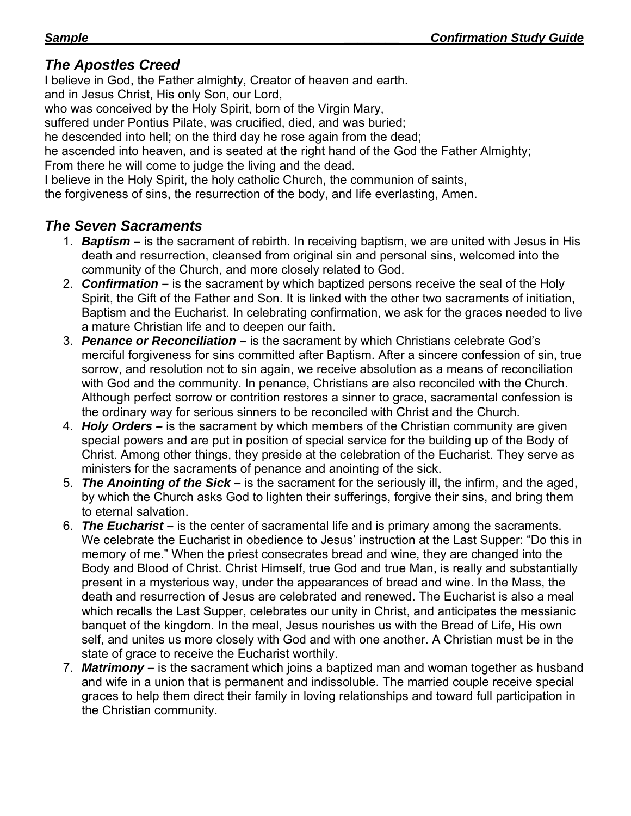# *The Apostles Creed*

I believe in God, the Father almighty, Creator of heaven and earth.

and in Jesus Christ, His only Son, our Lord,

who was conceived by the Holy Spirit, born of the Virgin Mary,

suffered under Pontius Pilate, was crucified, died, and was buried;

he descended into hell; on the third day he rose again from the dead;

he ascended into heaven, and is seated at the right hand of the God the Father Almighty; From there he will come to judge the living and the dead.

I believe in the Holy Spirit, the holy catholic Church, the communion of saints,

the forgiveness of sins, the resurrection of the body, and life everlasting, Amen.

# *The Seven Sacraments*

- 1. *Baptism* is the sacrament of rebirth. In receiving baptism, we are united with Jesus in His death and resurrection, cleansed from original sin and personal sins, welcomed into the community of the Church, and more closely related to God.
- 2. *Confirmation* is the sacrament by which baptized persons receive the seal of the Holy Spirit, the Gift of the Father and Son. It is linked with the other two sacraments of initiation, Baptism and the Eucharist. In celebrating confirmation, we ask for the graces needed to live a mature Christian life and to deepen our faith.
- 3. *Penance or Reconciliation* is the sacrament by which Christians celebrate God's merciful forgiveness for sins committed after Baptism. After a sincere confession of sin, true sorrow, and resolution not to sin again, we receive absolution as a means of reconciliation with God and the community. In penance, Christians are also reconciled with the Church. Although perfect sorrow or contrition restores a sinner to grace, sacramental confession is the ordinary way for serious sinners to be reconciled with Christ and the Church.
- 4. *Holy Orders* is the sacrament by which members of the Christian community are given special powers and are put in position of special service for the building up of the Body of Christ. Among other things, they preside at the celebration of the Eucharist. They serve as ministers for the sacraments of penance and anointing of the sick.
- 5. *The Anointing of the Sick* is the sacrament for the seriously ill, the infirm, and the aged, by which the Church asks God to lighten their sufferings, forgive their sins, and bring them to eternal salvation.
- 6. *The Eucharist* is the center of sacramental life and is primary among the sacraments. We celebrate the Eucharist in obedience to Jesus' instruction at the Last Supper: "Do this in memory of me." When the priest consecrates bread and wine, they are changed into the Body and Blood of Christ. Christ Himself, true God and true Man, is really and substantially present in a mysterious way, under the appearances of bread and wine. In the Mass, the death and resurrection of Jesus are celebrated and renewed. The Eucharist is also a meal which recalls the Last Supper, celebrates our unity in Christ, and anticipates the messianic banquet of the kingdom. In the meal, Jesus nourishes us with the Bread of Life, His own self, and unites us more closely with God and with one another. A Christian must be in the state of grace to receive the Eucharist worthily.
- 7. *Matrimony* is the sacrament which joins a baptized man and woman together as husband and wife in a union that is permanent and indissoluble. The married couple receive special graces to help them direct their family in loving relationships and toward full participation in the Christian community.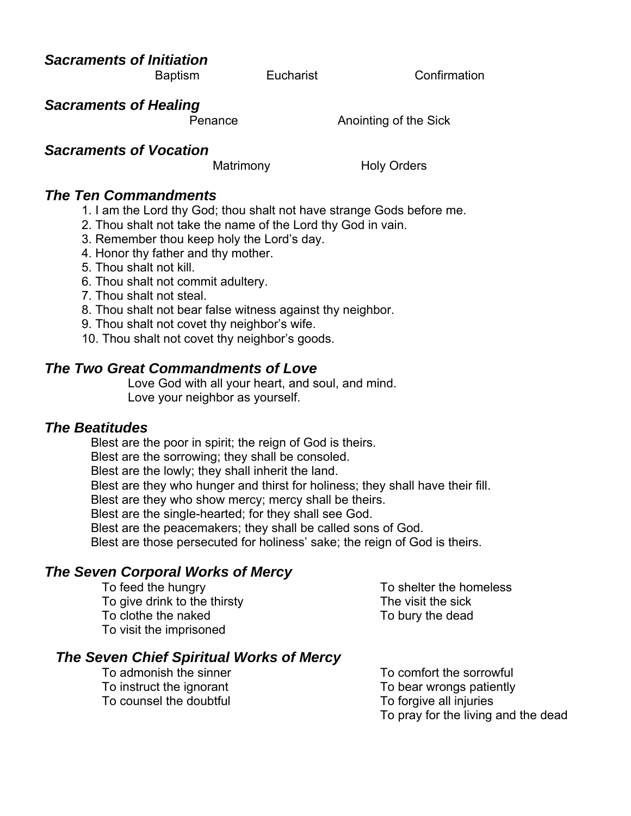*Sacraments of Initiation* 

Baptism Eucharist Confirmation

*Sacraments of Healing* 

Penance **Anointing of the Sick** 

*Sacraments of Vocation* 

Matrimony **Holy Orders** 

# *The Ten Commandments*

- 1. I am the Lord thy God; thou shalt not have strange Gods before me.
- 2. Thou shalt not take the name of the Lord thy God in vain.
- 3. Remember thou keep holy the Lord's day.
- 4. Honor thy father and thy mother.
- 5. Thou shalt not kill.
- 6. Thou shalt not commit adultery.
- 7. Thou shalt not steal.
- 8. Thou shalt not bear false witness against thy neighbor.
- 9. Thou shalt not covet thy neighbor's wife.
- 10. Thou shalt not covet thy neighbor's goods.

# *The Two Great Commandments of Love*

Love God with all your heart, and soul, and mind. Love your neighbor as yourself.

# *The Beatitudes*

Blest are the poor in spirit; the reign of God is theirs. Blest are the sorrowing; they shall be consoled. Blest are the lowly; they shall inherit the land. Blest are they who hunger and thirst for holiness; they shall have their fill. Blest are they who show mercy; mercy shall be theirs. Blest are the single-hearted; for they shall see God. Blest are the peacemakers; they shall be called sons of God. Blest are those persecuted for holiness' sake; the reign of God is theirs.

# *The Seven Corporal Works of Mercy*

To feed the hungry To give drink to the thirsty To clothe the naked To visit the imprisoned

To shelter the homeless The visit the sick To bury the dead

# *The Seven Chief Spiritual Works of Mercy*

To admonish the sinner To instruct the ignorant To counsel the doubtful

To comfort the sorrowful To bear wrongs patiently To forgive all injuries To pray for the living and the dead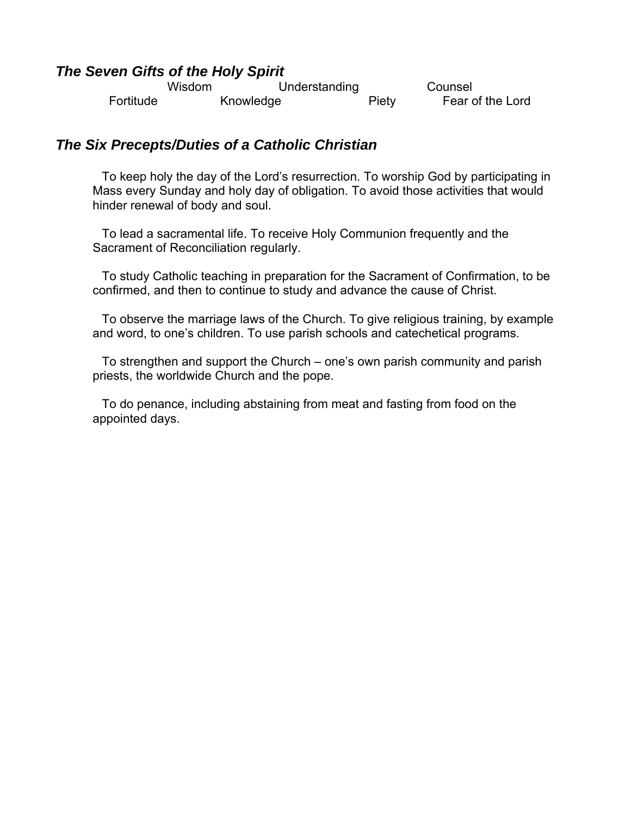#### *The Seven Gifts of the Holy Spirit*

Wisdom Understanding Counsel Fortitude Knowledge Piety Fear of the Lord

#### *The Six Precepts/Duties of a Catholic Christian*

To keep holy the day of the Lord's resurrection. To worship God by participating in Mass every Sunday and holy day of obligation. To avoid those activities that would hinder renewal of body and soul.

To lead a sacramental life. To receive Holy Communion frequently and the Sacrament of Reconciliation regularly.

To study Catholic teaching in preparation for the Sacrament of Confirmation, to be confirmed, and then to continue to study and advance the cause of Christ.

To observe the marriage laws of the Church. To give religious training, by example and word, to one's children. To use parish schools and catechetical programs.

To strengthen and support the Church – one's own parish community and parish priests, the worldwide Church and the pope.

To do penance, including abstaining from meat and fasting from food on the appointed days.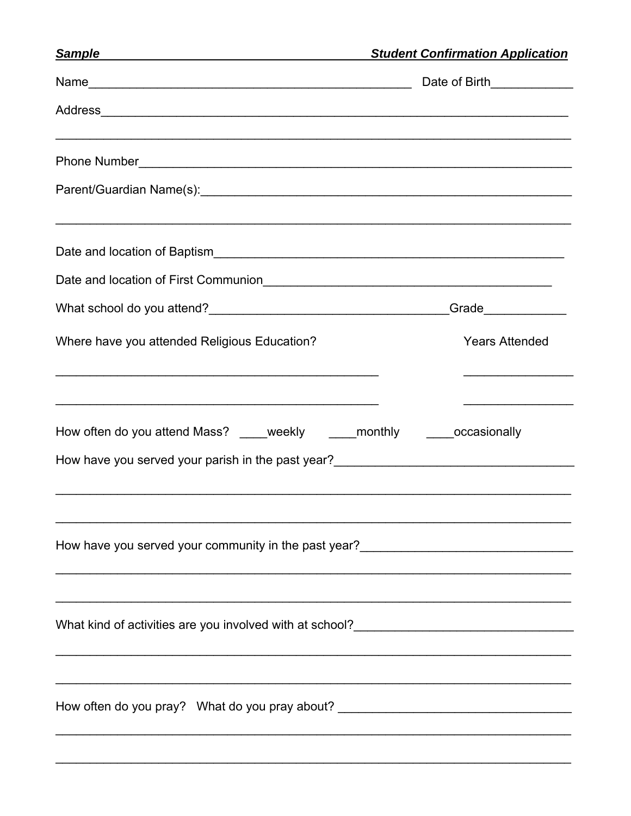| <u>Sample</u> experience and the sample of the sample                                                                                                                                                                                                                                                                   | <b>Student Confirmation Application</b> |
|-------------------------------------------------------------------------------------------------------------------------------------------------------------------------------------------------------------------------------------------------------------------------------------------------------------------------|-----------------------------------------|
|                                                                                                                                                                                                                                                                                                                         | Date of Birth______________             |
|                                                                                                                                                                                                                                                                                                                         |                                         |
| ,我们也不会有什么。""我们的人,我们也不会有什么?""我们的人,我们也不会有什么?""我们的人,我们也不会有什么?""我们的人,我们也不会有什么?""我们的人<br>Phone Number <b>Number</b> 2004 12:00 12:00 12:00 12:00 12:00 12:00 12:00 12:00 12:00 12:00 12:00 12:00 12:00 12:00 12:00 12:00 12:00 12:00 12:00 12:00 12:00 12:00 12:00 12:00 12:00 12:00 12:00 12:00 12:00 12:00 12:00 12:00 12: |                                         |
|                                                                                                                                                                                                                                                                                                                         |                                         |
|                                                                                                                                                                                                                                                                                                                         |                                         |
|                                                                                                                                                                                                                                                                                                                         |                                         |
|                                                                                                                                                                                                                                                                                                                         |                                         |
| Where have you attended Religious Education?                                                                                                                                                                                                                                                                            | <b>Years Attended</b>                   |
| How often do you attend Mass? ____weekly _____monthly _____occasionally                                                                                                                                                                                                                                                 |                                         |
| How have you served your community in the past year?____________________________                                                                                                                                                                                                                                        |                                         |
|                                                                                                                                                                                                                                                                                                                         |                                         |
| How often do you pray? What do you pray about? _________________________________                                                                                                                                                                                                                                        |                                         |
|                                                                                                                                                                                                                                                                                                                         |                                         |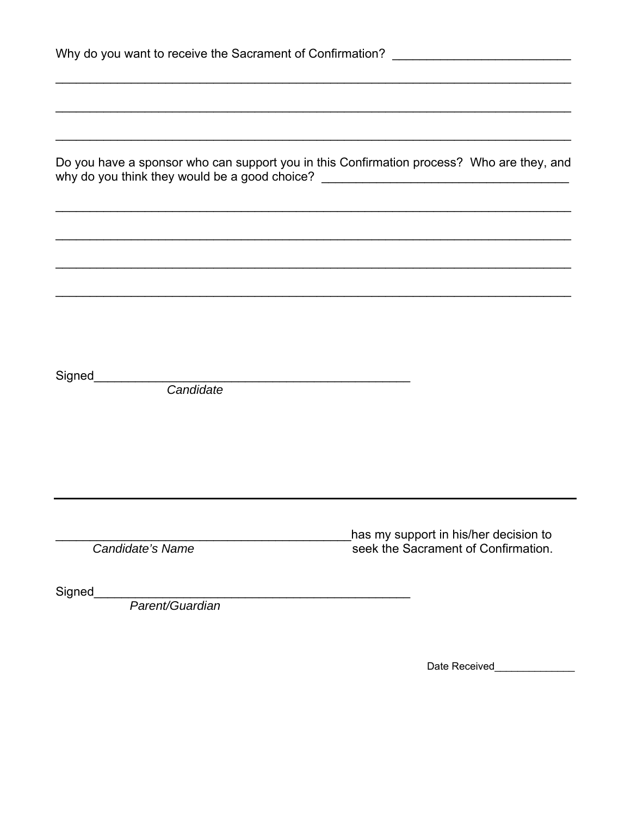| Do you have a sponsor who can support you in this Confirmation process? Who are they, and<br>why do you think they would be a good choice? __________________________________ |                                       |
|-------------------------------------------------------------------------------------------------------------------------------------------------------------------------------|---------------------------------------|
|                                                                                                                                                                               |                                       |
|                                                                                                                                                                               |                                       |
|                                                                                                                                                                               |                                       |
|                                                                                                                                                                               |                                       |
|                                                                                                                                                                               |                                       |
|                                                                                                                                                                               |                                       |
|                                                                                                                                                                               |                                       |
| Signed<br>Candidate                                                                                                                                                           |                                       |
|                                                                                                                                                                               |                                       |
|                                                                                                                                                                               |                                       |
|                                                                                                                                                                               |                                       |
|                                                                                                                                                                               |                                       |
|                                                                                                                                                                               |                                       |
|                                                                                                                                                                               | has my support in his/her decision to |
| Candidate's Name                                                                                                                                                              | seek the Sacrament of Confirmation.   |
| Signed                                                                                                                                                                        |                                       |
| Parent/Guardian                                                                                                                                                               |                                       |
|                                                                                                                                                                               |                                       |
|                                                                                                                                                                               | Date Received                         |
|                                                                                                                                                                               |                                       |

<u> 2000 - Jan James James James James James James James James James James James James James James James James Ja</u>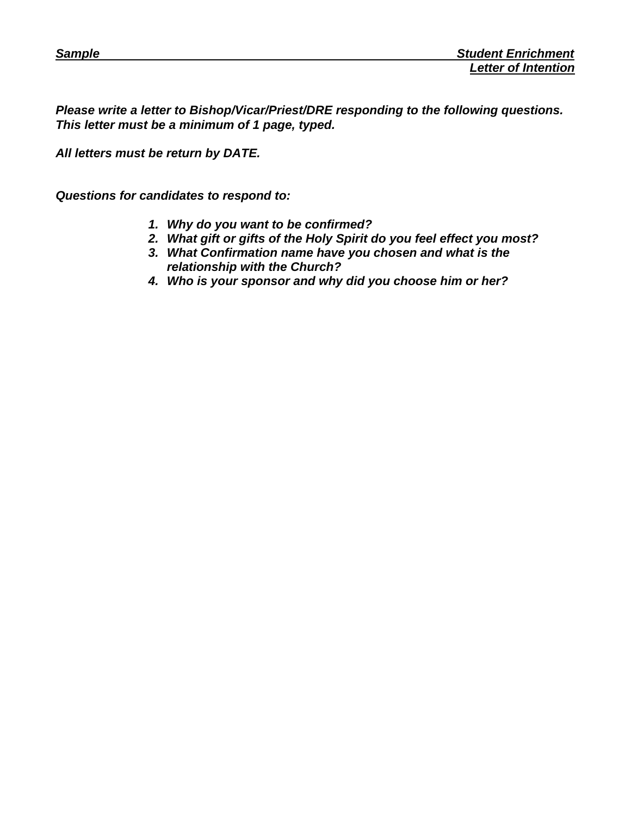*Please write a letter to Bishop/Vicar/Priest/DRE responding to the following questions. This letter must be a minimum of 1 page, typed.* 

*All letters must be return by DATE.* 

*Questions for candidates to respond to:* 

- *1. Why do you want to be confirmed?*
- *2. What gift or gifts of the Holy Spirit do you feel effect you most?*
- *3. What Confirmation name have you chosen and what is the relationship with the Church?*
- *4. Who is your sponsor and why did you choose him or her?*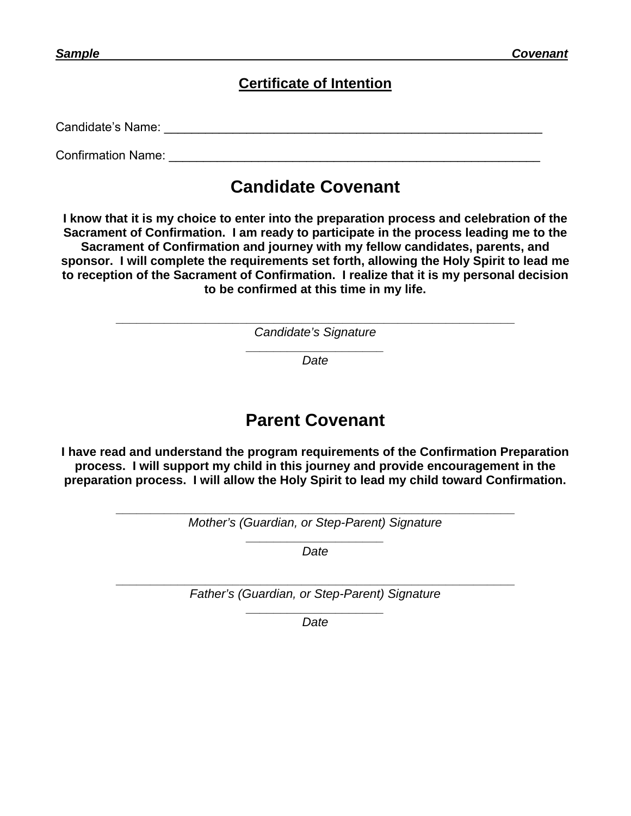# **Certificate of Intention**

Candidate's Name: \_\_\_\_\_\_\_\_\_\_\_\_\_\_\_\_\_\_\_\_\_\_\_\_\_\_\_\_\_\_\_\_\_\_\_\_\_\_\_\_\_\_\_\_\_\_\_\_\_\_\_\_\_\_\_

Confirmation Name: **with the control of the control of the control of the control of the control of the control of the control of the control of the control of the control of the control of the control of the control of th** 

# **Candidate Covenant**

**I know that it is my choice to enter into the preparation process and celebration of the Sacrament of Confirmation. I am ready to participate in the process leading me to the Sacrament of Confirmation and journey with my fellow candidates, parents, and sponsor. I will complete the requirements set forth, allowing the Holy Spirit to lead me to reception of the Sacrament of Confirmation. I realize that it is my personal decision to be confirmed at this time in my life.** 

> **\_\_\_\_\_\_\_\_\_\_\_\_\_\_\_\_\_\_\_\_\_\_\_\_\_\_\_\_\_\_\_\_\_\_\_\_\_\_\_\_\_\_\_\_\_\_\_\_\_\_\_\_\_\_\_\_\_\_**  *Candidate's Signature*

> > *\_\_\_\_\_\_\_\_\_\_\_\_\_\_\_\_\_\_\_\_ Date*

# **Parent Covenant**

**I have read and understand the program requirements of the Confirmation Preparation process. I will support my child in this journey and provide encouragement in the preparation process. I will allow the Holy Spirit to lead my child toward Confirmation.** 

> **\_\_\_\_\_\_\_\_\_\_\_\_\_\_\_\_\_\_\_\_\_\_\_\_\_\_\_\_\_\_\_\_\_\_\_\_\_\_\_\_\_\_\_\_\_\_\_\_\_\_\_\_\_\_\_\_\_\_**  *Mother's (Guardian, or Step-Parent) Signature*

> > *\_\_\_\_\_\_\_\_\_\_\_\_\_\_\_\_\_\_\_\_ Date*

**\_\_\_\_\_\_\_\_\_\_\_\_\_\_\_\_\_\_\_\_\_\_\_\_\_\_\_\_\_\_\_\_\_\_\_\_\_\_\_\_\_\_\_\_\_\_\_\_\_\_\_\_\_\_\_\_\_\_**  *Father's (Guardian, or Step-Parent) Signature* 

> *\_\_\_\_\_\_\_\_\_\_\_\_\_\_\_\_\_\_\_\_ Date*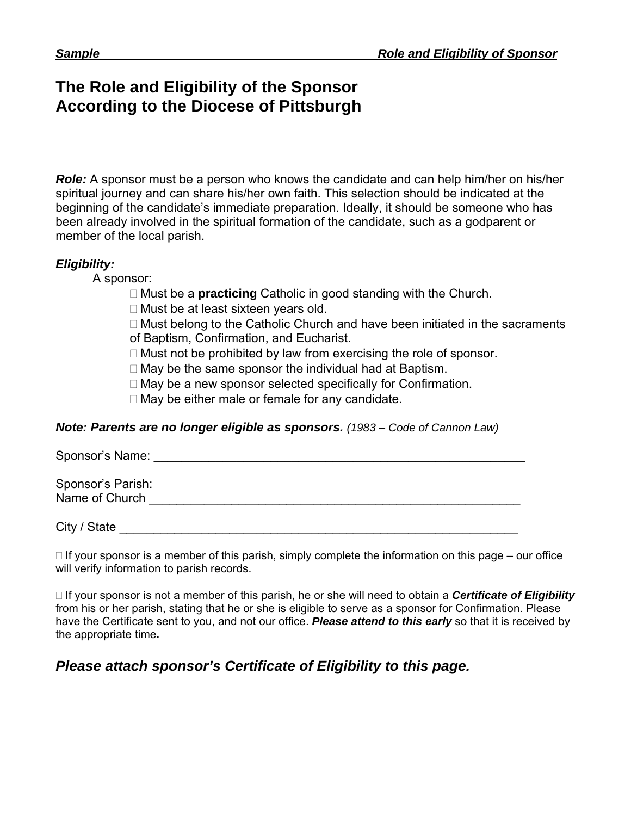# **The Role and Eligibility of the Sponsor According to the Diocese of Pittsburgh**

*Role:* A sponsor must be a person who knows the candidate and can help him/her on his/her spiritual journey and can share his/her own faith. This selection should be indicated at the beginning of the candidate's immediate preparation. Ideally, it should be someone who has been already involved in the spiritual formation of the candidate, such as a godparent or member of the local parish.

#### *Eligibility:*

A sponsor:

Must be a **practicing** Catholic in good standing with the Church.

 $\Box$  Must be at least sixteen years old.

 $\Box$  Must belong to the Catholic Church and have been initiated in the sacraments of Baptism, Confirmation, and Eucharist.

 $\Box$  Must not be prohibited by law from exercising the role of sponsor.

 $\Box$  May be the same sponsor the individual had at Baptism.

□ May be a new sponsor selected specifically for Confirmation.

 $\Box$  May be either male or female for any candidate.

#### *Note: Parents are no longer eligible as sponsors. (1983 – Code of Cannon Law)*

Sponsor's Name: **Example 20** and 20 and 20 and 20 and 20 and 20 and 20 and 20 and 20 and 20 and 20 and 20 and 20 and 20 and 20 and 20 and 20 and 20 and 20 and 20 and 20 and 20 and 20 and 20 and 20 and 20 and 20 and 20 and Sponsor's Parish: Name of Church **Executive Church**  $\blacksquare$ 

City / State <u>and</u> the state of the state of the state of the state of the state of the state of the state of the state of the state of the state of the state of the state of the state of the state of the state of the stat

 $\Box$  If your sponsor is a member of this parish, simply complete the information on this page – our office will verify information to parish records.

If your sponsor is not a member of this parish, he or she will need to obtain a *Certificate of Eligibility*  from his or her parish, stating that he or she is eligible to serve as a sponsor for Confirmation. Please have the Certificate sent to you, and not our office. *Please attend to this early* so that it is received by the appropriate time**.** 

### *Please attach sponsor's Certificate of Eligibility to this page.*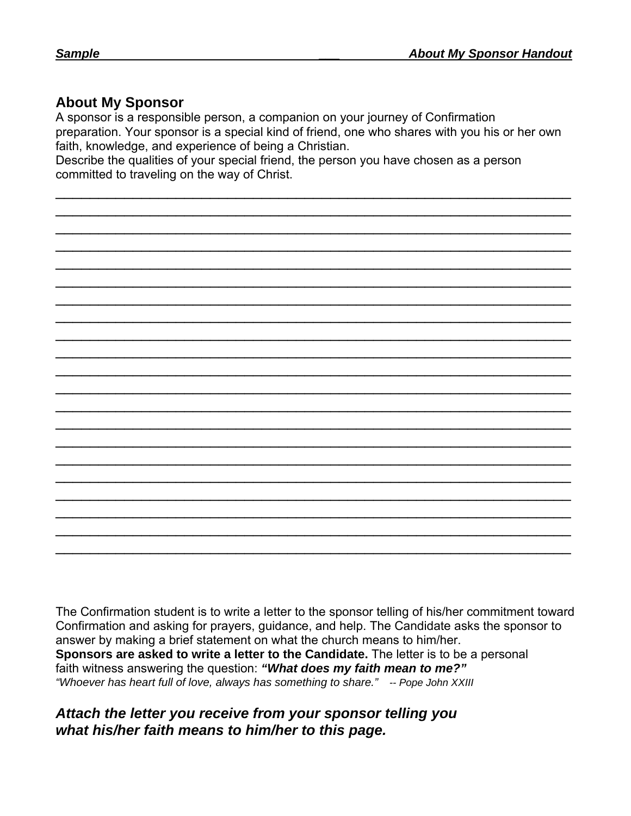# **About My Sponsor**

A sponsor is a responsible person, a companion on your journey of Confirmation preparation. Your sponsor is a special kind of friend, one who shares with you his or her own faith, knowledge, and experience of being a Christian.

 $\mathcal{L}_\text{max}$  and  $\mathcal{L}_\text{max}$  and  $\mathcal{L}_\text{max}$  and  $\mathcal{L}_\text{max}$  and  $\mathcal{L}_\text{max}$  and  $\mathcal{L}_\text{max}$  $\mathcal{L}_\text{max}$  and  $\mathcal{L}_\text{max}$  and  $\mathcal{L}_\text{max}$  and  $\mathcal{L}_\text{max}$  and  $\mathcal{L}_\text{max}$  and  $\mathcal{L}_\text{max}$  $\mathcal{L}_\text{max}$  and  $\mathcal{L}_\text{max}$  and  $\mathcal{L}_\text{max}$  and  $\mathcal{L}_\text{max}$  and  $\mathcal{L}_\text{max}$  and  $\mathcal{L}_\text{max}$  $\mathcal{L}_\text{max}$  and  $\mathcal{L}_\text{max}$  and  $\mathcal{L}_\text{max}$  and  $\mathcal{L}_\text{max}$  and  $\mathcal{L}_\text{max}$  and  $\mathcal{L}_\text{max}$  $\mathcal{L}_\text{max}$  and  $\mathcal{L}_\text{max}$  and  $\mathcal{L}_\text{max}$  and  $\mathcal{L}_\text{max}$  and  $\mathcal{L}_\text{max}$  and  $\mathcal{L}_\text{max}$  $\mathcal{L}_\text{max}$  and  $\mathcal{L}_\text{max}$  and  $\mathcal{L}_\text{max}$  and  $\mathcal{L}_\text{max}$  and  $\mathcal{L}_\text{max}$  and  $\mathcal{L}_\text{max}$  $\mathcal{L}_\text{max}$  and  $\mathcal{L}_\text{max}$  and  $\mathcal{L}_\text{max}$  and  $\mathcal{L}_\text{max}$  and  $\mathcal{L}_\text{max}$  and  $\mathcal{L}_\text{max}$  $\mathcal{L}_\text{max}$  and  $\mathcal{L}_\text{max}$  and  $\mathcal{L}_\text{max}$  and  $\mathcal{L}_\text{max}$  and  $\mathcal{L}_\text{max}$  and  $\mathcal{L}_\text{max}$  $\mathcal{L}_\text{max}$  and  $\mathcal{L}_\text{max}$  and  $\mathcal{L}_\text{max}$  and  $\mathcal{L}_\text{max}$  and  $\mathcal{L}_\text{max}$  and  $\mathcal{L}_\text{max}$  $\mathcal{L}_\text{max}$  and  $\mathcal{L}_\text{max}$  and  $\mathcal{L}_\text{max}$  and  $\mathcal{L}_\text{max}$  and  $\mathcal{L}_\text{max}$  and  $\mathcal{L}_\text{max}$  $\mathcal{L}_\text{max}$  and  $\mathcal{L}_\text{max}$  and  $\mathcal{L}_\text{max}$  and  $\mathcal{L}_\text{max}$  and  $\mathcal{L}_\text{max}$  and  $\mathcal{L}_\text{max}$  $\mathcal{L}_\text{max}$  and  $\mathcal{L}_\text{max}$  and  $\mathcal{L}_\text{max}$  and  $\mathcal{L}_\text{max}$  and  $\mathcal{L}_\text{max}$  and  $\mathcal{L}_\text{max}$  $\mathcal{L}_\text{max}$  and  $\mathcal{L}_\text{max}$  and  $\mathcal{L}_\text{max}$  and  $\mathcal{L}_\text{max}$  and  $\mathcal{L}_\text{max}$  and  $\mathcal{L}_\text{max}$  $\mathcal{L}_\text{max}$  and  $\mathcal{L}_\text{max}$  and  $\mathcal{L}_\text{max}$  and  $\mathcal{L}_\text{max}$  and  $\mathcal{L}_\text{max}$  and  $\mathcal{L}_\text{max}$  $\mathcal{L}_\text{max}$  and  $\mathcal{L}_\text{max}$  and  $\mathcal{L}_\text{max}$  and  $\mathcal{L}_\text{max}$  and  $\mathcal{L}_\text{max}$  and  $\mathcal{L}_\text{max}$  $\mathcal{L}_\text{max}$  and  $\mathcal{L}_\text{max}$  and  $\mathcal{L}_\text{max}$  and  $\mathcal{L}_\text{max}$  and  $\mathcal{L}_\text{max}$  and  $\mathcal{L}_\text{max}$  $\mathcal{L}_\text{max}$  and  $\mathcal{L}_\text{max}$  and  $\mathcal{L}_\text{max}$  and  $\mathcal{L}_\text{max}$  and  $\mathcal{L}_\text{max}$  and  $\mathcal{L}_\text{max}$  $\mathcal{L}_\text{max}$  and  $\mathcal{L}_\text{max}$  and  $\mathcal{L}_\text{max}$  and  $\mathcal{L}_\text{max}$  and  $\mathcal{L}_\text{max}$  and  $\mathcal{L}_\text{max}$  $\mathcal{L}_\text{max}$  and  $\mathcal{L}_\text{max}$  and  $\mathcal{L}_\text{max}$  and  $\mathcal{L}_\text{max}$  and  $\mathcal{L}_\text{max}$  and  $\mathcal{L}_\text{max}$  $\mathcal{L}_\text{max}$  and  $\mathcal{L}_\text{max}$  and  $\mathcal{L}_\text{max}$  and  $\mathcal{L}_\text{max}$  and  $\mathcal{L}_\text{max}$  and  $\mathcal{L}_\text{max}$  $\mathcal{L}_\text{max}$  and  $\mathcal{L}_\text{max}$  and  $\mathcal{L}_\text{max}$  and  $\mathcal{L}_\text{max}$  and  $\mathcal{L}_\text{max}$  and  $\mathcal{L}_\text{max}$ 

Describe the qualities of your special friend, the person you have chosen as a person committed to traveling on the way of Christ.

The Confirmation student is to write a letter to the sponsor telling of his/her commitment toward Confirmation and asking for prayers, guidance, and help. The Candidate asks the sponsor to answer by making a brief statement on what the church means to him/her. **Sponsors are asked to write a letter to the Candidate.** The letter is to be a personal faith witness answering the question: *"What does my faith mean to me?" "Whoever has heart full of love, always has something to share." -- Pope John XXIII* 

### *Attach the letter you receive from your sponsor telling you what his/her faith means to him/her to this page.*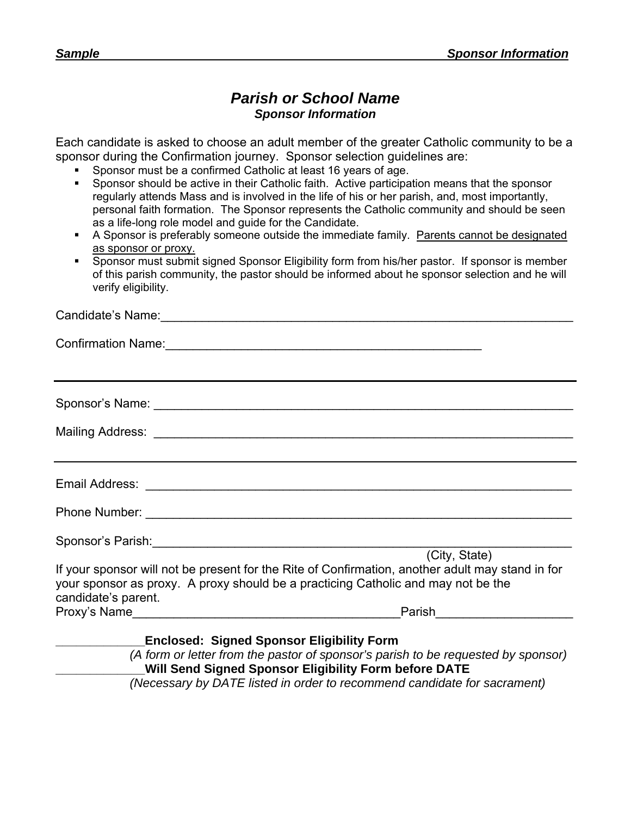### *Parish or School Name Sponsor Information*

Each candidate is asked to choose an adult member of the greater Catholic community to be a sponsor during the Confirmation journey. Sponsor selection guidelines are:

- Sponsor must be a confirmed Catholic at least 16 years of age.
- Sponsor should be active in their Catholic faith. Active participation means that the sponsor regularly attends Mass and is involved in the life of his or her parish, and, most importantly, personal faith formation. The Sponsor represents the Catholic community and should be seen as a life-long role model and guide for the Candidate.
- A Sponsor is preferably someone outside the immediate family. Parents cannot be designated as sponsor or proxy.
- **Sponsor must submit signed Sponsor Eligibility form from his/her pastor. If sponsor is member** of this parish community, the pastor should be informed about he sponsor selection and he will verify eligibility.

| ,我们也不会有什么。""我们的人,我们也不会有什么?""我们的人,我们也不会有什么?""我们的人,我们也不会有什么?""我们的人,我们也不会有什么?""我们的人                         |                                                                                                                                                   |
|----------------------------------------------------------------------------------------------------------|---------------------------------------------------------------------------------------------------------------------------------------------------|
|                                                                                                          |                                                                                                                                                   |
|                                                                                                          |                                                                                                                                                   |
|                                                                                                          | ,我们也不会有什么。""我们的人,我们也不会有什么?""我们的人,我们也不会有什么?""我们的人,我们也不会有什么?""我们的人,我们也不会有什么?""我们的人                                                                  |
|                                                                                                          |                                                                                                                                                   |
|                                                                                                          |                                                                                                                                                   |
| your sponsor as proxy. A proxy should be a practicing Catholic and may not be the<br>candidate's parent. | (City, State)<br>If your sponsor will not be present for the Rite of Confirmation, another adult may stand in for                                 |
|                                                                                                          |                                                                                                                                                   |
| <b>Enclosed: Signed Sponsor Eligibility Form</b>                                                         | (A form or letter from the pastor of sponsor's parish to be requested by sponsor)<br><b>Will Send Signed Sponsor Eligibility Form before DATE</b> |

 *(Necessary by DATE listed in order to recommend candidate for sacrament)*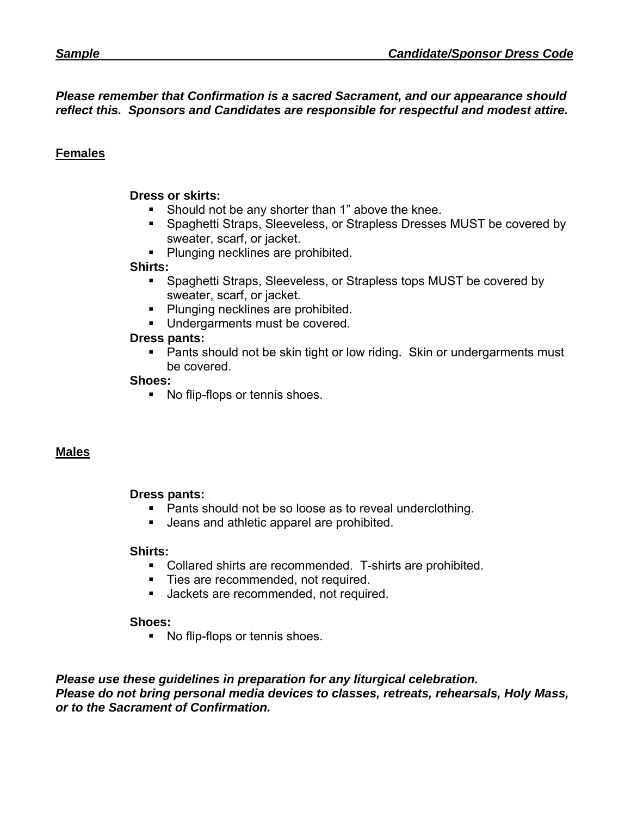*Please remember that Confirmation is a sacred Sacrament, and our appearance should reflect this. Sponsors and Candidates are responsible for respectful and modest attire.* 

#### **Females**

#### **Dress or skirts:**

- Should not be any shorter than 1" above the knee.
- Spaghetti Straps, Sleeveless, or Strapless Dresses MUST be covered by sweater, scarf, or jacket.
- Plunging necklines are prohibited.

#### **Shirts:**

- **Spaghetti Straps, Sleeveless, or Strapless tops MUST be covered by** sweater, scarf, or jacket.
- Plunging necklines are prohibited.
- Undergarments must be covered.

#### **Dress pants:**

**Pants should not be skin tight or low riding. Skin or undergarments must** be covered.

#### **Shoes:**

No flip-flops or tennis shoes.

#### **Males**

#### **Dress pants:**

- Pants should not be so loose as to reveal underclothing.
- **Jeans and athletic apparel are prohibited.**

#### **Shirts:**

- Collared shirts are recommended. T-shirts are prohibited.
- **Ties are recommended, not required.**
- **Jackets are recommended, not required.**

#### **Shoes:**

No flip-flops or tennis shoes.

#### *Please use these guidelines in preparation for any liturgical celebration.*

*Please do not bring personal media devices to classes, retreats, rehearsals, Holy Mass, or to the Sacrament of Confirmation.*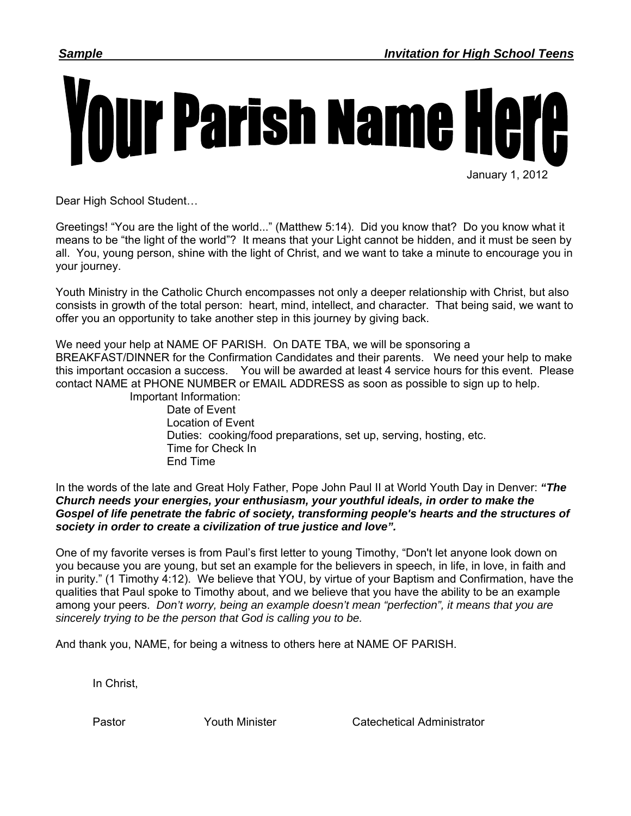

Dear High School Student…

Greetings! "You are the light of the world..." (Matthew 5:14). Did you know that? Do you know what it means to be "the light of the world"? It means that your Light cannot be hidden, and it must be seen by all. You, young person, shine with the light of Christ, and we want to take a minute to encourage you in your journey.

Youth Ministry in the Catholic Church encompasses not only a deeper relationship with Christ, but also consists in growth of the total person: heart, mind, intellect, and character. That being said, we want to offer you an opportunity to take another step in this journey by giving back.

We need your help at NAME OF PARISH. On DATE TBA, we will be sponsoring a BREAKFAST/DINNER for the Confirmation Candidates and their parents. We need your help to make this important occasion a success. You will be awarded at least 4 service hours for this event. Please contact NAME at PHONE NUMBER or EMAIL ADDRESS as soon as possible to sign up to help. Important Information:

 Date of Event Location of Event Duties: cooking/food preparations, set up, serving, hosting, etc. Time for Check In End Time

In the words of the late and Great Holy Father, Pope John Paul II at World Youth Day in Denver: *"The Church needs your energies, your enthusiasm, your youthful ideals, in order to make the Gospel of life penetrate the fabric of society, transforming people's hearts and the structures of society in order to create a civilization of true justice and love".*

One of my favorite verses is from Paul's first letter to young Timothy, "Don't let anyone look down on you because you are young, but set an example for the believers in speech, in life, in love, in faith and in purity." (1 Timothy 4:12). We believe that YOU, by virtue of your Baptism and Confirmation, have the qualities that Paul spoke to Timothy about, and we believe that you have the ability to be an example among your peers. *Don't worry, being an example doesn't mean "perfection", it means that you are sincerely trying to be the person that God is calling you to be.* 

And thank you, NAME, for being a witness to others here at NAME OF PARISH.

In Christ,

Pastor Youth Minister Catechetical Administrator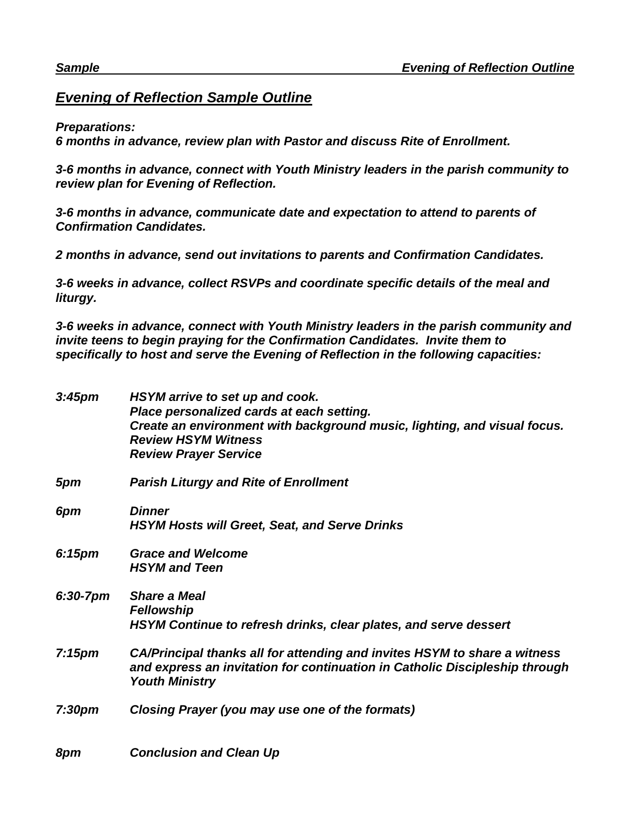# *Evening of Reflection Sample Outline*

*Preparations:* 

*6 months in advance, review plan with Pastor and discuss Rite of Enrollment.* 

*3-6 months in advance, connect with Youth Ministry leaders in the parish community to review plan for Evening of Reflection.* 

*3-6 months in advance, communicate date and expectation to attend to parents of Confirmation Candidates.* 

*2 months in advance, send out invitations to parents and Confirmation Candidates.* 

*3-6 weeks in advance, collect RSVPs and coordinate specific details of the meal and liturgy.* 

*3-6 weeks in advance, connect with Youth Ministry leaders in the parish community and invite teens to begin praying for the Confirmation Candidates. Invite them to specifically to host and serve the Evening of Reflection in the following capacities:* 

| $3:45$ pm          | HSYM arrive to set up and cook.<br>Place personalized cards at each setting.<br>Create an environment with background music, lighting, and visual focus.<br><b>Review HSYM Witness</b><br><b>Review Prayer Service</b> |
|--------------------|------------------------------------------------------------------------------------------------------------------------------------------------------------------------------------------------------------------------|
| 5pm                | <b>Parish Liturgy and Rite of Enrollment</b>                                                                                                                                                                           |
| 6pm                | <b>Dinner</b><br><b>HSYM Hosts will Greet, Seat, and Serve Drinks</b>                                                                                                                                                  |
| 6:15pm             | <b>Grace and Welcome</b><br><b>HSYM and Teen</b>                                                                                                                                                                       |
| 6:30-7pm           | <b>Share a Meal</b><br><b>Fellowship</b><br>HSYM Continue to refresh drinks, clear plates, and serve dessert                                                                                                           |
| $7:15 \text{pm}$   | CA/Principal thanks all for attending and invites HSYM to share a witness<br>and express an invitation for continuation in Catholic Discipleship through<br><b>Youth Ministry</b>                                      |
| 7:30 <sub>pm</sub> | Closing Prayer (you may use one of the formats)                                                                                                                                                                        |
| 8pm                | <b>Conclusion and Clean Up</b>                                                                                                                                                                                         |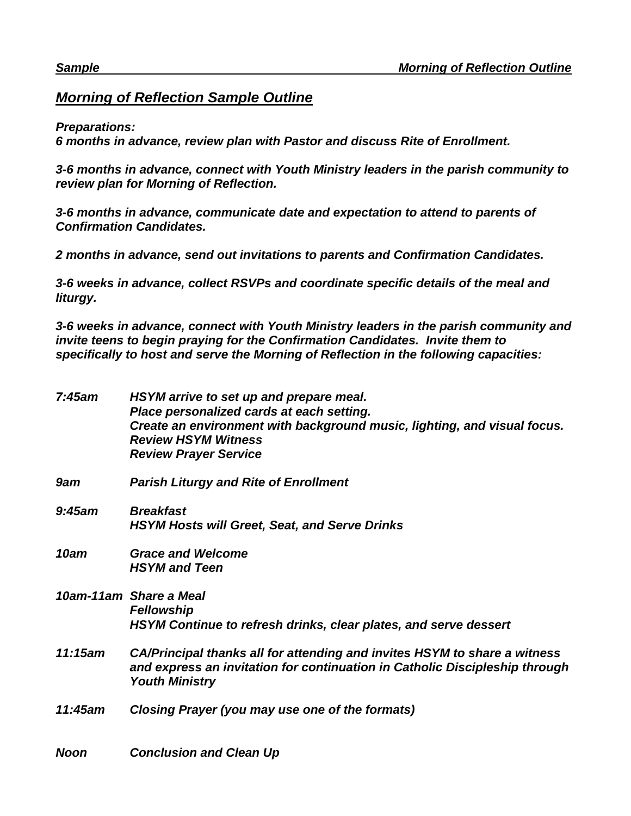# *Morning of Reflection Sample Outline*

*Preparations:* 

*6 months in advance, review plan with Pastor and discuss Rite of Enrollment.* 

*3-6 months in advance, connect with Youth Ministry leaders in the parish community to review plan for Morning of Reflection.* 

*3-6 months in advance, communicate date and expectation to attend to parents of Confirmation Candidates.* 

*2 months in advance, send out invitations to parents and Confirmation Candidates.* 

*3-6 weeks in advance, collect RSVPs and coordinate specific details of the meal and liturgy.* 

*3-6 weeks in advance, connect with Youth Ministry leaders in the parish community and invite teens to begin praying for the Confirmation Candidates. Invite them to specifically to host and serve the Morning of Reflection in the following capacities:* 

*7:45am HSYM arrive to set up and prepare meal. Place personalized cards at each setting. Create an environment with background music, lighting, and visual focus. Review HSYM Witness Review Prayer Service 9am Parish Liturgy and Rite of Enrollment 9:45am Breakfast HSYM Hosts will Greet, Seat, and Serve Drinks 10am Grace and Welcome HSYM and Teen 10am-11am Share a Meal Fellowship HSYM Continue to refresh drinks, clear plates, and serve dessert 11:15am CA/Principal thanks all for attending and invites HSYM to share a witness and express an invitation for continuation in Catholic Discipleship through Youth Ministry 11:45am Closing Prayer (you may use one of the formats) Noon Conclusion and Clean Up*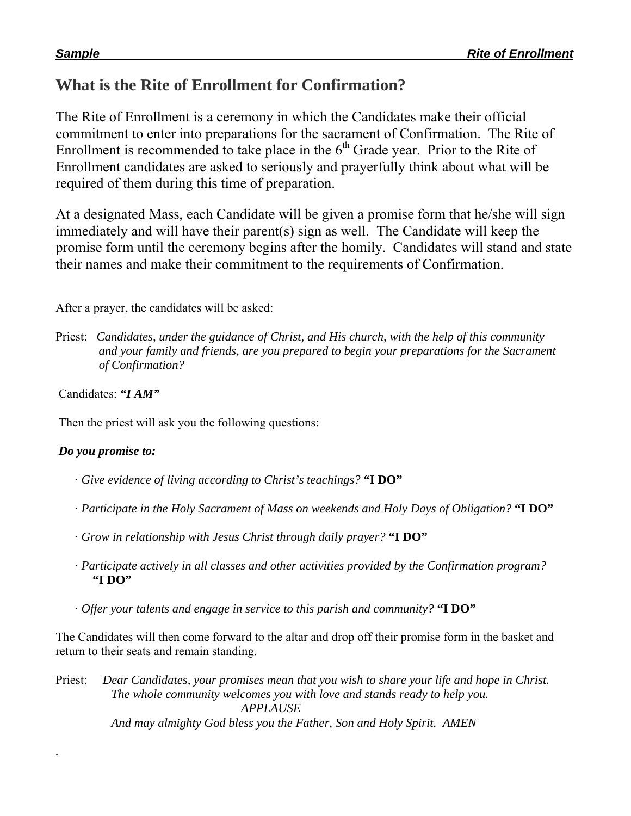# **What is the Rite of Enrollment for Confirmation?**

The Rite of Enrollment is a ceremony in which the Candidates make their official commitment to enter into preparations for the sacrament of Confirmation. The Rite of Enrollment is recommended to take place in the  $6<sup>th</sup>$  Grade year. Prior to the Rite of Enrollment candidates are asked to seriously and prayerfully think about what will be required of them during this time of preparation.

At a designated Mass, each Candidate will be given a promise form that he/she will sign immediately and will have their parent(s) sign as well. The Candidate will keep the promise form until the ceremony begins after the homily. Candidates will stand and state their names and make their commitment to the requirements of Confirmation.

After a prayer, the candidates will be asked:

Priest: *Candidates, under the guidance of Christ, and His church, with the help of this community and your family and friends, are you prepared to begin your preparations for the Sacrament of Confirmation?*

Candidates: *"I AM"*

Then the priest will ask you the following questions:

#### *Do you promise to:*

*.*

- · *Give evidence of living according to Christ's teachings?* **"I DO"**
- · *Participate in the Holy Sacrament of Mass on weekends and Holy Days of Obligation?* **"I DO"**
- · *Grow in relationship with Jesus Christ through daily prayer?* **"I DO"**
- · *Participate actively in all classes and other activities provided by the Confirmation program?* **"I DO"**
- · *Offer your talents and engage in service to this parish and community?* **"I DO"**

The Candidates will then come forward to the altar and drop off their promise form in the basket and return to their seats and remain standing.

Priest: *Dear Candidates, your promises mean that you wish to share your life and hope in Christ. The whole community welcomes you with love and stands ready to help you. APPLAUSE And may almighty God bless you the Father, Son and Holy Spirit. AMEN*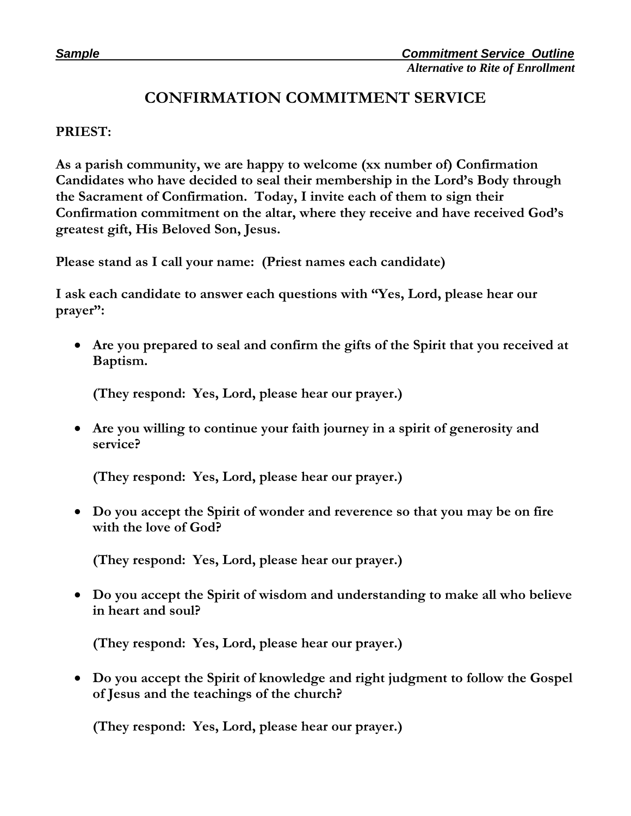# **CONFIRMATION COMMITMENT SERVICE**

#### **PRIEST:**

**As a parish community, we are happy to welcome (xx number of) Confirmation Candidates who have decided to seal their membership in the Lord's Body through the Sacrament of Confirmation. Today, I invite each of them to sign their Confirmation commitment on the altar, where they receive and have received God's greatest gift, His Beloved Son, Jesus.** 

**Please stand as I call your name: (Priest names each candidate)** 

**I ask each candidate to answer each questions with "Yes, Lord, please hear our prayer":** 

 **Are you prepared to seal and confirm the gifts of the Spirit that you received at Baptism.** 

**(They respond: Yes, Lord, please hear our prayer.)** 

 **Are you willing to continue your faith journey in a spirit of generosity and service?** 

**(They respond: Yes, Lord, please hear our prayer.)** 

 **Do you accept the Spirit of wonder and reverence so that you may be on fire with the love of God?** 

**(They respond: Yes, Lord, please hear our prayer.)** 

 **Do you accept the Spirit of wisdom and understanding to make all who believe in heart and soul?** 

**(They respond: Yes, Lord, please hear our prayer.)** 

 **Do you accept the Spirit of knowledge and right judgment to follow the Gospel of Jesus and the teachings of the church?** 

**(They respond: Yes, Lord, please hear our prayer.)**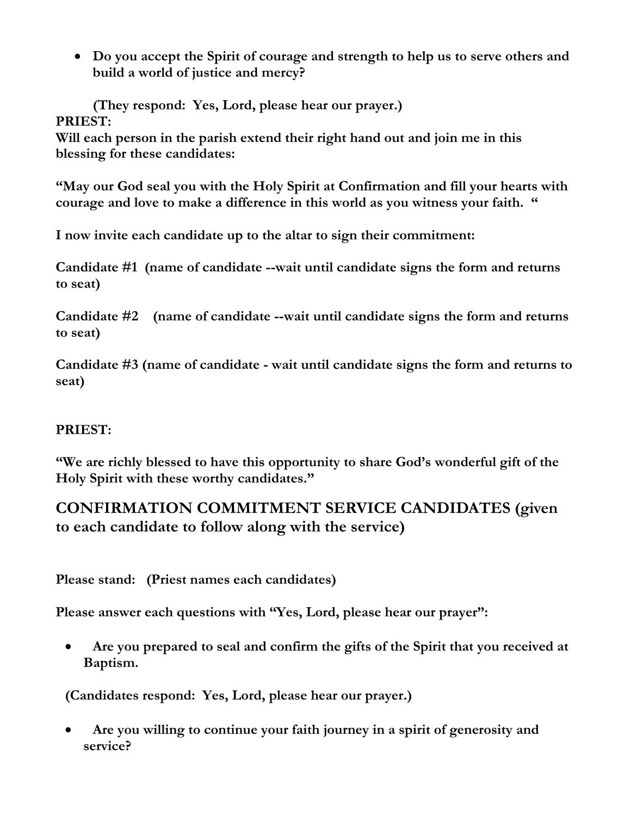**Do you accept the Spirit of courage and strength to help us to serve others and build a world of justice and mercy?** 

**(They respond: Yes, Lord, please hear our prayer.) PRIEST:** 

**Will each person in the parish extend their right hand out and join me in this blessing for these candidates:** 

**"May our God seal you with the Holy Spirit at Confirmation and fill your hearts with courage and love to make a difference in this world as you witness your faith. "** 

**I now invite each candidate up to the altar to sign their commitment:** 

**Candidate #1 (name of candidate --wait until candidate signs the form and returns to seat)** 

**Candidate #2 (name of candidate --wait until candidate signs the form and returns to seat)** 

**Candidate #3 (name of candidate - wait until candidate signs the form and returns to seat)** 

# **PRIEST:**

**"We are richly blessed to have this opportunity to share God's wonderful gift of the Holy Spirit with these worthy candidates."** 

# **CONFIRMATION COMMITMENT SERVICE CANDIDATES (given to each candidate to follow along with the service)**

**Please stand: (Priest names each candidates)** 

**Please answer each questions with "Yes, Lord, please hear our prayer":** 

 **Are you prepared to seal and confirm the gifts of the Spirit that you received at Baptism.** 

**(Candidates respond: Yes, Lord, please hear our prayer.)** 

 **Are you willing to continue your faith journey in a spirit of generosity and service?**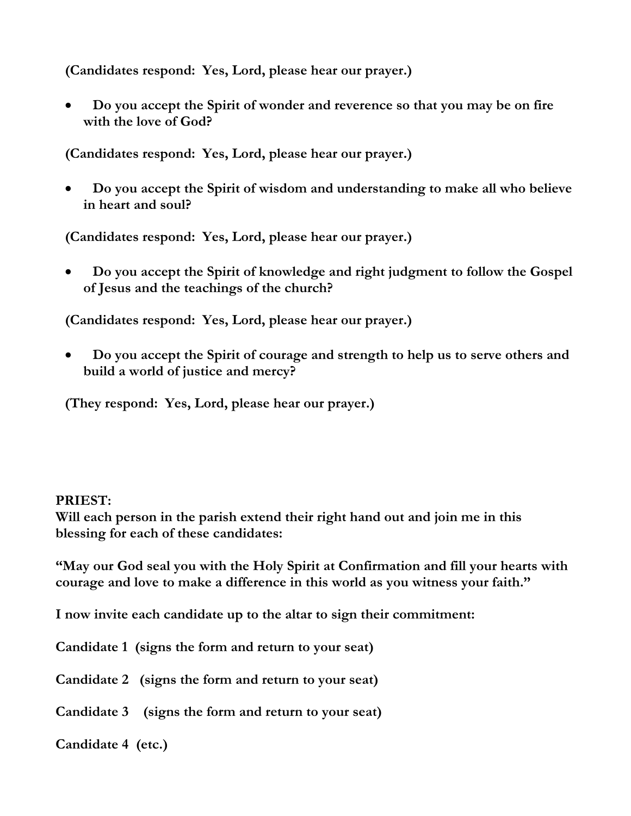**(Candidates respond: Yes, Lord, please hear our prayer.)** 

 **Do you accept the Spirit of wonder and reverence so that you may be on fire with the love of God?** 

**(Candidates respond: Yes, Lord, please hear our prayer.)** 

 **Do you accept the Spirit of wisdom and understanding to make all who believe in heart and soul?** 

**(Candidates respond: Yes, Lord, please hear our prayer.)** 

 **Do you accept the Spirit of knowledge and right judgment to follow the Gospel of Jesus and the teachings of the church?** 

**(Candidates respond: Yes, Lord, please hear our prayer.)** 

 **Do you accept the Spirit of courage and strength to help us to serve others and build a world of justice and mercy?** 

**(They respond: Yes, Lord, please hear our prayer.)** 

### **PRIEST:**

**Will each person in the parish extend their right hand out and join me in this blessing for each of these candidates:** 

**"May our God seal you with the Holy Spirit at Confirmation and fill your hearts with courage and love to make a difference in this world as you witness your faith."** 

**I now invite each candidate up to the altar to sign their commitment:** 

**Candidate 1 (signs the form and return to your seat)** 

**Candidate 2 (signs the form and return to your seat)** 

**Candidate 3 (signs the form and return to your seat)** 

**Candidate 4 (etc.)**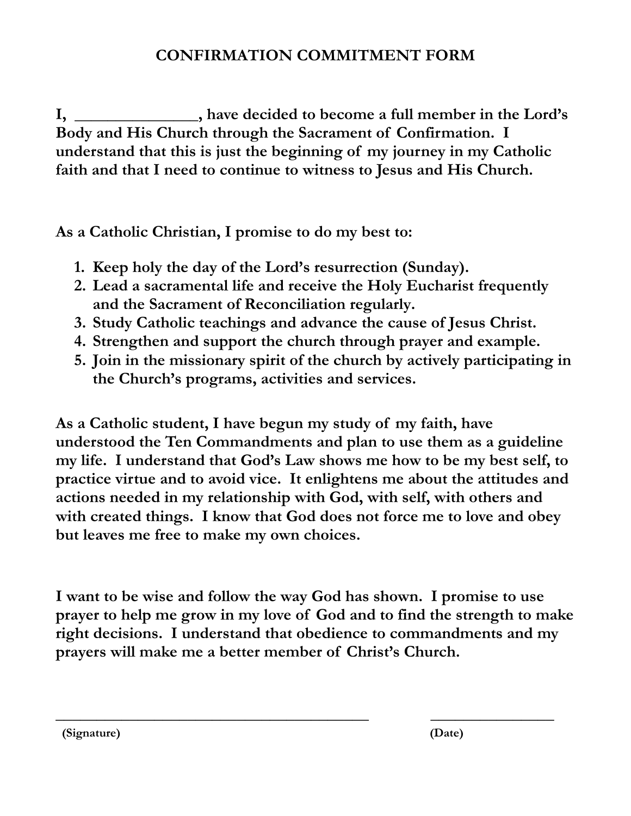# **CONFIRMATION COMMITMENT FORM**

**I, \_\_\_\_\_\_\_\_\_\_\_\_\_\_\_, have decided to become a full member in the Lord's Body and His Church through the Sacrament of Confirmation. I understand that this is just the beginning of my journey in my Catholic faith and that I need to continue to witness to Jesus and His Church.** 

**As a Catholic Christian, I promise to do my best to:** 

- **1. Keep holy the day of the Lord's resurrection (Sunday).**
- **2. Lead a sacramental life and receive the Holy Eucharist frequently and the Sacrament of Reconciliation regularly.**
- **3. Study Catholic teachings and advance the cause of Jesus Christ.**
- **4. Strengthen and support the church through prayer and example.**
- **5. Join in the missionary spirit of the church by actively participating in the Church's programs, activities and services.**

**As a Catholic student, I have begun my study of my faith, have understood the Ten Commandments and plan to use them as a guideline my life. I understand that God's Law shows me how to be my best self, to practice virtue and to avoid vice. It enlightens me about the attitudes and actions needed in my relationship with God, with self, with others and with created things. I know that God does not force me to love and obey but leaves me free to make my own choices.** 

**I want to be wise and follow the way God has shown. I promise to use prayer to help me grow in my love of God and to find the strength to make right decisions. I understand that obedience to commandments and my prayers will make me a better member of Christ's Church.** 

**\_\_\_\_\_\_\_\_\_\_\_\_\_\_\_\_\_\_\_\_\_\_\_\_\_\_\_\_\_\_\_\_\_\_\_\_\_\_ \_\_\_\_\_\_\_\_\_\_\_\_\_\_\_** 

 **(Signature) (Date)**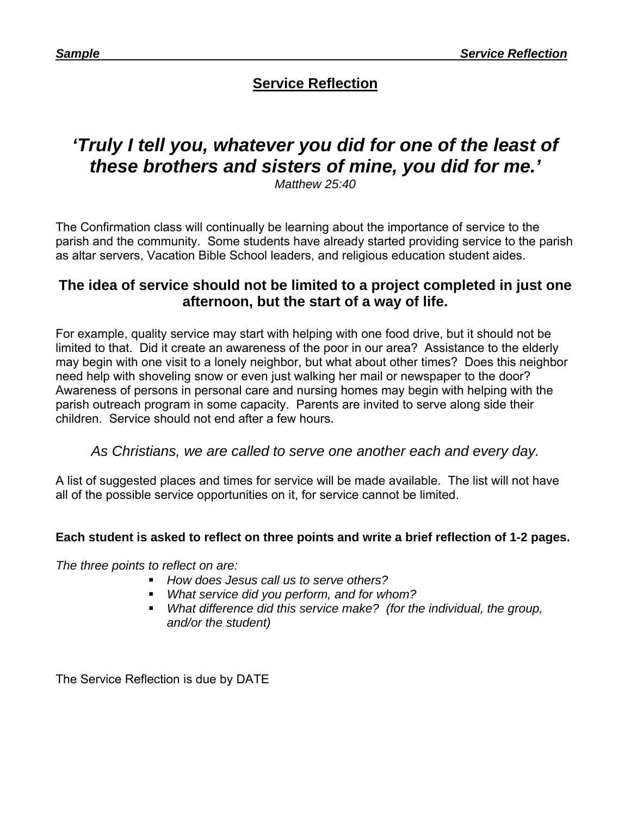# **Service Reflection**

# *'Truly I tell you, whatever you did for one of the least of these brothers and sisters of mine, you did for me.'*

*Matthew 25:40*

The Confirmation class will continually be learning about the importance of service to the parish and the community. Some students have already started providing service to the parish as altar servers, Vacation Bible School leaders, and religious education student aides.

# **The idea of service should not be limited to a project completed in just one afternoon, but the start of a way of life.**

For example, quality service may start with helping with one food drive, but it should not be limited to that. Did it create an awareness of the poor in our area? Assistance to the elderly may begin with one visit to a lonely neighbor, but what about other times? Does this neighbor need help with shoveling snow or even just walking her mail or newspaper to the door? Awareness of persons in personal care and nursing homes may begin with helping with the parish outreach program in some capacity. Parents are invited to serve along side their children. Service should not end after a few hours.

*As Christians, we are called to serve one another each and every day.*

A list of suggested places and times for service will be made available. The list will not have all of the possible service opportunities on it, for service cannot be limited.

#### **Each student is asked to reflect on three points and write a brief reflection of 1-2 pages.**

*The three points to reflect on are:* 

- *How does Jesus call us to serve others?*
- *What service did you perform, and for whom?*
- *What difference did this service make? (for the individual, the group, and/or the student)*

The Service Reflection is due by DATE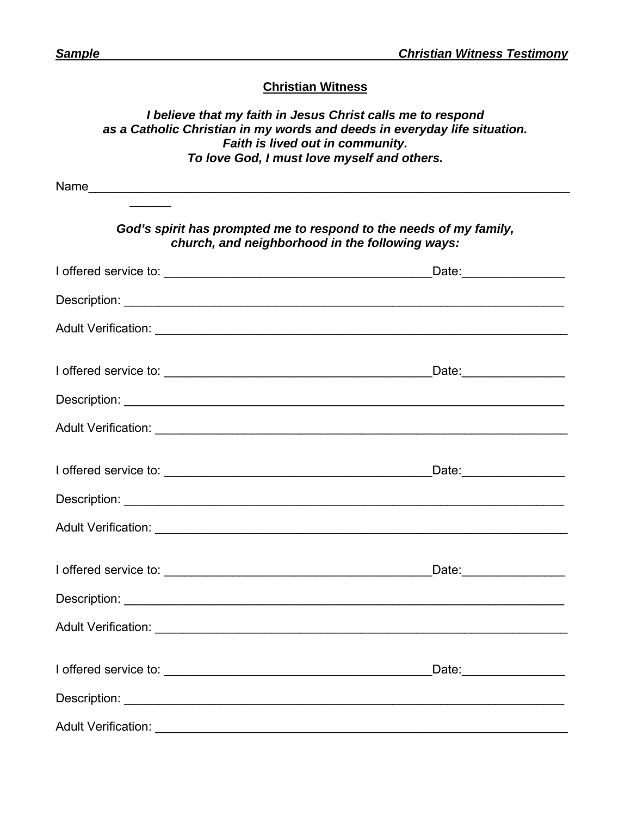### **Christian Witness**

| I believe that my faith in Jesus Christ calls me to respond<br>as a Catholic Christian in my words and deeds in everyday life situation.<br>Faith is lived out in community.<br>To love God, I must love myself and others. |                         |  |
|-----------------------------------------------------------------------------------------------------------------------------------------------------------------------------------------------------------------------------|-------------------------|--|
|                                                                                                                                                                                                                             |                         |  |
| God's spirit has prompted me to respond to the needs of my family,<br>church, and neighborhood in the following ways:                                                                                                       |                         |  |
|                                                                                                                                                                                                                             | _Date:_________________ |  |
|                                                                                                                                                                                                                             |                         |  |
|                                                                                                                                                                                                                             |                         |  |
|                                                                                                                                                                                                                             | Date:_________________  |  |
|                                                                                                                                                                                                                             |                         |  |
|                                                                                                                                                                                                                             |                         |  |
|                                                                                                                                                                                                                             |                         |  |
|                                                                                                                                                                                                                             |                         |  |
|                                                                                                                                                                                                                             |                         |  |
|                                                                                                                                                                                                                             |                         |  |
|                                                                                                                                                                                                                             |                         |  |
|                                                                                                                                                                                                                             |                         |  |
|                                                                                                                                                                                                                             | Date: _________________ |  |
|                                                                                                                                                                                                                             |                         |  |
|                                                                                                                                                                                                                             |                         |  |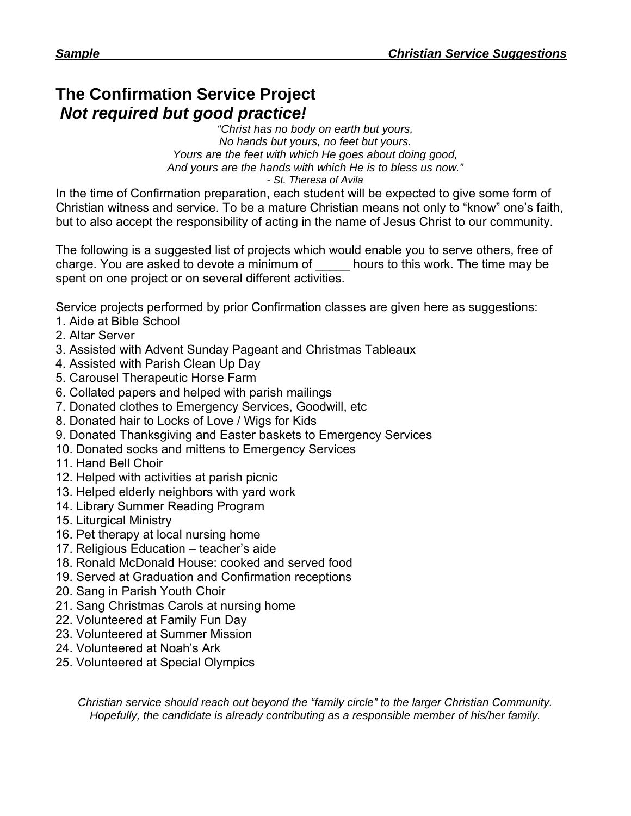# **The Confirmation Service Project**  *Not required but good practice!*

*"Christ has no body on earth but yours, No hands but yours, no feet but yours. Yours are the feet with which He goes about doing good, And yours are the hands with which He is to bless us now."*  - *St. Theresa of Avila* 

In the time of Confirmation preparation, each student will be expected to give some form of Christian witness and service. To be a mature Christian means not only to "know" one's faith, but to also accept the responsibility of acting in the name of Jesus Christ to our community.

The following is a suggested list of projects which would enable you to serve others, free of charge. You are asked to devote a minimum of \_\_\_\_\_ hours to this work. The time may be spent on one project or on several different activities.

Service projects performed by prior Confirmation classes are given here as suggestions:

- 1. Aide at Bible School
- 2. Altar Server
- 3. Assisted with Advent Sunday Pageant and Christmas Tableaux
- 4. Assisted with Parish Clean Up Day
- 5. Carousel Therapeutic Horse Farm
- 6. Collated papers and helped with parish mailings
- 7. Donated clothes to Emergency Services, Goodwill, etc
- 8. Donated hair to Locks of Love / Wigs for Kids
- 9. Donated Thanksgiving and Easter baskets to Emergency Services
- 10. Donated socks and mittens to Emergency Services
- 11. Hand Bell Choir
- 12. Helped with activities at parish picnic
- 13. Helped elderly neighbors with yard work
- 14. Library Summer Reading Program
- 15. Liturgical Ministry
- 16. Pet therapy at local nursing home
- 17. Religious Education teacher's aide
- 18. Ronald McDonald House: cooked and served food
- 19. Served at Graduation and Confirmation receptions
- 20. Sang in Parish Youth Choir
- 21. Sang Christmas Carols at nursing home
- 22. Volunteered at Family Fun Day
- 23. Volunteered at Summer Mission
- 24. Volunteered at Noah's Ark
- 25. Volunteered at Special Olympics

*Christian service should reach out beyond the "family circle" to the larger Christian Community. Hopefully, the candidate is already contributing as a responsible member of his/her family.*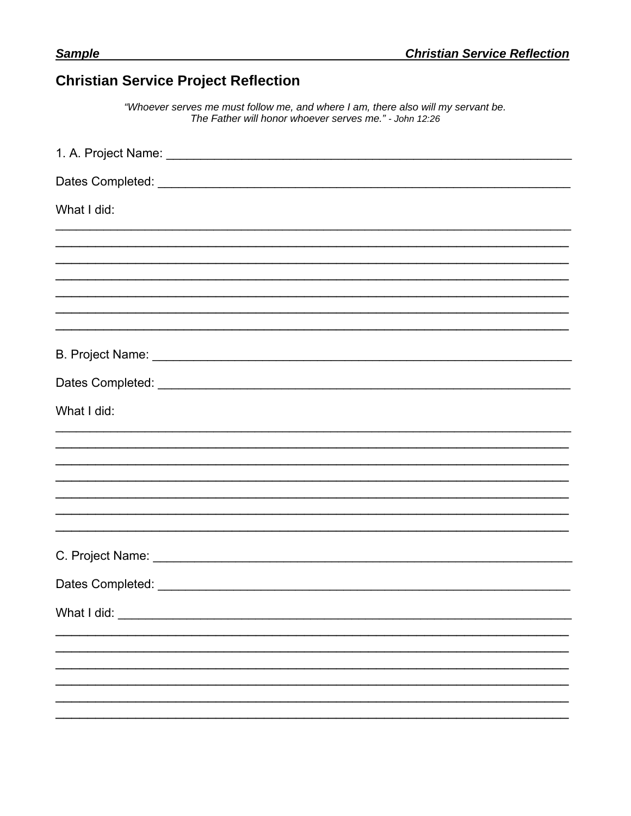| <i>sample</i> |  |
|---------------|--|
|---------------|--|

| <b>Christian Service Project Reflection</b>                                                                                                 |  |
|---------------------------------------------------------------------------------------------------------------------------------------------|--|
| "Whoever serves me must follow me, and where I am, there also will my servant be.<br>The Father will honor whoever serves me." - John 12:26 |  |
|                                                                                                                                             |  |
|                                                                                                                                             |  |
| What I did:                                                                                                                                 |  |
|                                                                                                                                             |  |
|                                                                                                                                             |  |
|                                                                                                                                             |  |
|                                                                                                                                             |  |
|                                                                                                                                             |  |
|                                                                                                                                             |  |
| What I did:                                                                                                                                 |  |
|                                                                                                                                             |  |
|                                                                                                                                             |  |
|                                                                                                                                             |  |
|                                                                                                                                             |  |
|                                                                                                                                             |  |
|                                                                                                                                             |  |
|                                                                                                                                             |  |
|                                                                                                                                             |  |
|                                                                                                                                             |  |
|                                                                                                                                             |  |
|                                                                                                                                             |  |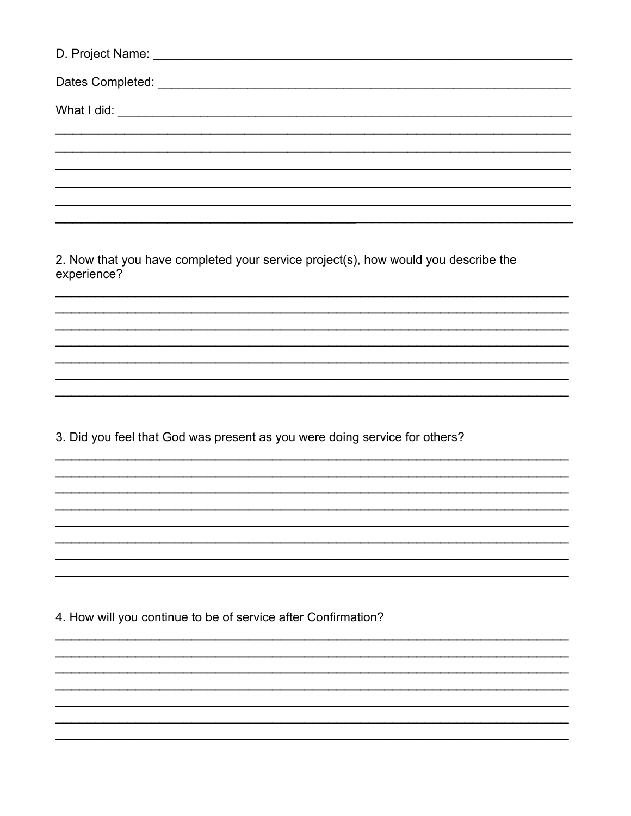| <u> 1989 - Jan Samuel Barbara, margaret eta idazlearen 1980an eta idazlearen 1980an eta idazlearen 1980an eta ida</u> |
|-----------------------------------------------------------------------------------------------------------------------|
|                                                                                                                       |
|                                                                                                                       |
|                                                                                                                       |
|                                                                                                                       |
| 2. Now that you have completed your service project(s), how would you describe the<br>experience?                     |
|                                                                                                                       |

3. Did you feel that God was present as you were doing service for others?

4. How will you continue to be of service after Confirmation?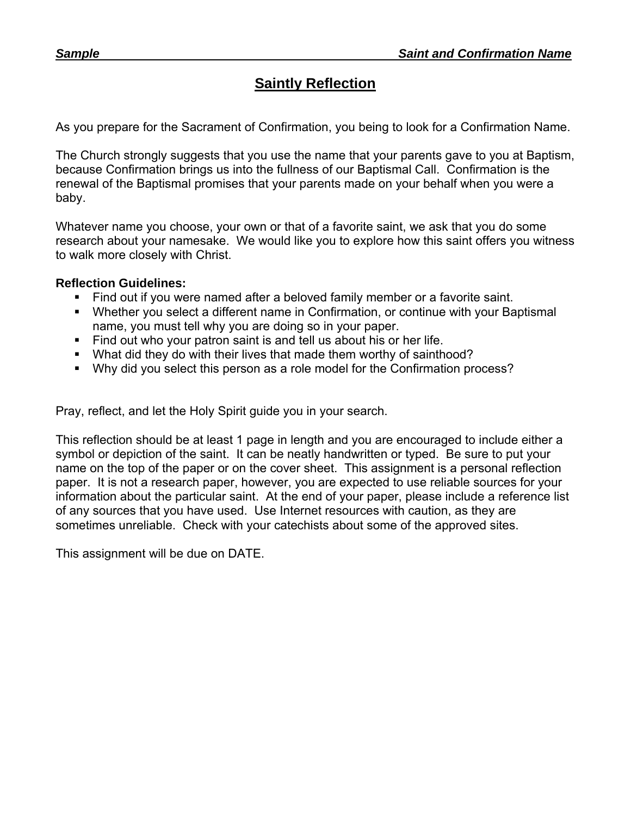# **Saintly Reflection**

As you prepare for the Sacrament of Confirmation, you being to look for a Confirmation Name.

The Church strongly suggests that you use the name that your parents gave to you at Baptism, because Confirmation brings us into the fullness of our Baptismal Call. Confirmation is the renewal of the Baptismal promises that your parents made on your behalf when you were a baby.

Whatever name you choose, your own or that of a favorite saint, we ask that you do some research about your namesake. We would like you to explore how this saint offers you witness to walk more closely with Christ.

#### **Reflection Guidelines:**

- Find out if you were named after a beloved family member or a favorite saint.
- Whether you select a different name in Confirmation, or continue with your Baptismal name, you must tell why you are doing so in your paper.
- Find out who your patron saint is and tell us about his or her life.
- What did they do with their lives that made them worthy of sainthood?
- Why did you select this person as a role model for the Confirmation process?

Pray, reflect, and let the Holy Spirit guide you in your search.

This reflection should be at least 1 page in length and you are encouraged to include either a symbol or depiction of the saint. It can be neatly handwritten or typed. Be sure to put your name on the top of the paper or on the cover sheet. This assignment is a personal reflection paper. It is not a research paper, however, you are expected to use reliable sources for your information about the particular saint. At the end of your paper, please include a reference list of any sources that you have used. Use Internet resources with caution, as they are sometimes unreliable. Check with your catechists about some of the approved sites.

This assignment will be due on DATE.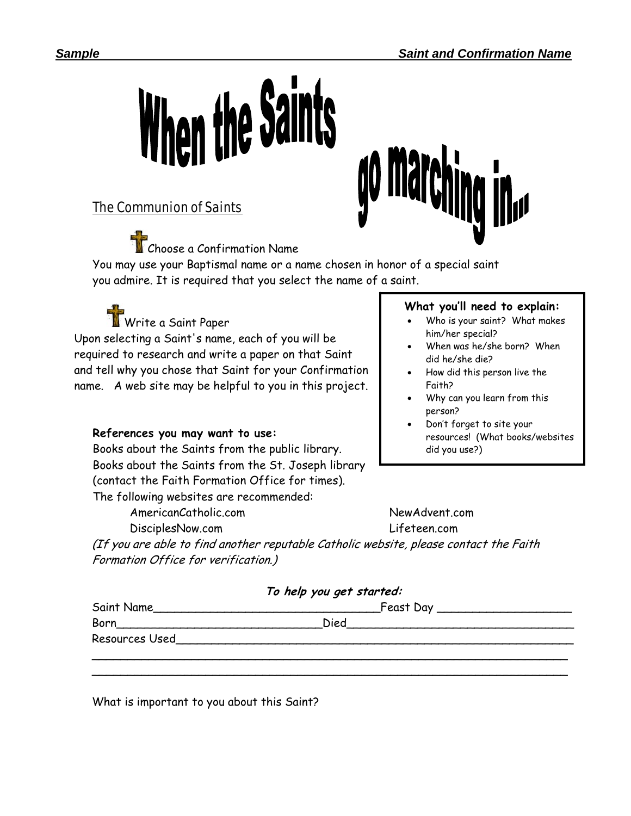

# The Communion of Saints

**Choose a Confirmation Name**  You may use your Baptismal name or a name chosen in honor of a special saint you admire. It is required that you select the name of a saint.

**Write a Saint Paper** Upon selecting a Saint's name, each of you will be required to research and write a paper on that Saint and tell why you chose that Saint for your Confirmation name. A web site may be helpful to you in this project.

#### **References you may want to use:**

Books about the Saints from the public library. Books about the Saints from the St. Joseph library (contact the Faith Formation Office for times). The following websites are recommended:

> AmericanCatholic.com NewAdvent.com DisciplesNow.com Lifeteen.com

(If you are able to find another reputable Catholic website, please contact the Faith Formation Office for verification.)

|                | To help you get started: |  |
|----------------|--------------------------|--|
| Saint Name     | $\sqrt{2}$ Feast Day     |  |
| Born           | Died                     |  |
| Resources Used |                          |  |
|                |                          |  |

 $\overline{\phantom{a}}$  , and the components of the components of the components of the components of the components of the components of the components of the components of the components of the components of the components of the c

What is important to you about this Saint?

#### **What you'll need to explain:**

- Who is your saint? What makes him/her special?
- When was he/she born? When did he/she die?
- How did this person live the Faith?
- Why can you learn from this person?
- Don't forget to site your resources! (What books/websites did you use?)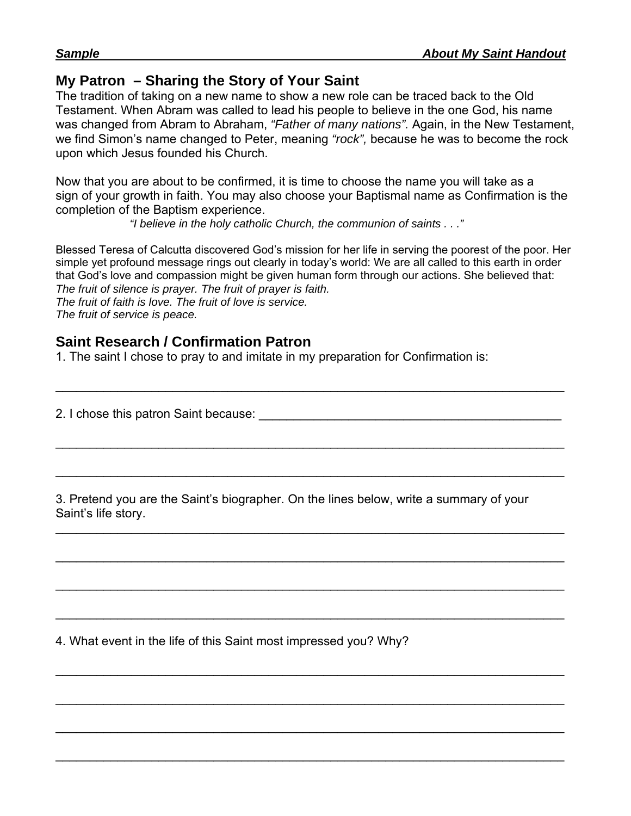# **My Patron – Sharing the Story of Your Saint**

The tradition of taking on a new name to show a new role can be traced back to the Old Testament. When Abram was called to lead his people to believe in the one God, his name was changed from Abram to Abraham, *"Father of many nations".* Again, in the New Testament, we find Simon's name changed to Peter, meaning *"rock",* because he was to become the rock upon which Jesus founded his Church.

Now that you are about to be confirmed, it is time to choose the name you will take as a sign of your growth in faith. You may also choose your Baptismal name as Confirmation is the completion of the Baptism experience.

*"I believe in the holy catholic Church, the communion of saints . . ."* 

Blessed Teresa of Calcutta discovered God's mission for her life in serving the poorest of the poor. Her simple yet profound message rings out clearly in today's world: We are all called to this earth in order that God's love and compassion might be given human form through our actions. She believed that: *The fruit of silence is prayer. The fruit of prayer is faith. The fruit of faith is love. The fruit of love is service. The fruit of service is peace.* 

\_\_\_\_\_\_\_\_\_\_\_\_\_\_\_\_\_\_\_\_\_\_\_\_\_\_\_\_\_\_\_\_\_\_\_\_\_\_\_\_\_\_\_\_\_\_\_\_\_\_\_\_\_\_\_\_\_\_\_\_\_\_\_\_\_\_\_\_\_\_\_\_\_\_

\_\_\_\_\_\_\_\_\_\_\_\_\_\_\_\_\_\_\_\_\_\_\_\_\_\_\_\_\_\_\_\_\_\_\_\_\_\_\_\_\_\_\_\_\_\_\_\_\_\_\_\_\_\_\_\_\_\_\_\_\_\_\_\_\_\_\_\_\_\_\_\_\_\_

\_\_\_\_\_\_\_\_\_\_\_\_\_\_\_\_\_\_\_\_\_\_\_\_\_\_\_\_\_\_\_\_\_\_\_\_\_\_\_\_\_\_\_\_\_\_\_\_\_\_\_\_\_\_\_\_\_\_\_\_\_\_\_\_\_\_\_\_\_\_\_\_\_\_

\_\_\_\_\_\_\_\_\_\_\_\_\_\_\_\_\_\_\_\_\_\_\_\_\_\_\_\_\_\_\_\_\_\_\_\_\_\_\_\_\_\_\_\_\_\_\_\_\_\_\_\_\_\_\_\_\_\_\_\_\_\_\_\_\_\_\_\_\_\_\_\_\_\_

 $\mathcal{L}_\text{max}$  and  $\mathcal{L}_\text{max}$  and  $\mathcal{L}_\text{max}$  and  $\mathcal{L}_\text{max}$  and  $\mathcal{L}_\text{max}$  and  $\mathcal{L}_\text{max}$ 

\_\_\_\_\_\_\_\_\_\_\_\_\_\_\_\_\_\_\_\_\_\_\_\_\_\_\_\_\_\_\_\_\_\_\_\_\_\_\_\_\_\_\_\_\_\_\_\_\_\_\_\_\_\_\_\_\_\_\_\_\_\_\_\_\_\_\_\_\_\_\_\_\_\_

\_\_\_\_\_\_\_\_\_\_\_\_\_\_\_\_\_\_\_\_\_\_\_\_\_\_\_\_\_\_\_\_\_\_\_\_\_\_\_\_\_\_\_\_\_\_\_\_\_\_\_\_\_\_\_\_\_\_\_\_\_\_\_\_\_\_\_\_\_\_\_\_\_\_

\_\_\_\_\_\_\_\_\_\_\_\_\_\_\_\_\_\_\_\_\_\_\_\_\_\_\_\_\_\_\_\_\_\_\_\_\_\_\_\_\_\_\_\_\_\_\_\_\_\_\_\_\_\_\_\_\_\_\_\_\_\_\_\_\_\_\_\_\_\_\_\_\_\_

 $\_$ 

\_\_\_\_\_\_\_\_\_\_\_\_\_\_\_\_\_\_\_\_\_\_\_\_\_\_\_\_\_\_\_\_\_\_\_\_\_\_\_\_\_\_\_\_\_\_\_\_\_\_\_\_\_\_\_\_\_\_\_\_\_\_\_\_\_\_\_\_\_\_\_\_\_\_

\_\_\_\_\_\_\_\_\_\_\_\_\_\_\_\_\_\_\_\_\_\_\_\_\_\_\_\_\_\_\_\_\_\_\_\_\_\_\_\_\_\_\_\_\_\_\_\_\_\_\_\_\_\_\_\_\_\_\_\_\_\_\_\_\_\_\_\_\_\_\_\_\_\_

### **Saint Research / Confirmation Patron**

1. The saint I chose to pray to and imitate in my preparation for Confirmation is:

2. I chose this patron Saint because:  $\blacksquare$ 

3. Pretend you are the Saint's biographer. On the lines below, write a summary of your Saint's life story.

4. What event in the life of this Saint most impressed you? Why?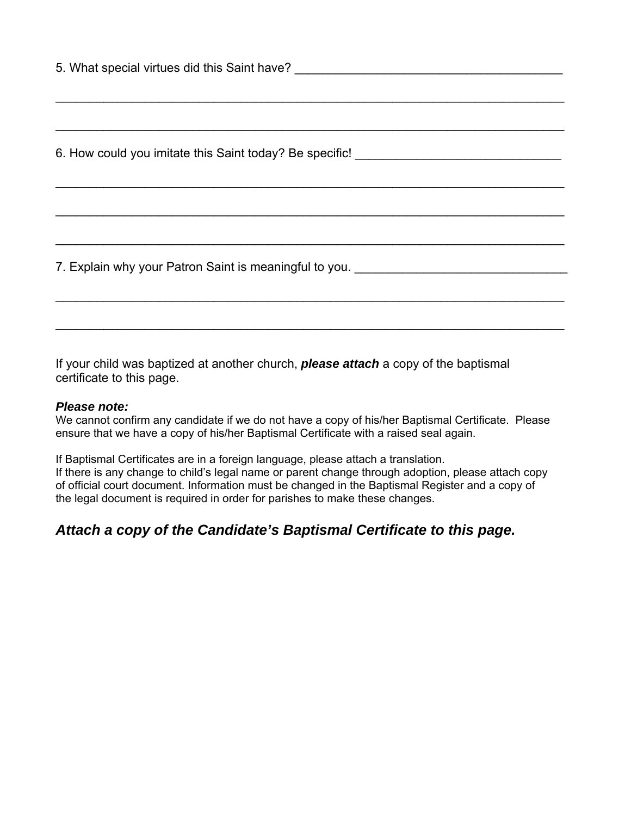| 6. How could you imitate this Saint today? Be specific! _________________________           |
|---------------------------------------------------------------------------------------------|
|                                                                                             |
| 7. Explain why your Patron Saint is meaningful to you. <u>Cambron and the manual proper</u> |

If your child was baptized at another church, *please attach* a copy of the baptismal certificate to this page.

#### *Please note:*

We cannot confirm any candidate if we do not have a copy of his/her Baptismal Certificate. Please ensure that we have a copy of his/her Baptismal Certificate with a raised seal again.

\_\_\_\_\_\_\_\_\_\_\_\_\_\_\_\_\_\_\_\_\_\_\_\_\_\_\_\_\_\_\_\_\_\_\_\_\_\_\_\_\_\_\_\_\_\_\_\_\_\_\_\_\_\_\_\_\_\_\_\_\_\_\_\_\_\_\_\_\_\_\_\_\_\_

If Baptismal Certificates are in a foreign language, please attach a translation. If there is any change to child's legal name or parent change through adoption, please attach copy of official court document. Information must be changed in the Baptismal Register and a copy of the legal document is required in order for parishes to make these changes.

### *Attach a copy of the Candidate's Baptismal Certificate to this page.*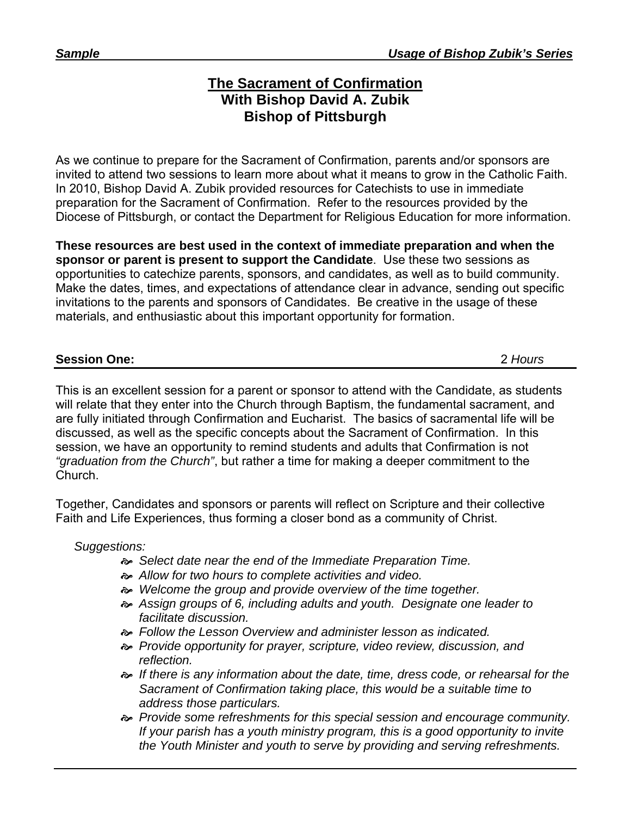# **The Sacrament of Confirmation With Bishop David A. Zubik Bishop of Pittsburgh**

As we continue to prepare for the Sacrament of Confirmation, parents and/or sponsors are invited to attend two sessions to learn more about what it means to grow in the Catholic Faith. In 2010, Bishop David A. Zubik provided resources for Catechists to use in immediate preparation for the Sacrament of Confirmation. Refer to the resources provided by the Diocese of Pittsburgh, or contact the Department for Religious Education for more information.

**These resources are best used in the context of immediate preparation and when the sponsor or parent is present to support the Candidate**. Use these two sessions as opportunities to catechize parents, sponsors, and candidates, as well as to build community. Make the dates, times, and expectations of attendance clear in advance, sending out specific invitations to the parents and sponsors of Candidates. Be creative in the usage of these materials, and enthusiastic about this important opportunity for formation.

#### **Session One:** 2 *Hours*

This is an excellent session for a parent or sponsor to attend with the Candidate, as students will relate that they enter into the Church through Baptism, the fundamental sacrament, and are fully initiated through Confirmation and Eucharist. The basics of sacramental life will be discussed, as well as the specific concepts about the Sacrament of Confirmation. In this session, we have an opportunity to remind students and adults that Confirmation is not *"graduation from the Church"*, but rather a time for making a deeper commitment to the Church.

Together, Candidates and sponsors or parents will reflect on Scripture and their collective Faith and Life Experiences, thus forming a closer bond as a community of Christ.

#### *Suggestions:*

- *Select date near the end of the Immediate Preparation Time.*
- *Allow for two hours to complete activities and video.*
- *Welcome the group and provide overview of the time together.*
- *Assign groups of 6, including adults and youth. Designate one leader to facilitate discussion.*
- *Follow the Lesson Overview and administer lesson as indicated.*
- *Provide opportunity for prayer, scripture, video review, discussion, and reflection.*
- *If there is any information about the date, time, dress code, or rehearsal for the Sacrament of Confirmation taking place, this would be a suitable time to address those particulars.*
- *Provide some refreshments for this special session and encourage community. If your parish has a youth ministry program, this is a good opportunity to invite the Youth Minister and youth to serve by providing and serving refreshments.*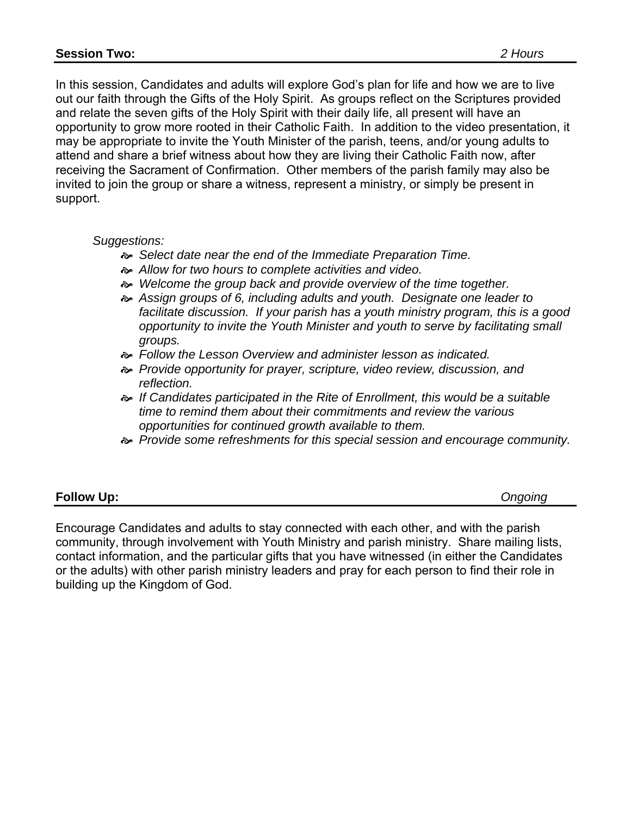In this session, Candidates and adults will explore God's plan for life and how we are to live out our faith through the Gifts of the Holy Spirit. As groups reflect on the Scriptures provided and relate the seven gifts of the Holy Spirit with their daily life, all present will have an opportunity to grow more rooted in their Catholic Faith. In addition to the video presentation, it may be appropriate to invite the Youth Minister of the parish, teens, and/or young adults to attend and share a brief witness about how they are living their Catholic Faith now, after receiving the Sacrament of Confirmation. Other members of the parish family may also be invited to join the group or share a witness, represent a ministry, or simply be present in support.

### *Suggestions:*

- *Select date near the end of the Immediate Preparation Time.*
- *Allow for two hours to complete activities and video.*
- *Welcome the group back and provide overview of the time together.*
- *Assign groups of 6, including adults and youth. Designate one leader to facilitate discussion. If your parish has a youth ministry program, this is a good opportunity to invite the Youth Minister and youth to serve by facilitating small groups.*
- *Follow the Lesson Overview and administer lesson as indicated.*
- *Provide opportunity for prayer, scripture, video review, discussion, and reflection.*
- *If Candidates participated in the Rite of Enrollment, this would be a suitable time to remind them about their commitments and review the various opportunities for continued growth available to them.*
- *Provide some refreshments for this special session and encourage community.*

### **Follow Up:** *Ongoing*

Encourage Candidates and adults to stay connected with each other, and with the parish community, through involvement with Youth Ministry and parish ministry. Share mailing lists, contact information, and the particular gifts that you have witnessed (in either the Candidates or the adults) with other parish ministry leaders and pray for each person to find their role in building up the Kingdom of God.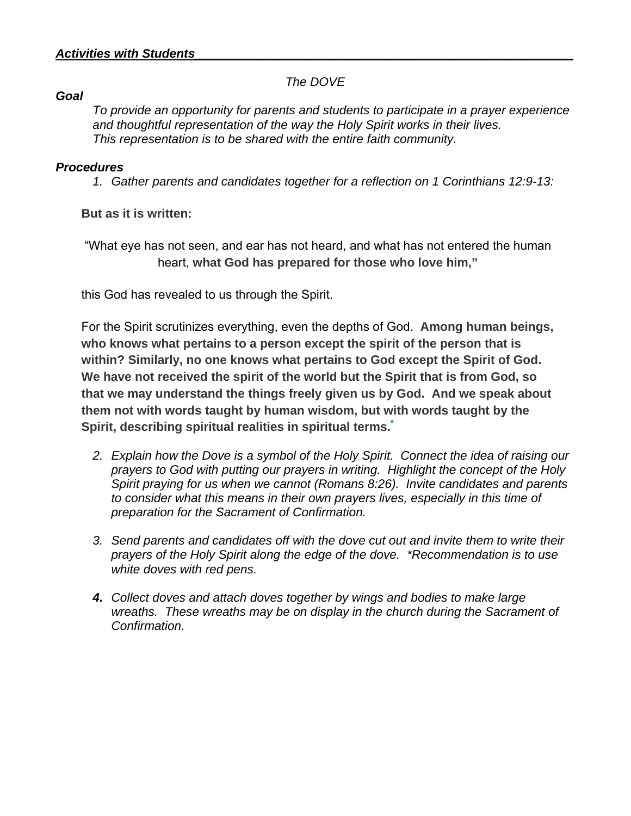### Activities with Students

### *The DOVE*

### *Goal*

*To provide an opportunity for parents and students to participate in a prayer experience and thoughtful representation of the way the Holy Spirit works in their lives. This representation is to be shared with the entire faith community.* 

### *Procedures*

*1. Gather parents and candidates together for a reflection on 1 Corinthians 12:9-13:* 

**But as it is written:** 

"What eye has not seen, and ear has not heard, and what has not entered the human heart, **what God has prepared for those who love him,"**

this God has revealed to us through the Spirit.

For the Spirit scrutinizes everything, even the depths of God. **Among human beings, who knows what pertains to a person except the spirit of the person that is within? Similarly, no one knows what pertains to God except the Spirit of God. We have not received the spirit of the world but the Spirit that is from God, so that we may understand the things freely given us by God. And we speak about them not with words taught by human wisdom, but with words taught by the Spirit, describing spiritual realities in spiritual terms[.\\*](http://www.usccb.org/bible/1corinthians/2/#54002013-1#54002013-1)**

- *2. Explain how the Dove is a symbol of the Holy Spirit. Connect the idea of raising our prayers to God with putting our prayers in writing. Highlight the concept of the Holy Spirit praying for us when we cannot (Romans 8:26). Invite candidates and parents to consider what this means in their own prayers lives, especially in this time of preparation for the Sacrament of Confirmation.*
- *3. Send parents and candidates off with the dove cut out and invite them to write their prayers of the Holy Spirit along the edge of the dove. \*Recommendation is to use white doves with red pens.*
- *4. Collect doves and attach doves together by wings and bodies to make large wreaths. These wreaths may be on display in the church during the Sacrament of Confirmation.*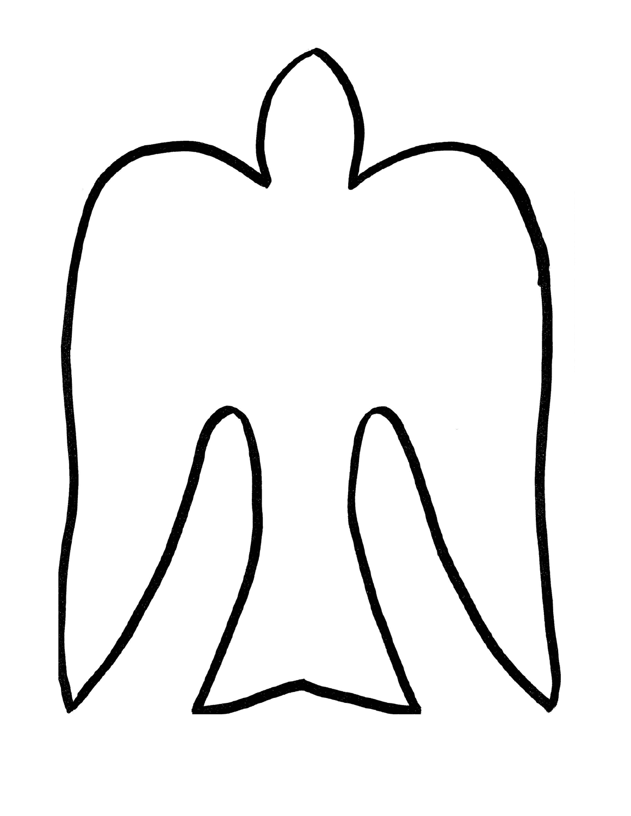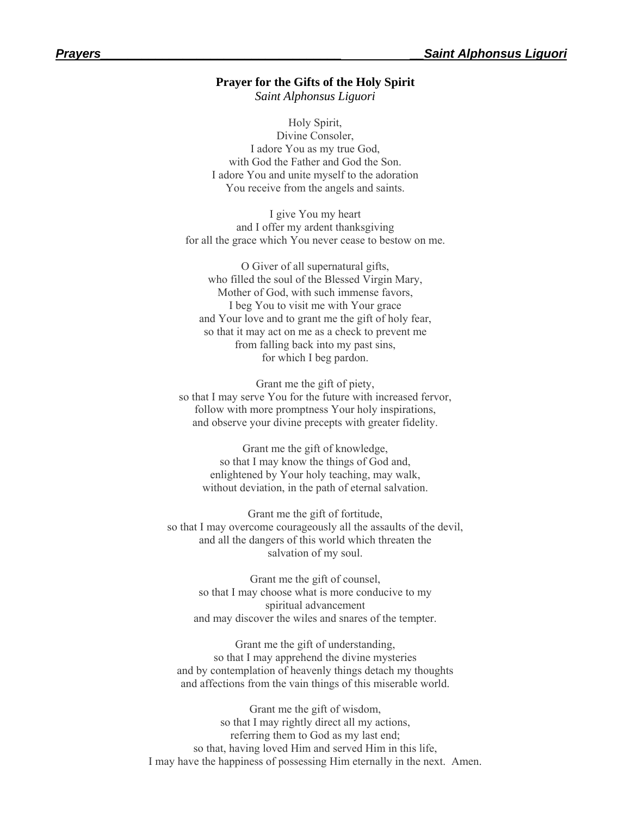### **Prayer for the Gifts of the Holy Spirit**

*Saint Alphonsus Liguori* 

Holy Spirit, Divine Consoler, I adore You as my true God, with [God](http://www.catholic.org/encyclopedia/view.php?id=5217) the Father and [God](http://www.catholic.org/encyclopedia/view.php?id=5217) the Son. I adore You and unite myself to the [adoration](http://www.catholic.org/encyclopedia/view.php?id=228) You receive from the [angels](http://www.catholic.org/saints/angel.php) and saints.

I give You my heart and I offer my ardent thanksgiving for all the [grace](http://www.catholic.org/encyclopedia/view.php?id=5305) which You never cease to bestow on me.

O Giver of all [supernatural](http://www.catholic.org/encyclopedia/view.php?id=11159) gifts, who filled the [soul](http://www.catholic.org/encyclopedia/view.php?id=10963) of the Blessed Virgin Mary, Mother of God, with such immense favors, I beg You to visit me with Your [grace](http://www.catholic.org/encyclopedia/view.php?id=5305)  and Your love and to grant me the gift of holy fear, so that it may act on me as a check to prevent me from falling back into my past sins, for which I beg pardon.

Grant me the gift of piety, so that I may serve You for the future with increased fervor, follow with more promptness Your holy inspirations, and observe your divine precepts with greater fidelity.

Grant me the gift of knowledge, so that I may know the things of [God](http://www.catholic.org/encyclopedia/view.php?id=5217) and, enlightened by Your holy teaching, may walk, without deviation, in the path of eternal salvation.

Grant me the gift of fortitude, so that I may overcome courageously all the assaults of the devil, and all the dangers of this world which threaten the salvation of my soul.

Grant me the gift of counsel, so that I may choose what is more conducive to my spiritual advancement and may discover the wiles and snares of the tempter.

Grant me the gift of understanding, so that I may apprehend the divine mysteries and by [contemplation](http://www.catholic.org/encyclopedia/view.php?id=3316) of heavenly things detach my thoughts and affections from the vain things of this miserable world.

Grant me the gift of wisdom, so that I may rightly direct all my actions, referring them to [God](http://www.catholic.org/encyclopedia/view.php?id=5217) as my last end; so that, having loved Him and served Him in this life, I may have the [happiness](http://www.catholic.org/encyclopedia/view.php?id=5521) of possessing Him eternally in the next. Amen.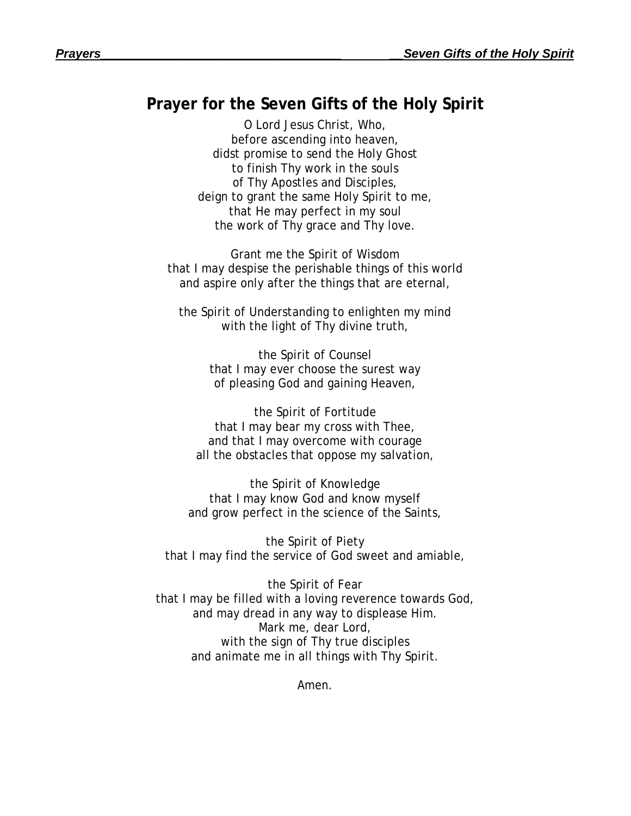### **Prayer for the Seven Gifts of the Holy Spirit**

O Lord Jesus Christ, Who, before ascending into heaven, didst promise to send the Holy Ghost to finish Thy work in the souls of Thy Apostles and Disciples, deign to grant the same Holy Spirit to me, that He may perfect in my soul the work of Thy grace and Thy love.

Grant me the Spirit of Wisdom that I may despise the perishable things of this world and aspire only after the things that are eternal,

the Spirit of Understanding to enlighten my mind with the light of Thy divine truth,

> the Spirit of Counsel that I may ever choose the surest way of pleasing God and gaining Heaven,

the Spirit of Fortitude that I may bear my cross with Thee, and that I may overcome with courage all the obstacles that oppose my salvation,

the Spirit of Knowledge that I may know God and know myself and grow perfect in the science of the Saints,

the Spirit of Piety that I may find the service of God sweet and amiable,

the Spirit of Fear that I may be filled with a loving reverence towards God, and may dread in any way to displease Him. Mark me, dear Lord, with the sign of Thy true disciples and animate me in all things with Thy Spirit.

Amen.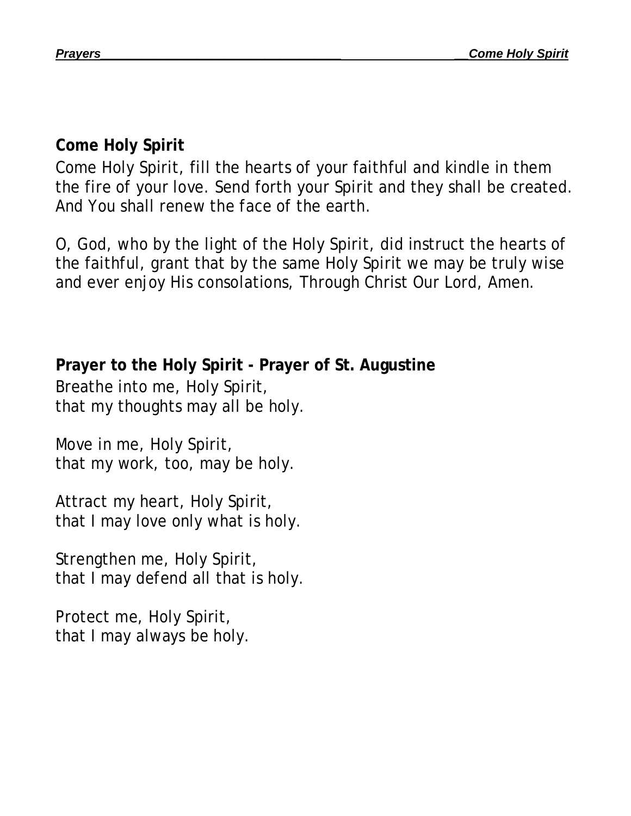### **Come Holy Spirit**

Come Holy Spirit, fill the hearts of your faithful and kindle in them the fire of your love. Send forth your [Spirit](http://www.catholic.org/encyclopedia/view.php?id=11004) and they shall be created. And You shall renew the face of the earth.

O, God, who by the light of the Holy Spirit, did instruct the hearts of the faithful, grant that by the same [Holy Spirit](http://www.catholic.org/encyclopedia/view.php?id=5854) we may be truly wise and ever enjoy His consolations, Through [Christ](http://www.catholic.org/clife/jesus) Our Lord, Amen.

**Prayer to the Holy Spirit - Prayer of St. Augustine**  Breathe into me, Holy Spirit, that my thoughts may all be holy.

Move in me, Holy Spirit, that my work, too, may be holy.

Attract my heart, Holy Spirit, that I may love only what is holy.

Strengthen me, Holy Spirit, that I may defend all that is holy.

Protect me, Holy Spirit, that I may always be holy.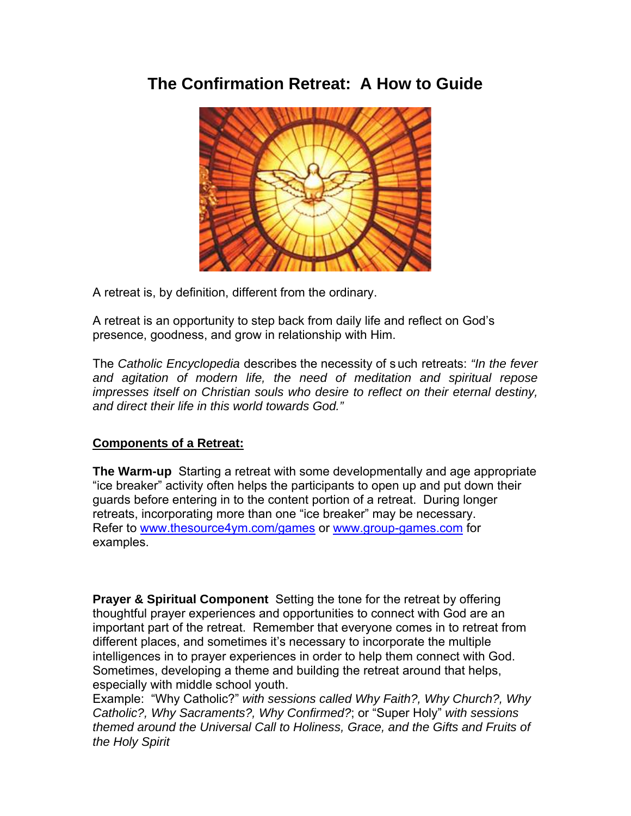### **The Confirmation Retreat: A How to Guide**



A retreat is, by definition, different from the ordinary.

A retreat is an opportunity to step back from daily life and reflect on God's presence, goodness, and grow in relationship with Him.

The *Catholic Encyclopedia* describes the necessity of s uch retreats: *"In the fever and agitation of modern life, the need of meditation and spiritual repose impresses itself on Christian souls who desire to reflect on their eternal destiny, and direct their life in this world towards God."* 

### **Components of a Retreat:**

**The Warm-up** Starting a retreat with some developmentally and age appropriate "ice breaker" activity often helps the participants to open up and put down their guards before entering in to the content portion of a retreat. During longer retreats, incorporating more than one "ice breaker" may be necessary. Refer to [www.thesource4ym.com/games](http://www.thesource4ym.com/games) or [www.group-games.com](http://www.group-games.com/) for examples.

**Prayer & Spiritual Component** Setting the tone for the retreat by offering thoughtful prayer experiences and opportunities to connect with God are an important part of the retreat. Remember that everyone comes in to retreat from different places, and sometimes it's necessary to incorporate the multiple intelligences in to prayer experiences in order to help them connect with God. Sometimes, developing a theme and building the retreat around that helps, especially with middle school youth.

Example: "Why Catholic?" *with sessions called Why Faith?, Why Church?, Why Catholic?, Why Sacraments?, Why Confirmed?*; or "Super Holy" *with sessions themed around the Universal Call to Holiness, Grace, and the Gifts and Fruits of the Holy Spirit*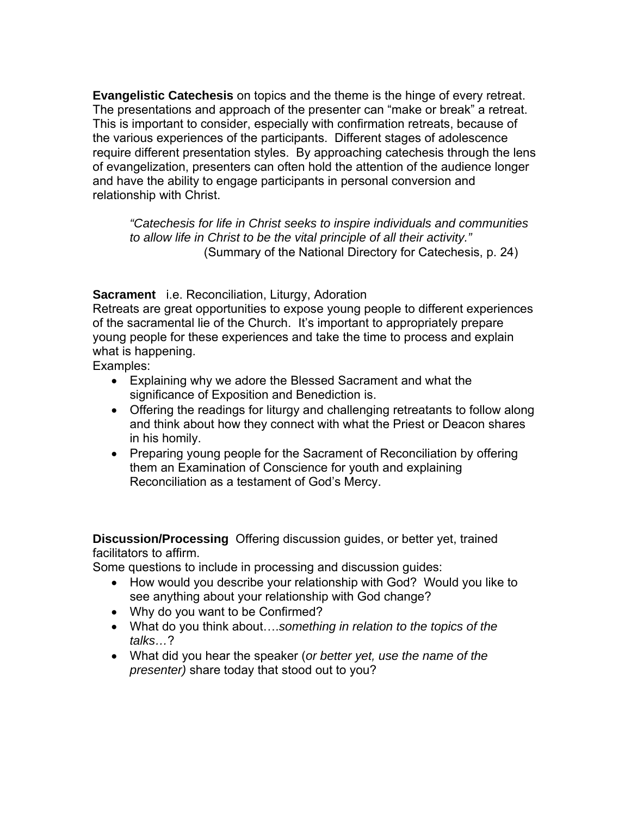**Evangelistic Catechesis** on topics and the theme is the hinge of every retreat. The presentations and approach of the presenter can "make or break" a retreat. This is important to consider, especially with confirmation retreats, because of the various experiences of the participants. Different stages of adolescence require different presentation styles. By approaching catechesis through the lens of evangelization, presenters can often hold the attention of the audience longer and have the ability to engage participants in personal conversion and relationship with Christ.

*"Catechesis for life in Christ seeks to inspire individuals and communities to allow life in Christ to be the vital principle of all their activity."*  (Summary of the National Directory for Catechesis, p. 24)

**Sacrament** i.e. Reconciliation, Liturgy, Adoration

Retreats are great opportunities to expose young people to different experiences of the sacramental lie of the Church. It's important to appropriately prepare young people for these experiences and take the time to process and explain what is happening.

Examples:

- Explaining why we adore the Blessed Sacrament and what the significance of Exposition and Benediction is.
- Offering the readings for liturgy and challenging retreatants to follow along and think about how they connect with what the Priest or Deacon shares in his homily.
- Preparing young people for the Sacrament of Reconciliation by offering them an Examination of Conscience for youth and explaining Reconciliation as a testament of God's Mercy.

**Discussion/Processing** Offering discussion guides, or better yet, trained facilitators to affirm.

Some questions to include in processing and discussion guides:

- How would you describe your relationship with God? Would you like to see anything about your relationship with God change?
- Why do you want to be Confirmed?
- What do you think about….*something in relation to the topics of the talks…*?
- What did you hear the speaker (*or better yet, use the name of the presenter)* share today that stood out to you?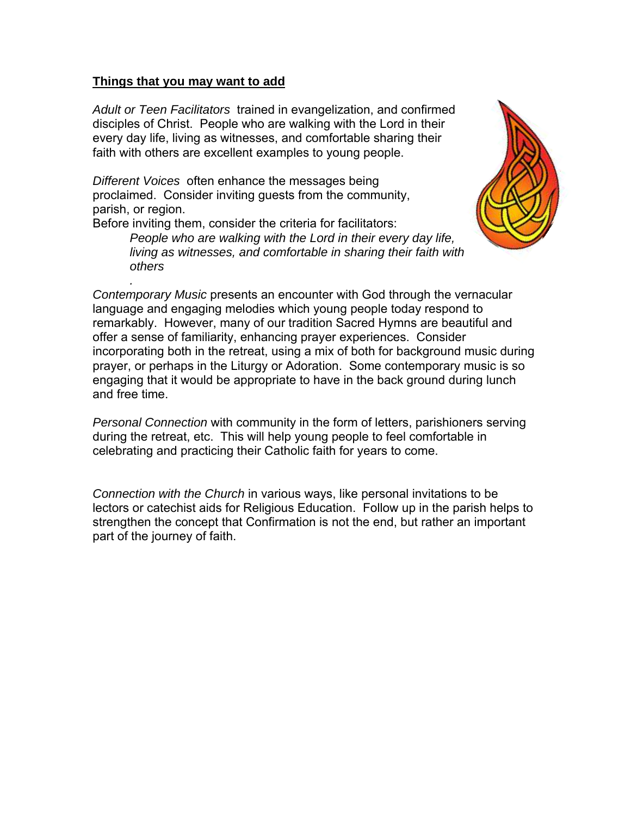### **Things that you may want to add**

*.* 

*Adult or Teen Facilitators* trained in evangelization, and confirmed disciples of Christ. People who are walking with the Lord in their every day life, living as witnesses, and comfortable sharing their faith with others are excellent examples to young people.

*Different Voices* often enhance the messages being proclaimed. Consider inviting guests from the community, parish, or region.

Before inviting them, consider the criteria for facilitators: *People who are walking with the Lord in their every day life, living as witnesses, and comfortable in sharing their faith with others* 



*Contemporary Music* presents an encounter with God through the vernacular language and engaging melodies which young people today respond to remarkably. However, many of our tradition Sacred Hymns are beautiful and offer a sense of familiarity, enhancing prayer experiences. Consider incorporating both in the retreat, using a mix of both for background music during prayer, or perhaps in the Liturgy or Adoration. Some contemporary music is so engaging that it would be appropriate to have in the back ground during lunch and free time.

*Personal Connection* with community in the form of letters, parishioners serving during the retreat, etc. This will help young people to feel comfortable in celebrating and practicing their Catholic faith for years to come.

*Connection with the Church* in various ways, like personal invitations to be lectors or catechist aids for Religious Education. Follow up in the parish helps to strengthen the concept that Confirmation is not the end, but rather an important part of the journey of faith.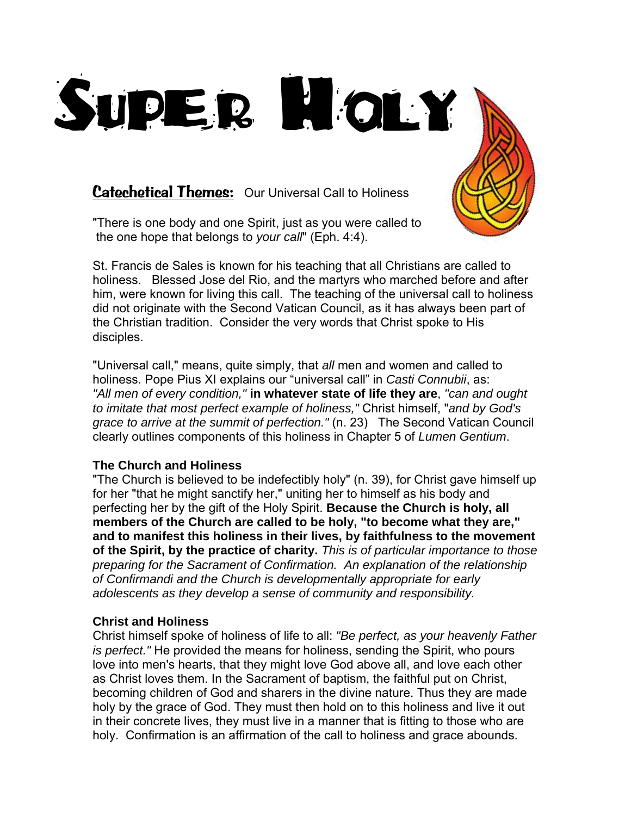# Super Holy

**Catechetical Themes:** Our Universal Call to Holiness

"There is one body and one Spirit, just as you were called to the one hope that belongs to *your call*" (Eph. 4:4).

St. Francis de Sales is known for his teaching that all Christians are called to holiness. Blessed Jose del Rio, and the martyrs who marched before and after him, were known for living this call. The teaching of the universal call to holiness did not originate with the Second Vatican Council, as it has always been part of the Christian tradition. Consider the very words that Christ spoke to His disciples.

"Universal call," means, quite simply, that *all* men and women and called to holiness. Pope Pius XI explains our "universal call" in *Casti Connubii*, as: *"All men of every condition,"* **in whatever state of life they are**, *"can and ought to imitate that most perfect example of holiness,"* Christ himself, "*and by God's grace to arrive at the summit of perfection."* (n. 23) The Second Vatican Council clearly outlines components of this holiness in Chapter 5 of *Lumen Gentium*.

### **The Church and Holiness**

"The Church is believed to be indefectibly holy" (n. 39), for Christ gave himself up for her "that he might sanctify her," uniting her to himself as his body and perfecting her by the gift of the Holy Spirit. **Because the Church is holy, all members of the Church are called to be holy, "to become what they are," and to manifest this holiness in their lives, by faithfulness to the movement of the Spirit, by the practice of charity.** *This is of particular importance to those preparing for the Sacrament of Confirmation. An explanation of the relationship of Confirmandi and the Church is developmentally appropriate for early adolescents as they develop a sense of community and responsibility.* 

### **Christ and Holiness**

Christ himself spoke of holiness of life to all: *"Be perfect, as your heavenly Father is perfect."* He provided the means for holiness, sending the Spirit, who pours love into men's hearts, that they might love God above all, and love each other as Christ loves them. In the Sacrament of baptism, the faithful put on Christ, becoming children of God and sharers in the divine nature. Thus they are made holy by the grace of God. They must then hold on to this holiness and live it out in their concrete lives, they must live in a manner that is fitting to those who are holy. Confirmation is an affirmation of the call to holiness and grace abounds.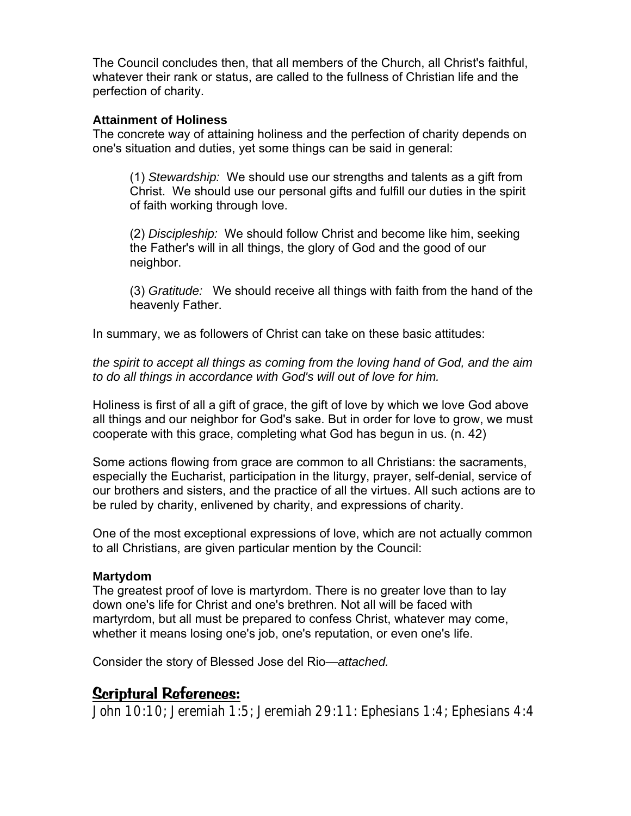The Council concludes then, that all members of the Church, all Christ's faithful, whatever their rank or status, are called to the fullness of Christian life and the perfection of charity.

#### **Attainment of Holiness**

The concrete way of attaining holiness and the perfection of charity depends on one's situation and duties, yet some things can be said in general:

(1) *Stewardship:* We should use our strengths and talents as a gift from Christ. We should use our personal gifts and fulfill our duties in the spirit of faith working through love.

(2) *Discipleship:* We should follow Christ and become like him, seeking the Father's will in all things, the glory of God and the good of our neighbor.

(3) *Gratitude:* We should receive all things with faith from the hand of the heavenly Father.

In summary, we as followers of Christ can take on these basic attitudes:

*the spirit to accept all things as coming from the loving hand of God, and the aim to do all things in accordance with God's will out of love for him.* 

Holiness is first of all a gift of grace, the gift of love by which we love God above all things and our neighbor for God's sake. But in order for love to grow, we must cooperate with this grace, completing what God has begun in us. (n. 42)

Some actions flowing from grace are common to all Christians: the sacraments, especially the Eucharist, participation in the liturgy, prayer, self-denial, service of our brothers and sisters, and the practice of all the virtues. All such actions are to be ruled by charity, enlivened by charity, and expressions of charity.

One of the most exceptional expressions of love, which are not actually common to all Christians, are given particular mention by the Council:

### **Martydom**

The greatest proof of love is martyrdom. There is no greater love than to lay down one's life for Christ and one's brethren. Not all will be faced with martyrdom, but all must be prepared to confess Christ, whatever may come, whether it means losing one's job, one's reputation, or even one's life.

Consider the story of Blessed Jose del Rio—*attached.*

### **Scriptural References:**

*John 10:10; Jeremiah 1:5; Jeremiah 29:11: Ephesians 1:4; Ephesians 4:4*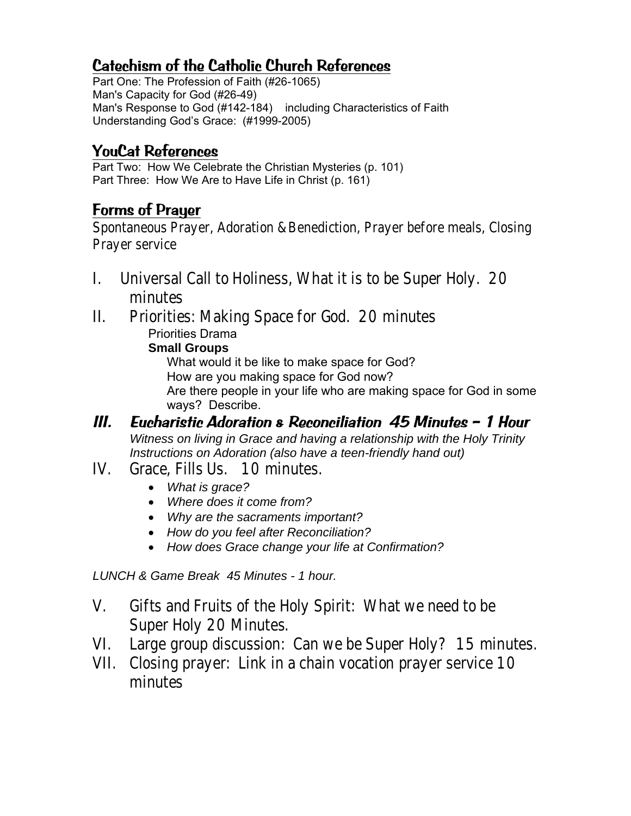### **Catechism of the Catholic Church References**

Part One: The Profession of Faith (#26-1065) Man's Capacity for God (#26-49) Man's Response to God (#142-184) including Characteristics of Faith Understanding God's Grace: (#1999-2005)

### **YouCat References**

Part Two: How We Celebrate the Christian Mysteries (p. 101) Part Three: How We Are to Have Life in Christ (p. 161)

### **Forms of Prayer**

*Spontaneous Prayer, Adoration & Benediction, Prayer before meals, Closing Prayer service* 

- *I. Universal Call to Holiness, What it is to be Super Holy. 20 minutes*
- *II. Priorities: Making Space for God. 20 minutes*  Priorities Drama

**Small Groups** 

 What would it be like to make space for God? How are you making space for God now? Are there people in your life who are making space for God in some ways? Describe.

- *III. Eucharistic Adoration & Reconciliation 45 Minutes 1 Hour Witness on living in Grace and having a relationship with the Holy Trinity Instructions on Adoration (also have a teen-friendly hand out)*
- *IV. Grace, Fills Us. 10 minutes.* 
	- *What is grace?*
	- *Where does it come from?*
	- *Why are the sacraments important?*
	- *How do you feel after Reconciliation?*
	- *How does Grace change your life at Confirmation?*

*LUNCH & Game Break 45 Minutes - 1 hour.* 

- *V. Gifts and Fruits of the Holy Spirit: What we need to be Super Holy 20 Minutes.*
- *VI. Large group discussion: Can we be Super Holy? 15 minutes.*
- *VII. Closing prayer: Link in a chain vocation prayer service 10 minutes*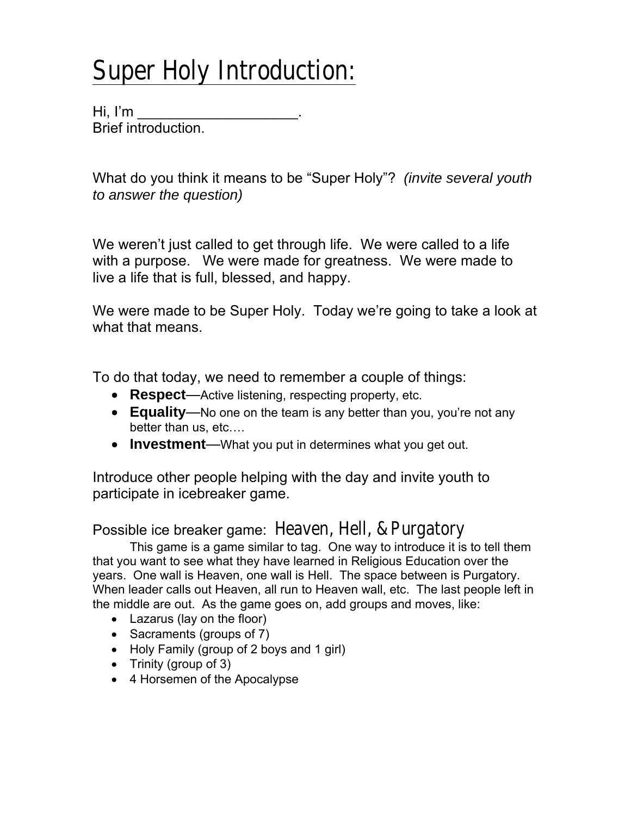### *Super Holy Introduction:*

Hi, I'm \_\_\_\_\_\_\_\_\_\_\_\_\_\_\_\_\_\_\_\_. Brief introduction.

What do you think it means to be "Super Holy"? *(invite several youth to answer the question)* 

We weren't just called to get through life. We were called to a life with a purpose. We were made for greatness. We were made to live a life that is full, blessed, and happy.

We were made to be Super Holy. Today we're going to take a look at what that means.

To do that today, we need to remember a couple of things:

- **Respect**—Active listening, respecting property, etc.
- **Equality**—No one on the team is any better than you, you're not any better than us, etc….
- **Investment**—What you put in determines what you get out.

Introduce other people helping with the day and invite youth to participate in icebreaker game.

Possible ice breaker game: *Heaven, Hell, & Purgatory*

 This game is a game similar to tag. One way to introduce it is to tell them that you want to see what they have learned in Religious Education over the years. One wall is Heaven, one wall is Hell. The space between is Purgatory. When leader calls out Heaven, all run to Heaven wall, etc. The last people left in the middle are out. As the game goes on, add groups and moves, like:

- Lazarus (lay on the floor)
- Sacraments (groups of 7)
- Holy Family (group of 2 boys and 1 girl)
- Trinity (group of 3)
- 4 Horsemen of the Apocalypse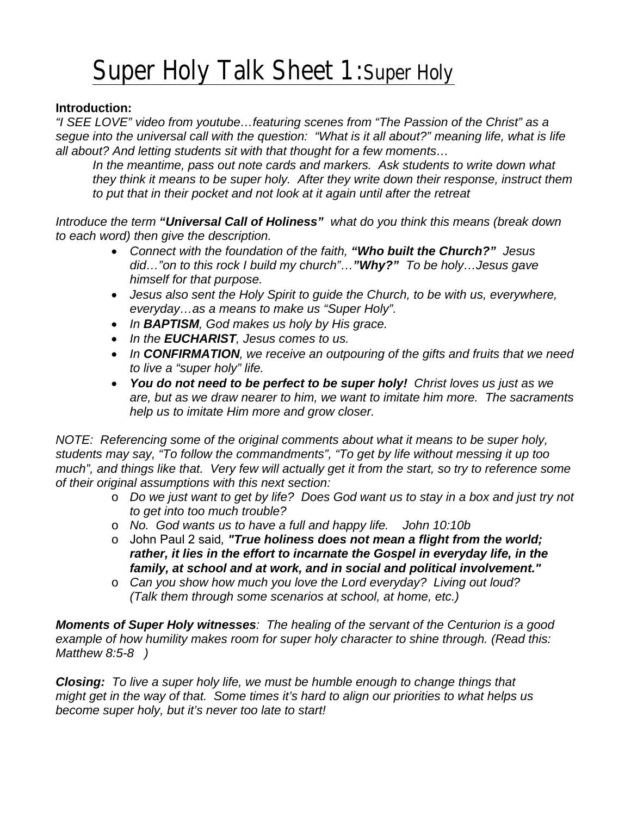### *Super Holy Talk Sheet 1:Super Holy*

### **Introduction:**

*"I SEE LOVE" video from youtube…featuring scenes from "The Passion of the Christ" as a segue into the universal call with the question: "What is it all about?" meaning life, what is life all about? And letting students sit with that thought for a few moments…* 

 *In the meantime, pass out note cards and markers. Ask students to write down what they think it means to be super holy. After they write down their response, instruct them to put that in their pocket and not look at it again until after the retreat* 

*Introduce the term "Universal Call of Holiness" what do you think this means (break down to each word) then give the description.* 

- *Connect with the foundation of the faith, "Who built the Church?" Jesus did…"on to this rock I build my church"…"Why?" To be holy…Jesus gave himself for that purpose.*
- *Jesus also sent the Holy Spirit to guide the Church, to be with us, everywhere, everyday…as a means to make us "Super Holy".*
- *In BAPTISM, God makes us holy by His grace.*
- *In the EUCHARIST, Jesus comes to us.*
- *In CONFIRMATION, we receive an outpouring of the gifts and fruits that we need to live a "super holy" life.*
- *You do not need to be perfect to be super holy! Christ loves us just as we are, but as we draw nearer to him, we want to imitate him more. The sacraments help us to imitate Him more and grow closer.*

*NOTE: Referencing some of the original comments about what it means to be super holy, students may say, "To follow the commandments", "To get by life without messing it up too much", and things like that. Very few will actually get it from the start, so try to reference some of their original assumptions with this next section:* 

- o *Do we just want to get by life? Does God want us to stay in a box and just try not to get into too much trouble?*
- o *No. God wants us to have a full and happy life. John 10:10b*
- o John Paul 2 said*, "True holiness does not mean a flight from the world; rather, it lies in the effort to incarnate the Gospel in everyday life, in the family, at school and at work, and in social and political involvement."*
- o *Can you show how much you love the Lord everyday? Living out loud? (Talk them through some scenarios at school, at home, etc.)*

*Moments of Super Holy witnesses: The healing of the servant of the Centurion is a good example of how humility makes room for super holy character to shine through. (Read this: Matthew 8:5-8 )* 

*Closing: To live a super holy life, we must be humble enough to change things that might get in the way of that. Some times it's hard to align our priorities to what helps us become super holy, but it's never too late to start!*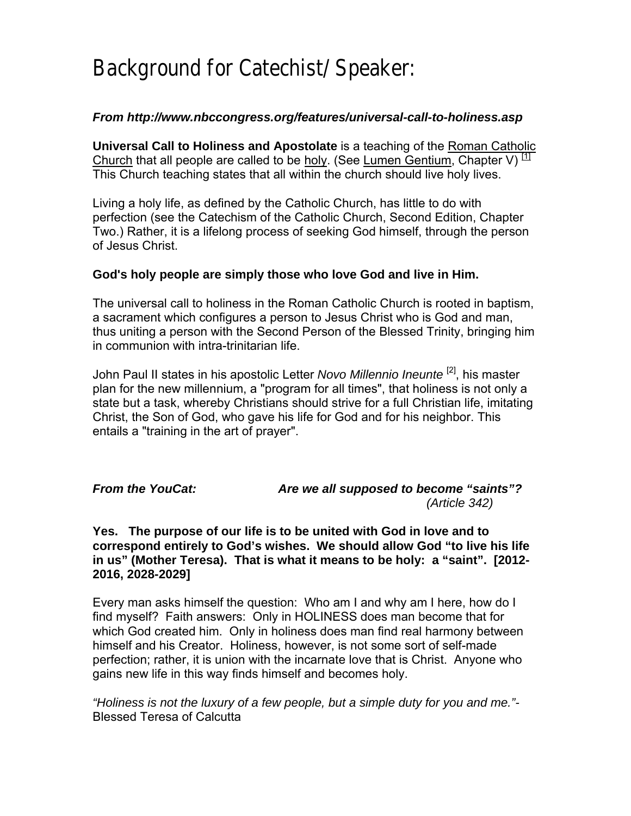### *Background for Catechist/Speaker:*

### *From http://www.nbccongress.org/features/universal-call-to-holiness.asp*

**Universal Call to Holiness and Apostolate** is a teaching of the [Roman Catholic](http://en.wikipedia.org/wiki/Roman_Catholic_Church)  [Church](http://en.wikipedia.org/wiki/Roman_Catholic_Church) that all people are called to be [holy](http://en.wikipedia.org/wiki/Sacred). (See [Lumen Gentium](http://en.wikipedia.org/wiki/Lumen_Gentium), Chapter V)  $^{11}$ This Church teaching states that all within the church should live holy lives.

Living a holy life, as defined by the Catholic Church, has little to do with perfection (see the Catechism of the Catholic Church, Second Edition, Chapter Two.) Rather, it is a lifelong process of seeking God himself, through the person of Jesus Christ.

#### **God's holy people are simply those who love God and live in Him.**

The universal call to holiness in the Roman Catholic Church is rooted in [baptism,](http://en.wikipedia.org/wiki/Baptism) a [sacrament](http://en.wikipedia.org/wiki/Sacrament) which configures a person to Jesus Christ who is God and man, thus uniting a person with the Second Person of the [Blessed Trinity,](http://en.wikipedia.org/wiki/Trinity) bringing him in communion with intra-trinitarian life.

[John Paul II](http://en.wikipedia.org/wiki/Pope_John_Paul_II) states in his apostolic Letter *[Novo Millennio Ineunte](http://en.wikipedia.org/wiki/Novo_Millennio_Ineunte)* [\[2\]](http://en.wikipedia.org/wiki/Universal_call_to_holiness#cite_note-1#cite_note-1), his master plan for the new millennium, a "program for all times", that holiness is not only a state but a task, whereby Christians should strive for a full Christian life, imitating Christ, the Son of God, who gave his life for God and for his neighbor. This entails a "training in the art of [prayer](http://en.wikipedia.org/wiki/Prayer)".

#### *From the YouCat: Are we all supposed to become "saints"? (Article 342)*

**Yes. The purpose of our life is to be united with God in love and to correspond entirely to God's wishes. We should allow God "to live his life in us" (Mother Teresa). That is what it means to be holy: a "saint". [2012- 2016, 2028-2029]** 

Every man asks himself the question: Who am I and why am I here, how do I find myself? Faith answers: Only in HOLINESS does man become that for which God created him. Only in holiness does man find real harmony between himself and his Creator. Holiness, however, is not some sort of self-made perfection; rather, it is union with the incarnate love that is Christ. Anyone who gains new life in this way finds himself and becomes holy.

*"Holiness is not the luxury of a few people, but a simple duty for you and me."-* Blessed Teresa of Calcutta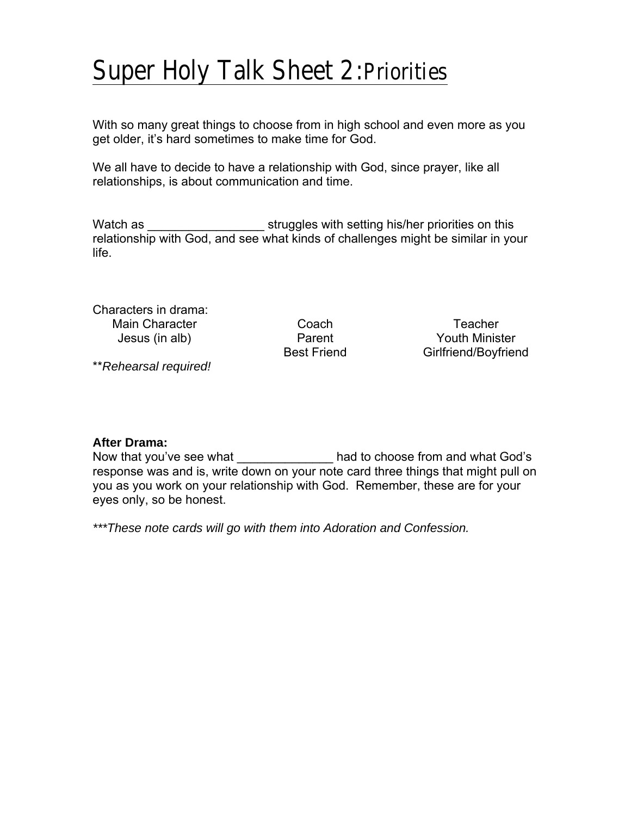### *Super Holy Talk Sheet 2:Priorities*

With so many great things to choose from in high school and even more as you get older, it's hard sometimes to make time for God.

We all have to decide to have a relationship with God, since prayer, like all relationships, is about communication and time.

Watch as **EXECUTE:** Match as the struggles with setting his/her priorities on this relationship with God, and see what kinds of challenges might be similar in your life.

Characters in drama: Main Character Jesus (in alb)

Coach Parent Best Friend

**Teacher** Youth Minister Girlfriend/Boyfriend

\*\**Rehearsal required!* 

### **After Drama:**

Now that you've see what **Now that you've see what Now that you've see what** response was and is, write down on your note card three things that might pull on you as you work on your relationship with God. Remember, these are for your eyes only, so be honest.

*\*\*\*These note cards will go with them into Adoration and Confession.*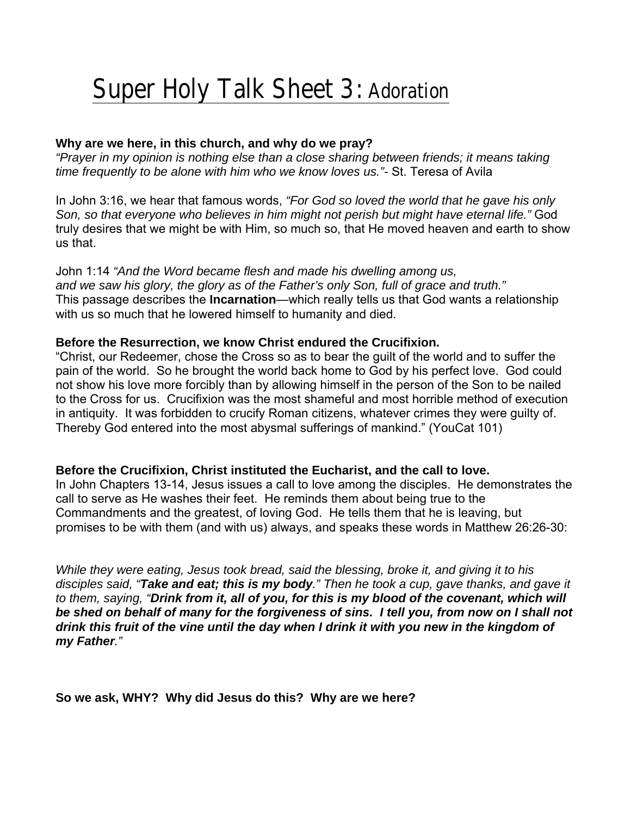### *Super Holy Talk Sheet 3: Adoration*

### **Why are we here, in this church, and why do we pray?**

*"Prayer in my opinion is nothing else than a close sharing between friends; it means taking time frequently to be alone with him who we know loves us."-* St. Teresa of Avila

In John 3:16, we hear that famous words, *"For God so loved the world that he gave his only Son, so that everyone who believes in him might not perish but might have eternal life."* God truly desires that we might be with Him, so much so, that He moved heaven and earth to show us that.

John 1:14 *"And the Word became flesh and made his dwelling among us, and we saw his glory, the glory as of the Father's only Son, full of grace and truth."* This passage describes the **Incarnation**—which really tells us that God wants a relationship with us so much that he lowered himself to humanity and died.

### **Before the Resurrection, we know Christ endured the Crucifixion.**

"Christ, our Redeemer, chose the Cross so as to bear the guilt of the world and to suffer the pain of the world. So he brought the world back home to God by his perfect love. God could not show his love more forcibly than by allowing himself in the person of the Son to be nailed to the Cross for us. Crucifixion was the most shameful and most horrible method of execution in antiquity. It was forbidden to crucify Roman citizens, whatever crimes they were guilty of. Thereby God entered into the most abysmal sufferings of mankind." (YouCat 101)

### **Before the Crucifixion, Christ instituted the Eucharist, and the call to love.**

In John Chapters 13-14, Jesus issues a call to love among the disciples. He demonstrates the call to serve as He washes their feet. He reminds them about being true to the Commandments and the greatest, of loving God. He tells them that he is leaving, but promises to be with them (and with us) always, and speaks these words in Matthew 26:26-30:

*While they were eating, Jesus took bread, said the blessing, broke it, and giving it to his disciples said, "Take and eat; this is my body." Then he took a cup, gave thanks, and gave it to them, saying, "Drink from it, all of you, for this is my blood of the covenant, which will be shed on behalf of many for the forgiveness of sins. I tell you, from now on I shall not drink this fruit of the vine until the day when I drink it with you new in the kingdom of my Father."* 

**So we ask, WHY? Why did Jesus do this? Why are we here?**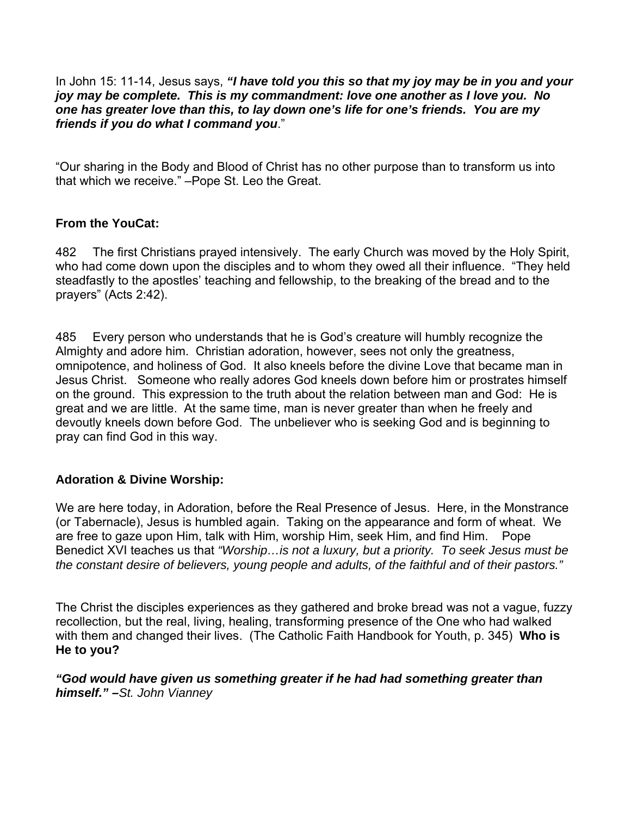In John 15: 11-14, Jesus says, *"I have told you this so that my joy may be in you and your joy may be complete. This is my commandment: love one another as I love you. No one has greater love than this, to lay down one's life for one's friends. You are my friends if you do what I command you*."

"Our sharing in the Body and Blood of Christ has no other purpose than to transform us into that which we receive." –Pope St. Leo the Great.

### **From the YouCat:**

482 The first Christians prayed intensively. The early Church was moved by the Holy Spirit, who had come down upon the disciples and to whom they owed all their influence. "They held steadfastly to the apostles' teaching and fellowship, to the breaking of the bread and to the prayers" (Acts 2:42).

485 Every person who understands that he is God's creature will humbly recognize the Almighty and adore him. Christian adoration, however, sees not only the greatness, omnipotence, and holiness of God. It also kneels before the divine Love that became man in Jesus Christ. Someone who really adores God kneels down before him or prostrates himself on the ground. This expression to the truth about the relation between man and God: He is great and we are little. At the same time, man is never greater than when he freely and devoutly kneels down before God. The unbeliever who is seeking God and is beginning to pray can find God in this way.

### **Adoration & Divine Worship:**

We are here today, in Adoration, before the Real Presence of Jesus. Here, in the Monstrance (or Tabernacle), Jesus is humbled again. Taking on the appearance and form of wheat. We are free to gaze upon Him, talk with Him, worship Him, seek Him, and find Him. Pope Benedict XVI teaches us that *"Worship…is not a luxury, but a priority. To seek Jesus must be the constant desire of believers, young people and adults, of the faithful and of their pastors."*

The Christ the disciples experiences as they gathered and broke bread was not a vague, fuzzy recollection, but the real, living, healing, transforming presence of the One who had walked with them and changed their lives. (The Catholic Faith Handbook for Youth, p. 345) **Who is He to you?** 

*"God would have given us something greater if he had had something greater than himself." –St. John Vianney*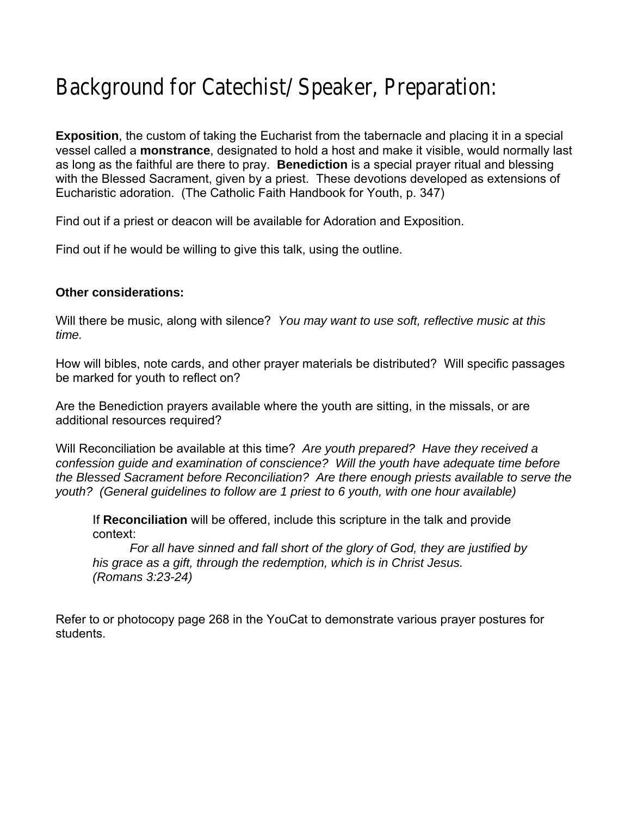### *Background for Catechist/Speaker, Preparation:*

**Exposition**, the custom of taking the Eucharist from the tabernacle and placing it in a special vessel called a **monstrance**, designated to hold a host and make it visible, would normally last as long as the faithful are there to pray. **Benediction** is a special prayer ritual and blessing with the Blessed Sacrament, given by a priest. These devotions developed as extensions of Eucharistic adoration. (The Catholic Faith Handbook for Youth, p. 347)

Find out if a priest or deacon will be available for Adoration and Exposition.

Find out if he would be willing to give this talk, using the outline.

### **Other considerations:**

Will there be music, along with silence? *You may want to use soft, reflective music at this time.*

How will bibles, note cards, and other prayer materials be distributed? Will specific passages be marked for youth to reflect on?

Are the Benediction prayers available where the youth are sitting, in the missals, or are additional resources required?

Will Reconciliation be available at this time? *Are youth prepared? Have they received a confession guide and examination of conscience? Will the youth have adequate time before the Blessed Sacrament before Reconciliation? Are there enough priests available to serve the youth? (General guidelines to follow are 1 priest to 6 youth, with one hour available)* 

 If **Reconciliation** will be offered, include this scripture in the talk and provide context:

 *For all have sinned and fall short of the glory of God, they are justified by his grace as a gift, through the redemption, which is in Christ Jesus. (Romans 3:23-24)* 

Refer to or photocopy page 268 in the YouCat to demonstrate various prayer postures for students.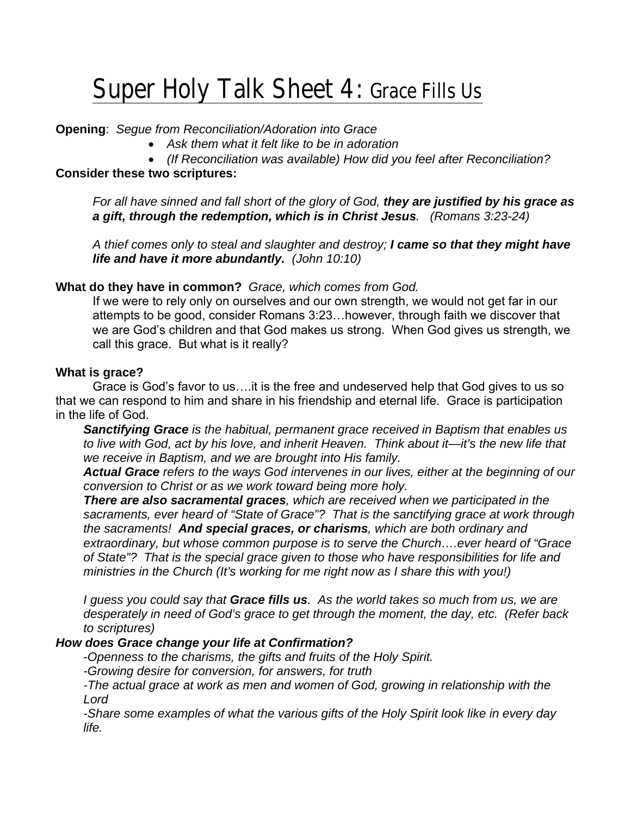### *Super Holy Talk Sheet 4: Grace Fills Us*

**Opening**: *Segue from Reconciliation/Adoration into Grace* 

*Ask them what it felt like to be in adoration* 

*(If Reconciliation was available) How did you feel after Reconciliation?* 

### **Consider these two scriptures:**

 *For all have sinned and fall short of the glory of God, they are justified by his grace as a gift, through the redemption, which is in Christ Jesus. (Romans 3:23-24)* 

 *A thief comes only to steal and slaughter and destroy; I came so that they might have life and have it more abundantly. (John 10:10)* 

**What do they have in common?** *Grace, which comes from God.* 

If we were to rely only on ourselves and our own strength, we would not get far in our attempts to be good, consider Romans 3:23…however, through faith we discover that we are God's children and that God makes us strong. When God gives us strength, we call this grace. But what is it really?

### **What is grace?**

Grace is God's favor to us….it is the free and undeserved help that God gives to us so that we can respond to him and share in his friendship and eternal life. Grace is participation in the life of God.

*Sanctifying Grace is the habitual, permanent grace received in Baptism that enables us to live with God, act by his love, and inherit Heaven. Think about it—it's the new life that we receive in Baptism, and we are brought into His family.* 

*Actual Grace refers to the ways God intervenes in our lives, either at the beginning of our conversion to Christ or as we work toward being more holy.* 

*There are also sacramental graces, which are received when we participated in the sacraments, ever heard of "State of Grace"? That is the sanctifying grace at work through the sacraments! And special graces, or charisms, which are both ordinary and extraordinary, but whose common purpose is to serve the Church….ever heard of "Grace of State"? That is the special grace given to those who have responsibilities for life and ministries in the Church (It's working for me right now as I share this with you!)* 

*I guess you could say that Grace fills us. As the world takes so much from us, we are desperately in need of God's grace to get through the moment, the day, etc. (Refer back to scriptures)* 

### *How does Grace change your life at Confirmation?*

*-Openness to the charisms, the gifts and fruits of the Holy Spirit.* 

*-Growing desire for conversion, for answers, for truth* 

*-The actual grace at work as men and women of God, growing in relationship with the Lord* 

*-Share some examples of what the various gifts of the Holy Spirit look like in every day life.*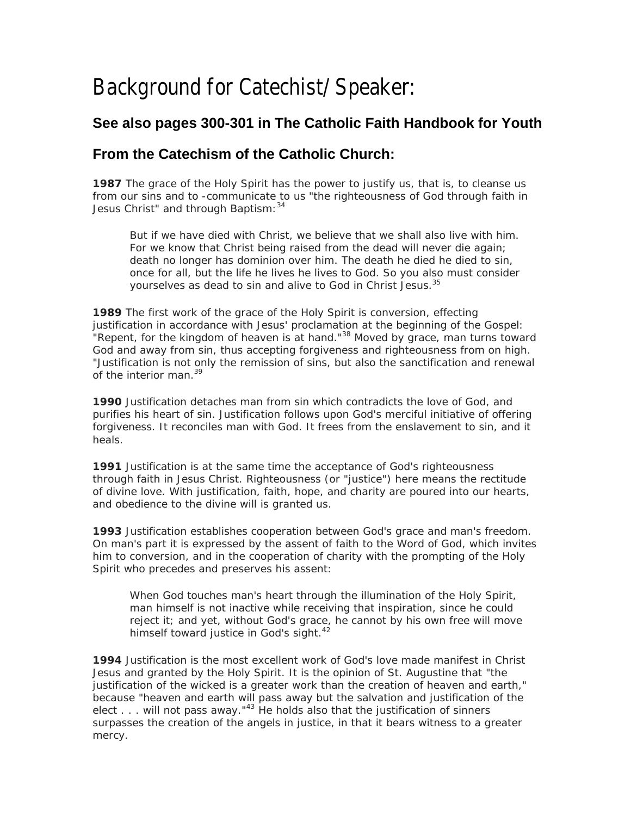### *Background for Catechist/Speaker:*

### **See also pages 300-301 in The Catholic Faith Handbook for Youth**

### **From the Catechism of the Catholic Church:**

**1987** The grace of the Holy Spirit has the power to justify us, that is, to cleanse us from our sins and to -communicate to us "the righteousness of God through faith in Jesus Christ" and through Baptism: 34

*But if we have died with Christ, we believe that we shall also live with him. For we know that Christ being raised from the dead will never die again; death no longer has dominion over him. The death he died he died to sin, once for all, but the life he lives he lives to God. So you also must consider yourselves as dead to sin and alive to God in Christ Jesus.35*

**1989** The first work of the grace of the Holy Spirit is *conversion*, effecting justification in accordance with Jesus' proclamation at the beginning of the Gospel: Repent, for the kingdom of heaven is at hand."<sup>38</sup> Moved by grace, man turns toward God and away from sin, thus accepting forgiveness and righteousness from on high. "Justification is not only the remission of sins, but also the sanctification and renewal of the interior man.<sup>39</sup>

**1990** Justification *detaches man from sin* which contradicts the love of God, and purifies his heart of sin. Justification follows upon God's merciful initiative of offering forgiveness. It reconciles man with God. It frees from the enslavement to sin, and it heals.

**1991** Justification is at the same time *the acceptance of God's righteousness* through faith in Jesus Christ. Righteousness (or "justice") here means the rectitude of divine love. With justification, faith, hope, and charity are poured into our hearts, and obedience to the divine will is granted us.

**1993** Justification establishes *cooperation between God's grace and man's freedom*. On man's part it is expressed by the assent of faith to the Word of God, which invites him to conversion, and in the cooperation of charity with the prompting of the Holy Spirit who precedes and preserves his assent:

When God touches man's heart through the illumination of the Holy Spirit, man himself is not inactive while receiving that inspiration, since he could reject it; and yet, without God's grace, he cannot by his own free will move himself toward justice in God's sight. $42$ 

**1994** Justification is the *most excellent work of God's love* made manifest in Christ Jesus and granted by the Holy Spirit. It is the opinion of St. Augustine that "the justification of the wicked is a greater work than the creation of heaven and earth," because "heaven and earth will pass away but the salvation and justification of the elect  $\ldots$  will not pass away."<sup>43</sup> He holds also that the justification of sinners surpasses the creation of the angels in justice, in that it bears witness to a greater mercy.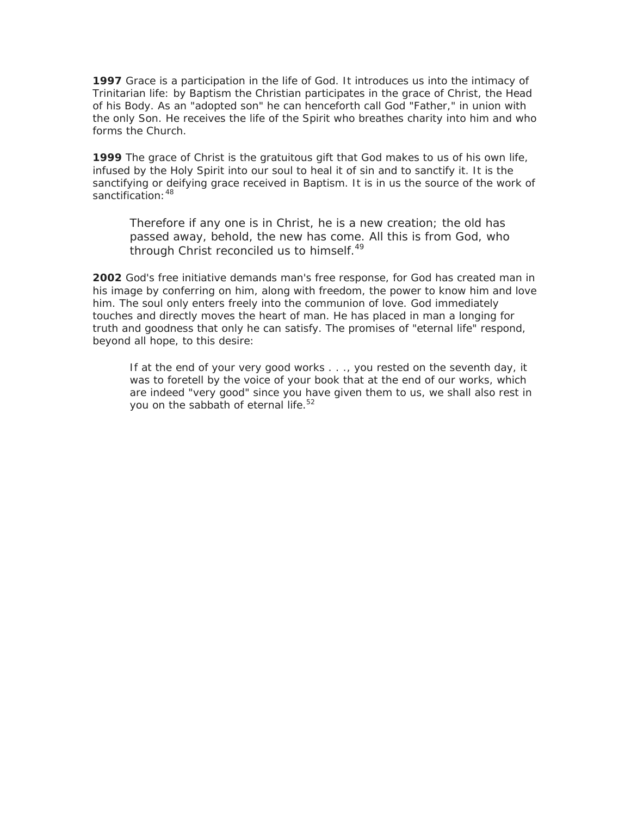**1997** Grace is a *participation in the life of God.* It introduces us into the intimacy of Trinitarian life: by Baptism the Christian participates in the grace of Christ, the Head of his Body. As an "adopted son" he can henceforth call God "Father," in union with the only Son. He receives the life of the Spirit who breathes charity into him and who forms the Church.

**1999** The grace of Christ is the gratuitous gift that God makes to us of his own life, infused by the Holy Spirit into our soul to heal it of sin and to sanctify it. It is the *sanctifying* or *deifying grace* received in Baptism. It is in us the source of the work of sanctification: 48

Therefore if any one is in Christ, he is a new creation; the old has passed away, behold, the new has come. All this is from God, who through Christ reconciled us to himself.<sup>49</sup>

**2002** God's free initiative demands *man's free response*, for God has created man in his image by conferring on him, along with freedom, the power to know him and love him. The soul only enters freely into the communion of love. God immediately touches and directly moves the heart of man. He has placed in man a longing for truth and goodness that only he can satisfy. The promises of "eternal life" respond, beyond all hope, to this desire:

If at the end of your very good works . . ., you rested on the seventh day, it was to foretell by the voice of your book that at the end of our works, which are indeed "very good" since you have given them to us, we shall also rest in you on the sabbath of eternal life.<sup>52</sup>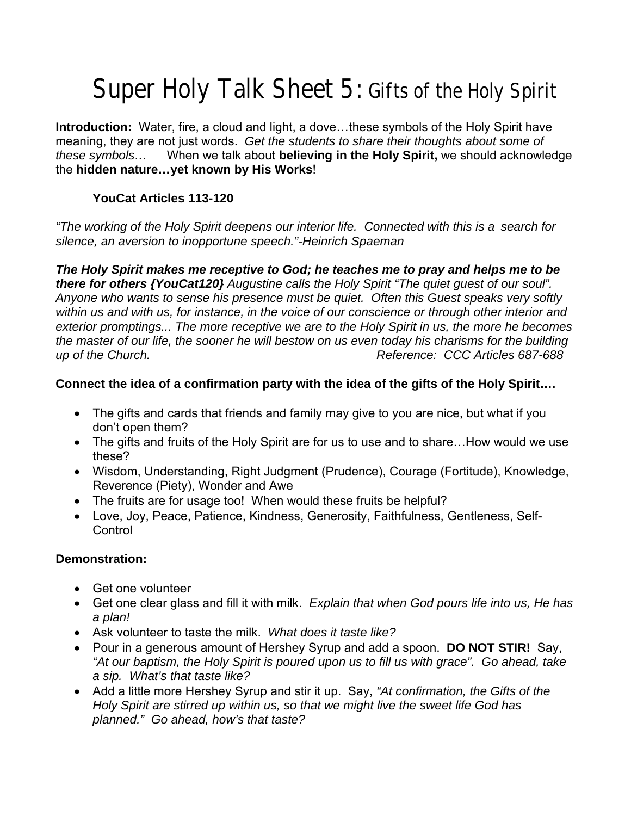### *Super Holy Talk Sheet 5: Gifts of the Holy Spirit*

**Introduction:** Water, fire, a cloud and light, a dove…these symbols of the Holy Spirit have meaning, they are not just words. *Get the students to share their thoughts about some of these symbols…* When we talk about **believing in the Holy Spirit,** we should acknowledge the **hidden nature…yet known by His Works**!

### **YouCat Articles 113-120**

*"The working of the Holy Spirit deepens our interior life. Connected with this is a search for silence, an aversion to inopportune speech."-Heinrich Spaeman*

*The Holy Spirit makes me receptive to God; he teaches me to pray and helps me to be there for others {YouCat120} Augustine calls the Holy Spirit "The quiet guest of our soul". Anyone who wants to sense his presence must be quiet. Often this Guest speaks very softly within us and with us, for instance, in the voice of our conscience or through other interior and exterior promptings... The more receptive we are to the Holy Spirit in us, the more he becomes the master of our life, the sooner he will bestow on us even today his charisms for the building up of the Church. Reference: CCC Articles 687-688* 

### **Connect the idea of a confirmation party with the idea of the gifts of the Holy Spirit….**

- The gifts and cards that friends and family may give to you are nice, but what if you don't open them?
- The gifts and fruits of the Holy Spirit are for us to use and to share...How would we use these?
- Wisdom, Understanding, Right Judgment (Prudence), Courage (Fortitude), Knowledge, Reverence (Piety), Wonder and Awe
- The fruits are for usage too! When would these fruits be helpful?
- Love, Joy, Peace, Patience, Kindness, Generosity, Faithfulness, Gentleness, Self-**Control**

### **Demonstration:**

- Get one volunteer
- Get one clear glass and fill it with milk. *Explain that when God pours life into us, He has a plan!*
- Ask volunteer to taste the milk. *What does it taste like?*
- Pour in a generous amount of Hershey Syrup and add a spoon. **DO NOT STIR!** Say, *"At our baptism, the Holy Spirit is poured upon us to fill us with grace". Go ahead, take a sip. What's that taste like?*
- Add a little more Hershey Syrup and stir it up. Say, *"At confirmation, the Gifts of the Holy Spirit are stirred up within us, so that we might live the sweet life God has planned." Go ahead, how's that taste?*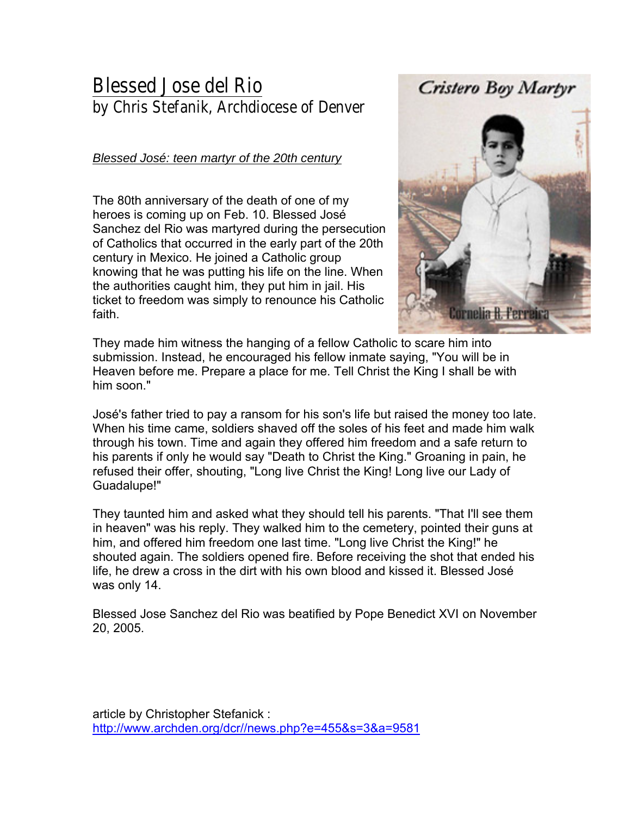# *Blessed Jose del Rio by Chris Stefanik, Archdiocese of Denver*

### *Blessed José: teen martyr of the 20th century*

The 80th anniversary of the death of one of my heroes is coming up on Feb. 10. Blessed José Sanchez del Rio was martyred during the persecution of Catholics that occurred in the early part of the 20th century in Mexico. He joined a Catholic group knowing that he was putting his life on the line. When the authorities caught him, they put him in jail. His ticket to freedom was simply to renounce his Catholic faith.



They made him witness the hanging of a fellow Catholic to scare him into submission. Instead, he encouraged his fellow inmate saying, "You will be in Heaven before me. Prepare a place for me. Tell Christ the King I shall be with him soon."

José's father tried to pay a ransom for his son's life but raised the money too late. When his time came, soldiers shaved off the soles of his feet and made him walk through his town. Time and again they offered him freedom and a safe return to his parents if only he would say "Death to Christ the King." Groaning in pain, he refused their offer, shouting, "Long live Christ the King! Long live our Lady of Guadalupe!"

They taunted him and asked what they should tell his parents. "That I'll see them in heaven" was his reply. They walked him to the cemetery, pointed their guns at him, and offered him freedom one last time. "Long live Christ the King!" he shouted again. The soldiers opened fire. Before receiving the shot that ended his life, he drew a cross in the dirt with his own blood and kissed it. Blessed José was only 14.

Blessed Jose Sanchez del Rio was beatified by Pope Benedict XVI on November 20, 2005.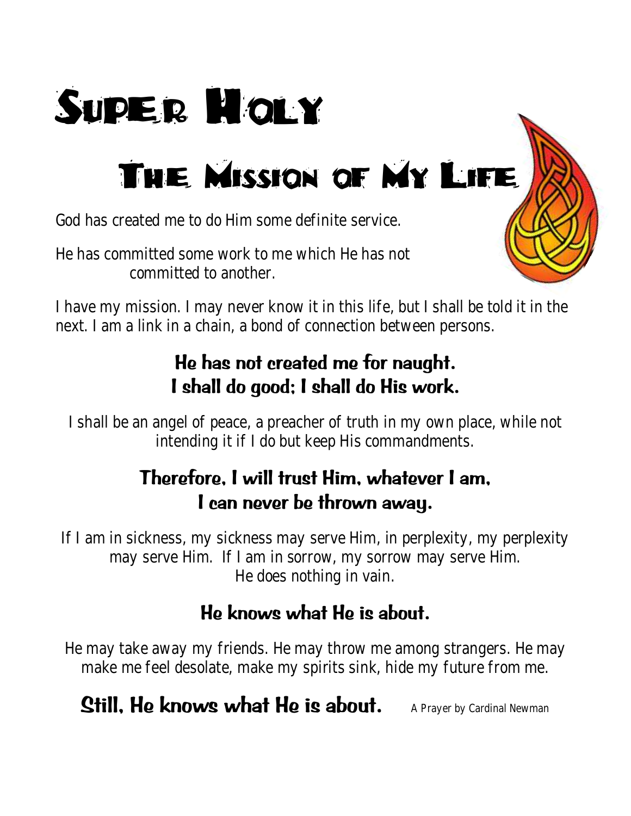

# The Mission of My Life

*God has created me to do Him some definite service.* 

*He has committed some work to me which He has not committed to another.* 

*I have my mission. I may never know it in this life, but I shall be told it in the next. I am a link in a chain, a bond of connection between persons.* 

### **He has not created me for naught. I shall do good; I shall do His work.**

*I shall be an angel of peace, a preacher of truth in my own place, while not intending it if I do but keep His commandments.* 

### **Therefore, I will trust Him, whatever I am, I can never be thrown away.**

*If I am in sickness, my sickness may serve Him, in perplexity, my perplexity may serve Him. If I am in sorrow, my sorrow may serve Him. He does nothing in vain.* 

### **He knows what He is about.**

*He may take away my friends. He may throw me among strangers. He may make me feel desolate, make my spirits sink, hide my future from me.* 

**Still, He knows what He is about.** *A Prayer by Cardinal Newman*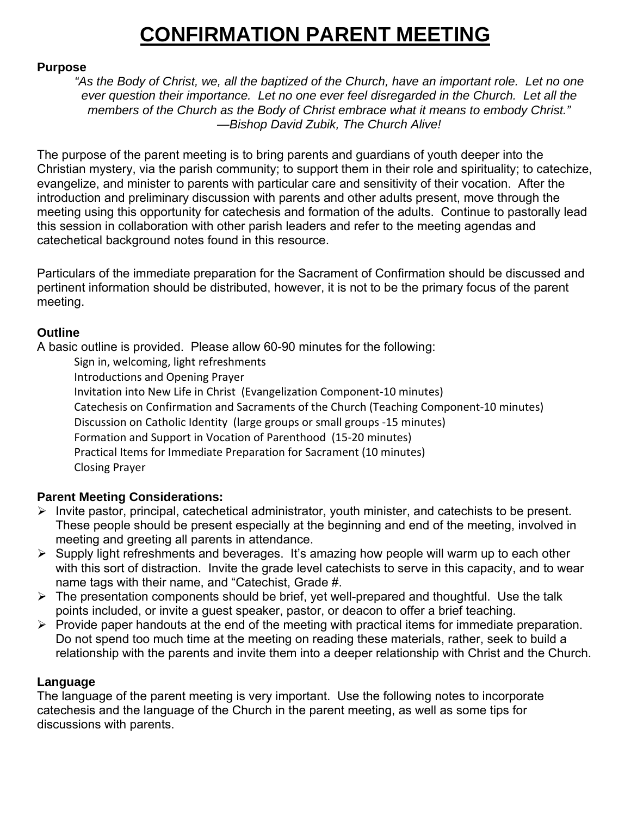### **CONFIRMATION PARENT MEETING**

### **Purpose**

*"As the Body of Christ, we, all the baptized of the Church, have an important role. Let no one ever question their importance. Let no one ever feel disregarded in the Church. Let all the members of the Church as the Body of Christ embrace what it means to embody Christ." —Bishop David Zubik, The Church Alive!* 

The purpose of the parent meeting is to bring parents and guardians of youth deeper into the Christian mystery, via the parish community; to support them in their role and spirituality; to catechize, evangelize, and minister to parents with particular care and sensitivity of their vocation. After the introduction and preliminary discussion with parents and other adults present, move through the meeting using this opportunity for catechesis and formation of the adults. Continue to pastorally lead this session in collaboration with other parish leaders and refer to the meeting agendas and catechetical background notes found in this resource.

Particulars of the immediate preparation for the Sacrament of Confirmation should be discussed and pertinent information should be distributed, however, it is not to be the primary focus of the parent meeting.

### **Outline**

A basic outline is provided. Please allow 60-90 minutes for the following:

Sign in, welcoming, light refreshments

Introductions and Opening Prayer

Invitation into New Life in Christ (Evangelization Component‐10 minutes)

Catechesis on Confirmation and Sacraments of the Church (Teaching Component‐10 minutes)

Discussion on Catholic Identity (large groups or small groups ‐15 minutes)

Formation and Support in Vocation of Parenthood (15‐20 minutes)

Practical Items for Immediate Preparation for Sacrament (10 minutes) Closing Prayer

### **Parent Meeting Considerations:**

- $\triangleright$  Invite pastor, principal, catechetical administrator, youth minister, and catechists to be present. These people should be present especially at the beginning and end of the meeting, involved in meeting and greeting all parents in attendance.
- $\triangleright$  Supply light refreshments and beverages. It's amazing how people will warm up to each other with this sort of distraction. Invite the grade level catechists to serve in this capacity, and to wear name tags with their name, and "Catechist, Grade #.
- $\triangleright$  The presentation components should be brief, yet well-prepared and thoughtful. Use the talk points included, or invite a guest speaker, pastor, or deacon to offer a brief teaching.
- $\triangleright$  Provide paper handouts at the end of the meeting with practical items for immediate preparation. Do not spend too much time at the meeting on reading these materials, rather, seek to build a relationship with the parents and invite them into a deeper relationship with Christ and the Church.

### **Language**

The language of the parent meeting is very important. Use the following notes to incorporate catechesis and the language of the Church in the parent meeting, as well as some tips for discussions with parents.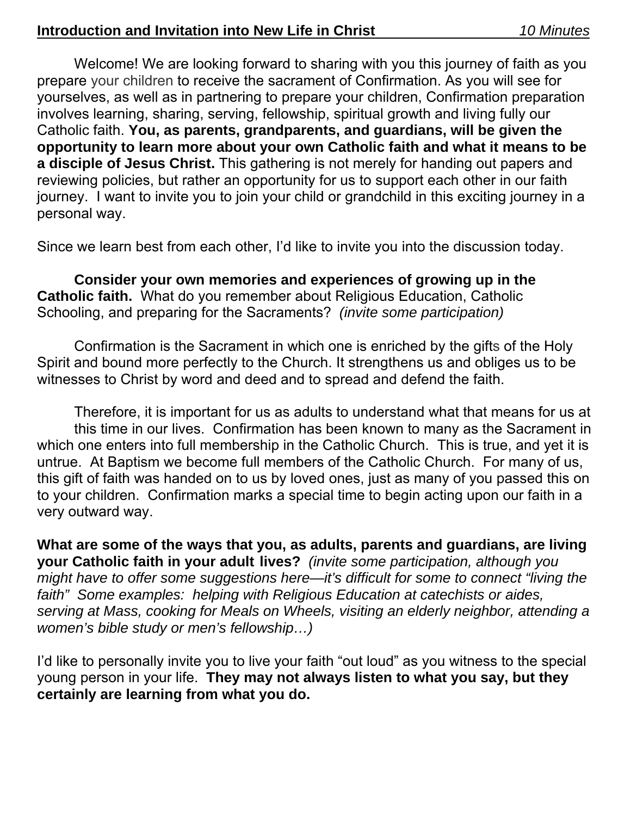Welcome! We are looking forward to sharing with you this journey of faith as you prepare your children to receive the sacrament of Confirmation. As you will see for yourselves, as well as in partnering to prepare your children, Confirmation preparation involves learning, sharing, serving, fellowship, spiritual growth and living fully our Catholic faith. **You, as parents, grandparents, and guardians, will be given the opportunity to learn more about your own Catholic faith and what it means to be a disciple of Jesus Christ.** This gathering is not merely for handing out papers and reviewing policies, but rather an opportunity for us to support each other in our faith journey. I want to invite you to join your child or grandchild in this exciting journey in a personal way.

Since we learn best from each other, I'd like to invite you into the discussion today.

**Consider your own memories and experiences of growing up in the Catholic faith.** What do you remember about Religious Education, Catholic Schooling, and preparing for the Sacraments? *(invite some participation)* 

 Confirmation is the Sacrament in which one is enriched by the gifts of the Holy Spirit and bound more perfectly to the Church. It strengthens us and obliges us to be witnesses to Christ by word and deed and to spread and defend the faith.

 Therefore, it is important for us as adults to understand what that means for us at this time in our lives. Confirmation has been known to many as the Sacrament in which one enters into full membership in the Catholic Church. This is true, and yet it is untrue. At Baptism we become full members of the Catholic Church. For many of us, this gift of faith was handed on to us by loved ones, just as many of you passed this on to your children. Confirmation marks a special time to begin acting upon our faith in a very outward way.

**What are some of the ways that you, as adults, parents and guardians, are living your Catholic faith in your adult lives?** *(invite some participation, although you might have to offer some suggestions here—it's difficult for some to connect "living the faith" Some examples: helping with Religious Education at catechists or aides, serving at Mass, cooking for Meals on Wheels, visiting an elderly neighbor, attending a women's bible study or men's fellowship…)*

I'd like to personally invite you to live your faith "out loud" as you witness to the special young person in your life. **They may not always listen to what you say, but they certainly are learning from what you do.**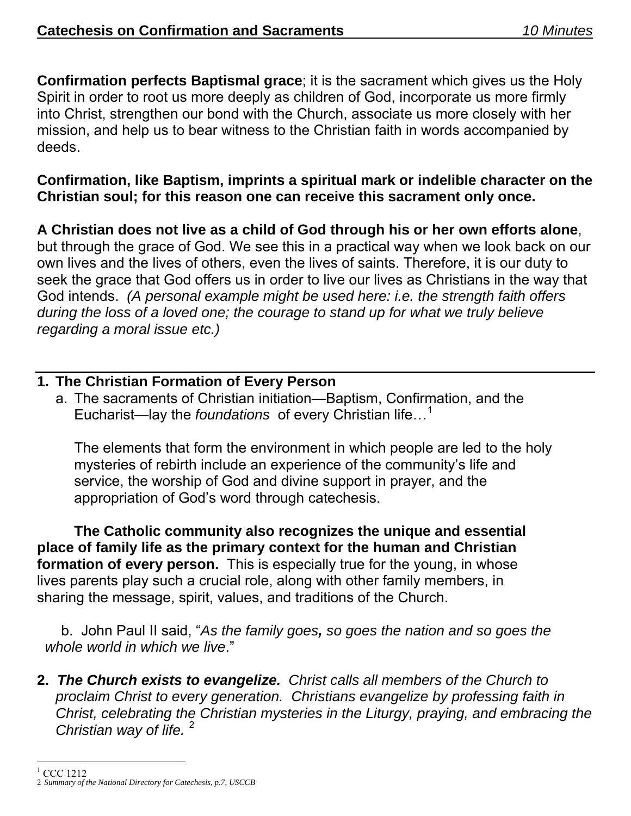**Confirmation perfects Baptismal grace**; it is the sacrament which gives us the Holy Spirit in order to root us more deeply as children of God, incorporate us more firmly into Christ, strengthen our bond with the Church, associate us more closely with her mission, and help us to bear witness to the Christian faith in words accompanied by deeds.

### **Confirmation, like Baptism, imprints a spiritual mark or indelible character on the Christian soul; for this reason one can receive this sacrament only once.**

**A Christian does not live as a child of God through his or her own efforts alone**, but through the grace of God. We see this in a practical way when we look back on our own lives and the lives of others, even the lives of saints. Therefore, it is our duty to seek the grace that God offers us in order to live our lives as Christians in the way that God intends. *(A personal example might be used here: i.e. the strength faith offers during the loss of a loved one; the courage to stand up for what we truly believe regarding a moral issue etc.)* 

### **1. The Christian Formation of Every Person**

a. The sacraments of Christian initiation—Baptism, Confir[ma](#page-63-0)tion, and the Eucharist—lay the *foundations* of every Christian life…[1](#page-63-0)

 The elements that form the environment in which people are led to the holy mysteries of rebirth include an experience of the community's life and service, the worship of God and divine support in prayer, and the appropriation of God's word through catechesis.

 **The Catholic community also recognizes the unique and essential place of family life as the primary context for the human and Christian formation of every person.** This is especially true for the young, in whose lives parents play such a crucial role, along with other family members, in sharing the message, spirit, values, and traditions of the Church.

 b. John Paul II said, "*As the family goes, so goes the nation and so goes the whole world in which we live*."

**2.** *The Church exists to evangelize. Christ calls all members of the Church to proclaim Christ to every generation. Christians evangelize by professing faith in Christ, celebrating th[e](#page-63-1) Christian mysteries in the Liturgy, praying, and embracing the Christian way of life.* [2](#page-63-1)

 $\overline{a}$  $\rm ^1$  CCC 1212

<span id="page-63-1"></span><span id="page-63-0"></span><sup>2</sup> *Summary of the National Directory for Catechesis, p.7, USCCB*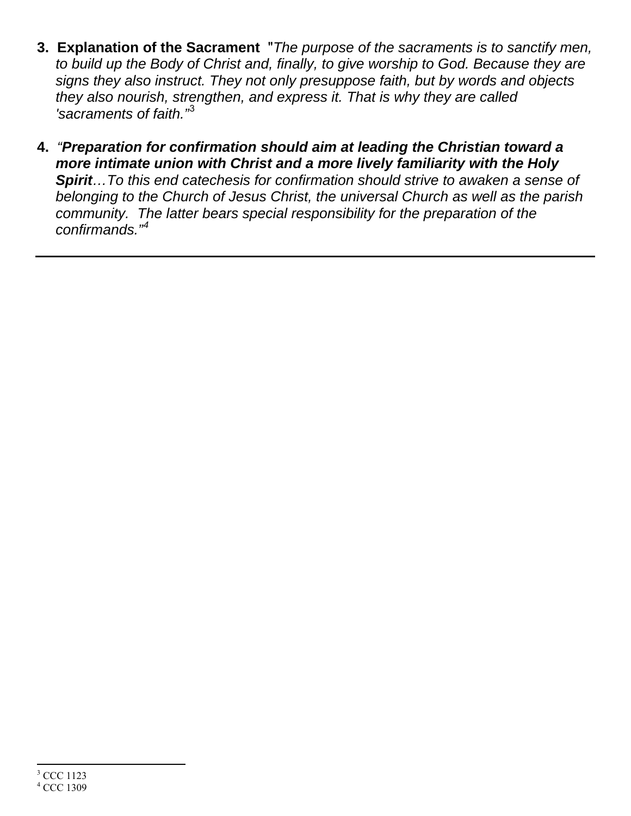- **3. Explanation of the Sacrament** "*The purpose of the sacraments is to sanctify men, to build up the Body of Christ and, finally, to give worship to God. Because they are signs they also instruct. They not only presuppose faith, but by words and objects they also nourish, str[en](#page-64-0)gthen, and express it. That is why they are called 'sacraments of faith."*[3](#page-64-0)
- <span id="page-64-1"></span><span id="page-64-0"></span>**4.** *"Preparation for confirmation should aim at leading the Christian toward a more intimate union with Christ and a more lively familiarity with the Holy Spirit…To this end catechesis for confirmation should strive to awaken a sense of belonging to the Church of Jesus Christ, the universal Church as well as the parish community. The latter bears special responsibility for the preparation of the confirmands."[4](#page-64-1)*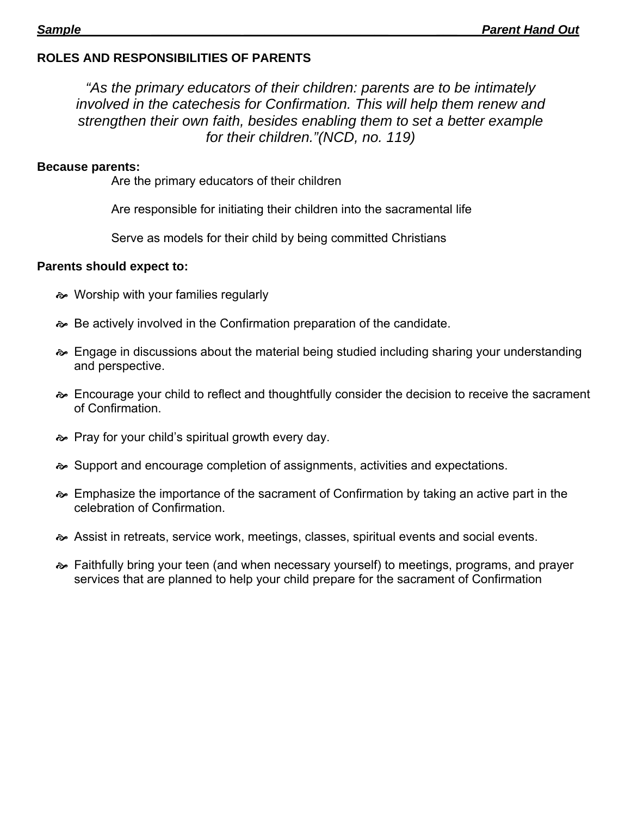### **ROLES AND RESPONSIBILITIES OF PARENTS**

*"As the primary educators of their children: parents are to be intimately involved in the catechesis for Confirmation. This will help them renew and strengthen their own faith, besides enabling them to set a better example for their children."(NCD, no. 119)* 

### **Because parents:**

Are the primary educators of their children

Are responsible for initiating their children into the sacramental life

Serve as models for their child by being committed Christians

### **Parents should expect to:**

- $\approx$  Worship with your families regularly
- $\sim$  Be actively involved in the Confirmation preparation of the candidate.
- **Engage in discussions about the material being studied including sharing your understanding** and perspective.
- $\sim$  Encourage your child to reflect and thoughtfully consider the decision to receive the sacrament of Confirmation.
- Pray for your child's spiritual growth every day.
- Support and encourage completion of assignments, activities and expectations.
- Emphasize the importance of the sacrament of Confirmation by taking an active part in the celebration of Confirmation.
- Assist in retreats, service work, meetings, classes, spiritual events and social events.
- Faithfully bring your teen (and when necessary yourself) to meetings, programs, and prayer services that are planned to help your child prepare for the sacrament of Confirmation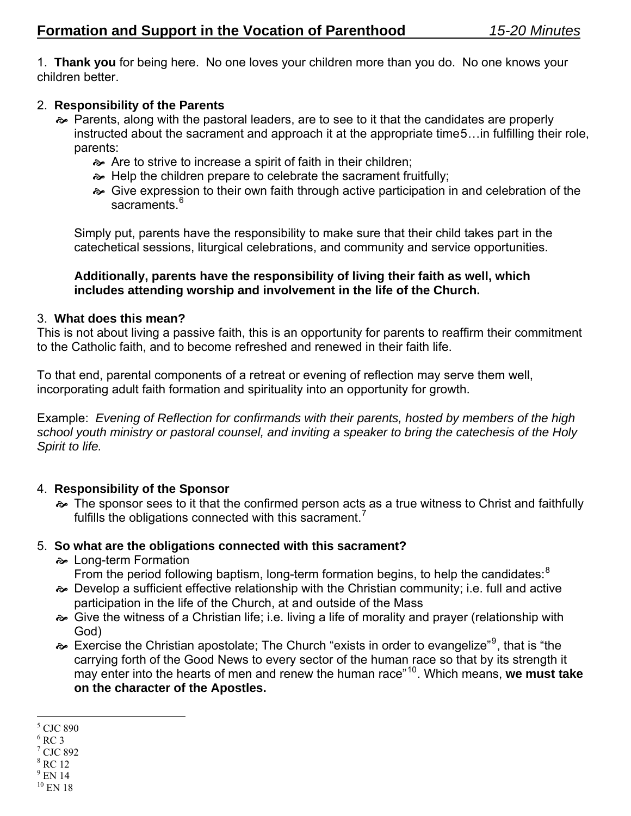1. **Thank you** for being here. No one loves your children more than you do. No one knows your children better.

### 2. **Responsibility of the Parents**

- Parents, along with the pastoral leaders, are to see to it that the candidates are properly instructed about the sacrament and approach it at the appropriate time[5](#page-66-0)…in fulfilling their role, parents:
	- Are to strive to increase a spirit of faith in their children;
	- $\approx$  Help the children prepare to celebrate the sacrament fruitfully;
	- Give expression to their own faith through active participation in and celebration of the sacraments  $6$

 Simply put, parents have the responsibility to make sure that their child takes part in the catechetical sessions, liturgical celebrations, and community and service opportunities.

### **Additionally, parents have the responsibility of living their faith as well, which includes attending worship and involvement in the life of the Church.**

### 3. **What does this mean?**

This is not about living a passive faith, this is an opportunity for parents to reaffirm their commitment to the Catholic faith, and to become refreshed and renewed in their faith life.

To that end, parental components of a retreat or evening of reflection may serve them well, incorporating adult faith formation and spirituality into an opportunity for growth.

Example: *Evening of Reflection for confirmands with their parents, hosted by members of the high school youth ministry or pastoral counsel, and inviting a speaker to bring the catechesis of the Holy Spirit to life.* 

### 4. **Responsibility of the Sponsor**

 The sponsor sees to it that the confirmed person acts as a true witness to Christ and faithfully fulfills the obligations connected with this sacrament.<sup>[7](#page-66-2)</sup>

### 5. **So what are the obligations connected with this sacrament?**

Long-term Formation

From the period following baptism, long-term formation begins, to help the candidates: $8$ 

- Develop a sufficient effective relationship with the Christian community; i.e. full and active participation in the life of the Church, at and outside of the Mass
- Give the witness of a Christian life; i.e. living a life of morality and prayer (relationship with God)
- � Exercise the Christian apostolate; The Church "exists in order to evangelize"<sup>[9](#page-66-4)</sup>, that is "the carrying forth of the Good News to every sector of the human race so that by its strength it may enter into the hearts of men and renew the human race"[10](#page-66-5). Which means, **we must take on the character of the Apostles.**

<span id="page-66-0"></span> $\frac{1}{5}$  CJC 890

<span id="page-66-1"></span> $6$  RC 3

<span id="page-66-2"></span> $\degree$  CJC 892

<span id="page-66-3"></span><sup>8</sup> RC 12

<span id="page-66-4"></span><sup>&</sup>lt;sup>9</sup> EN 14

<span id="page-66-5"></span> $10$  EN 18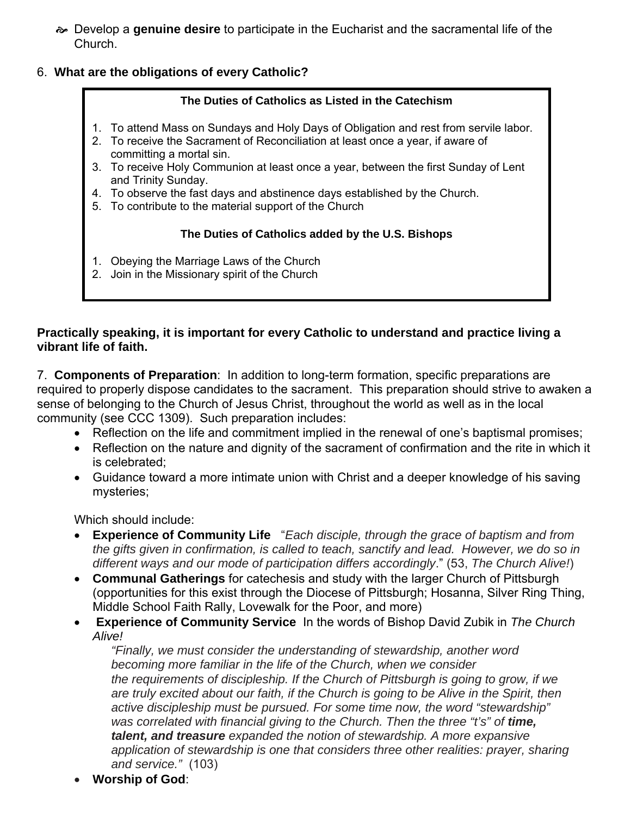Develop a **genuine desire** to participate in the Eucharist and the sacramental life of the Church.

### 6. **What are the obligations of every Catholic?**

### **The Duties of Catholics as Listed in the Catechism**

- 1. To attend Mass on Sundays and Holy Days of Obligation and rest from servile labor.
- 2. To receive the Sacrament of Reconciliation at least once a year, if aware of committing a mortal sin.
- 3. To receive Holy Communion at least once a year, between the first Sunday of Lent and Trinity Sunday.
- 4. To observe the fast days and abstinence days established by the Church.
- 5. To contribute to the material support of the Church

### **The Duties of Catholics added by the U.S. Bishops**

- 1. Obeying the Marriage Laws of the Church
- 2. Join in the Missionary spirit of the Church

### **Practically speaking, it is important for every Catholic to understand and practice living a vibrant life of faith.**

7. **Components of Preparation**: In addition to long-term formation, specific preparations are required to properly dispose candidates to the sacrament. This preparation should strive to awaken a sense of belonging to the Church of Jesus Christ, throughout the world as well as in the local community (see CCC 1309). Such preparation includes:

- Reflection on the life and commitment implied in the renewal of one's baptismal promises;
- Reflection on the nature and dignity of the sacrament of confirmation and the rite in which it is celebrated;
- Guidance toward a more intimate union with Christ and a deeper knowledge of his saving mysteries;

Which should include:

- **Experience of Community Life** "*Each disciple, through the grace of baptism and from the gifts given in confirmation, is called to teach, sanctify and lead. However, we do so in different ways and our mode of participation differs accordingly*." (53, *The Church Alive!*)
- **Communal Gatherings** for catechesis and study with the larger Church of Pittsburgh (opportunities for this exist through the Diocese of Pittsburgh; Hosanna, Silver Ring Thing, Middle School Faith Rally, Lovewalk for the Poor, and more)
- **Experience of Community Service** In the words of Bishop David Zubik in *The Church Alive!*

*"Finally, we must consider the understanding of stewardship, another word becoming more familiar in the life of the Church, when we consider the requirements of discipleship. If the Church of Pittsburgh is going to grow, if we are truly excited about our faith, if the Church is going to be Alive in the Spirit, then active discipleship must be pursued. For some time now, the word "stewardship" was correlated with financial giving to the Church. Then the three "t's" of time, talent, and treasure expanded the notion of stewardship. A more expansive application of stewardship is one that considers three other realities: prayer, sharing and service."* (103)

**Worship of God**: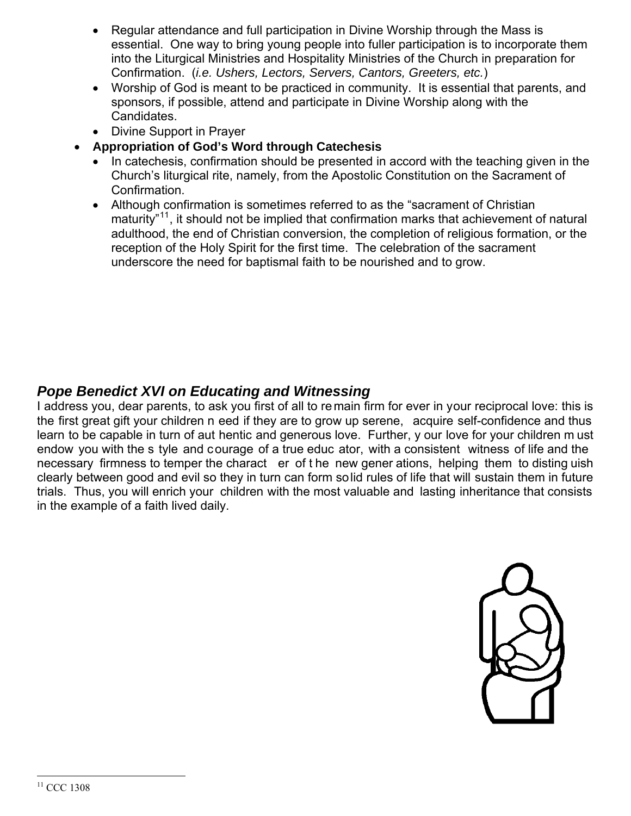- Regular attendance and full participation in Divine Worship through the Mass is essential. One way to bring young people into fuller participation is to incorporate them into the Liturgical Ministries and Hospitality Ministries of the Church in preparation for Confirmation. (*i.e. Ushers, Lectors, Servers, Cantors, Greeters, etc.*)
- Worship of God is meant to be practiced in community. It is essential that parents, and sponsors, if possible, attend and participate in Divine Worship along with the Candidates.
- Divine Support in Prayer
- **Appropriation of God's Word through Catechesis** 
	- In catechesis, confirmation should be presented in accord with the teaching given in the Church's liturgical rite, namely, from the Apostolic Constitution on the Sacrament of Confirmation.
	- Although confirmation is sometimes referred to as the "sacrament of Christian maturity<sup>"[11](#page-68-0)</sup>, it should not be implied that confirmation marks that achievement of natural adulthood, the end of Christian conversion, the completion of religious formation, or the reception of the Holy Spirit for the first time. The celebration of the sacrament underscore the need for baptismal faith to be nourished and to grow.

### *Pope Benedict XVI on Educating and Witnessing*

<span id="page-68-0"></span>I address you, dear parents, to ask you first of all to remain firm for ever in your reciprocal love: this is the first great gift your children n eed if they are to grow up serene, acquire self-confidence and thus learn to be capable in turn of aut hentic and generous love. Further, y our love for your children m ust endow you with the s tyle and courage of a true educ ator, with a consistent witness of life and the necessary firmness to temper the charact er of t he new gener ations, helping them to disting uish clearly between good and evil so they in turn can form solid rules of life that will sustain them in future trials. Thus, you will enrich your children with the most valuable and lasting inheritance that consists in the example of a faith lived daily.

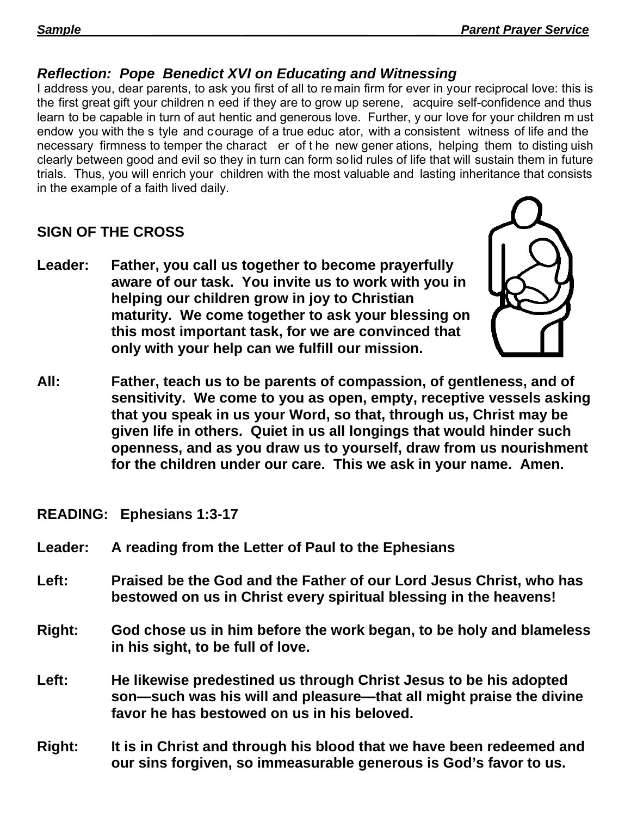### *Reflection: Pope Benedict XVI on Educating and Witnessing*

I address you, dear parents, to ask you first of all to remain firm for ever in your reciprocal love: this is the first great gift your children n eed if they are to grow up serene, acquire self-confidence and thus learn to be capable in turn of aut hentic and generous love. Further, y our love for your children m ust endow you with the s tyle and courage of a true educ ator, with a consistent witness of life and the necessary firmness to temper the charact er of t he new gener ations, helping them to disting uish clearly between good and evil so they in turn can form solid rules of life that will sustain them in future trials. Thus, you will enrich your children with the most valuable and lasting inheritance that consists in the example of a faith lived daily.

### **SIGN OF THE CROSS**

**Leader: Father, you call us together to become prayerfully aware of our task. You invite us to work with you in helping our children grow in joy to Christian maturity. We come together to ask your blessing on this most important task, for we are convinced that only with your help can we fulfill our mission.** 



- **All: Father, teach us to be parents of compassion, of gentleness, and of sensitivity. We come to you as open, empty, receptive vessels asking that you speak in us your Word, so that, through us, Christ may be given life in others. Quiet in us all longings that would hinder such openness, and as you draw us to yourself, draw from us nourishment for the children under our care. This we ask in your name. Amen.**
- **READING: Ephesians 1:3-17**
- **Leader: A reading from the Letter of Paul to the Ephesians**
- **Left: Praised be the God and the Father of our Lord Jesus Christ, who has bestowed on us in Christ every spiritual blessing in the heavens!**
- **Right: God chose us in him before the work began, to be holy and blameless in his sight, to be full of love.**
- **Left: He likewise predestined us through Christ Jesus to be his adopted son—such was his will and pleasure—that all might praise the divine favor he has bestowed on us in his beloved.**
- **Right: It is in Christ and through his blood that we have been redeemed and our sins forgiven, so immeasurable generous is God's favor to us.**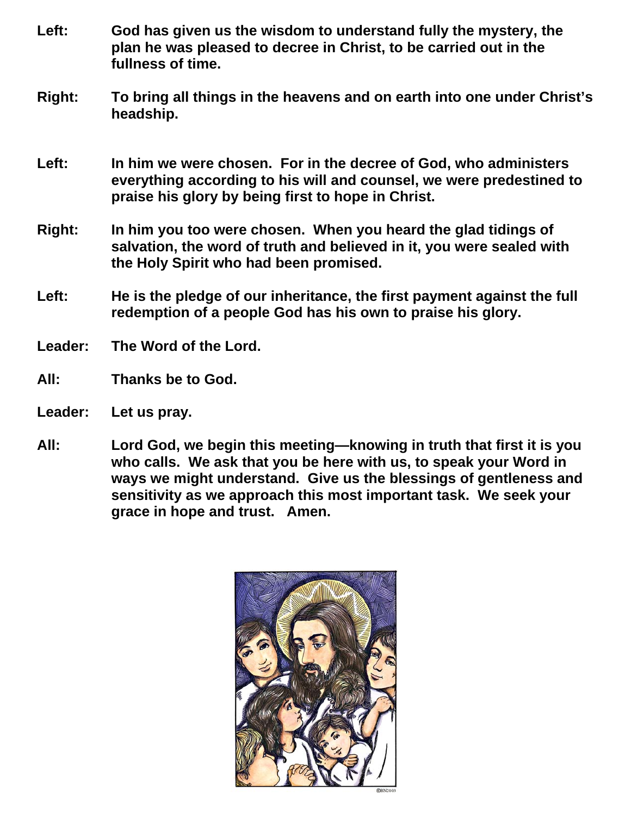- **Left: God has given us the wisdom to understand fully the mystery, the plan he was pleased to decree in Christ, to be carried out in the fullness of time.**
- **Right: To bring all things in the heavens and on earth into one under Christ's headship.**
- **Left: In him we were chosen. For in the decree of God, who administers everything according to his will and counsel, we were predestined to praise his glory by being first to hope in Christ.**
- **Right: In him you too were chosen. When you heard the glad tidings of salvation, the word of truth and believed in it, you were sealed with the Holy Spirit who had been promised.**
- **Left: He is the pledge of our inheritance, the first payment against the full redemption of a people God has his own to praise his glory.**
- **Leader: The Word of the Lord.**
- **All: Thanks be to God.**
- **Leader: Let us pray.**
- **All: Lord God, we begin this meeting—knowing in truth that first it is you who calls. We ask that you be here with us, to speak your Word in ways we might understand. Give us the blessings of gentleness and sensitivity as we approach this most important task. We seek your grace in hope and trust. Amen.**

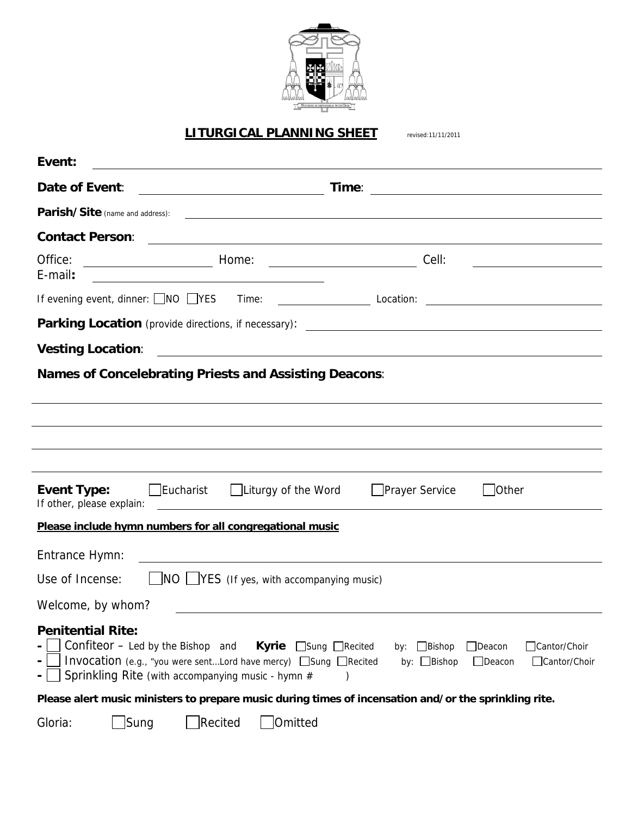

### **LITURGICAL PLANNING SHEET** revised:11/11/2011

| Event:                                                                                                                                                                                  |                                                                                                                                                  |
|-----------------------------------------------------------------------------------------------------------------------------------------------------------------------------------------|--------------------------------------------------------------------------------------------------------------------------------------------------|
| Date of Event:                                                                                                                                                                          | Time:<br><u> Alexandria de la construcción de la construcción de la construcción de la construcción de la construcción de</u>                    |
| Parish/Site (name and address):<br><u> 1989 - Andrea State Barbara, amerikan personal di sebagai personal di sebagai personal di sebagai personal d</u>                                 |                                                                                                                                                  |
| <b>Contact Person:</b>                                                                                                                                                                  |                                                                                                                                                  |
| Office:<br>E-mail:                                                                                                                                                                      | Cell:<br><u> 1989 - Andrea Andrew Maria (b. 1989)</u>                                                                                            |
| If evening event, dinner: $\Box$ NO $\Box$ YES Time:                                                                                                                                    |                                                                                                                                                  |
|                                                                                                                                                                                         |                                                                                                                                                  |
| <b>Vesting Location:</b>                                                                                                                                                                |                                                                                                                                                  |
| <b>Names of Concelebrating Priests and Assisting Deacons:</b>                                                                                                                           |                                                                                                                                                  |
|                                                                                                                                                                                         |                                                                                                                                                  |
|                                                                                                                                                                                         |                                                                                                                                                  |
|                                                                                                                                                                                         |                                                                                                                                                  |
|                                                                                                                                                                                         |                                                                                                                                                  |
| <b>Event Type:</b><br>$\Box$ Eucharist<br>□Liturgy of the Word<br>If other, please explain:                                                                                             | □ Prayer Service<br><b>Other</b>                                                                                                                 |
| Please include hymn numbers for all congregational music                                                                                                                                |                                                                                                                                                  |
| Entrance Hymn:<br><u> 1989 - Johann Barbara, martxa alemaniar argametria (h. 1989).</u>                                                                                                 |                                                                                                                                                  |
| Use of Incense:<br>$JNO$ $\angle$ YES (If yes, with accompanying music)                                                                                                                 |                                                                                                                                                  |
| Welcome, by whom?                                                                                                                                                                       |                                                                                                                                                  |
| <b>Penitential Rite:</b><br>Confiteor - Led by the Bishop and<br>Invocation (e.g., "you were sentLord have mercy) □ Sung □ Recited<br>Sprinkling Rite (with accompanying music - hymn # | <b>Kyrie</b> $\Box$ Sung $\Box$ Recited<br>Cantor/Choir<br>$\Box$ Bishop<br>$\Box$ Deacon<br>by:<br>by: □Bishop<br>$\Box$ Deacon<br>Cantor/Choir |
| Please alert music ministers to prepare music during times of incensation and/or the sprinkling rite.                                                                                   |                                                                                                                                                  |
| Sung<br>Recited<br>Omitted<br>Gloria:                                                                                                                                                   |                                                                                                                                                  |